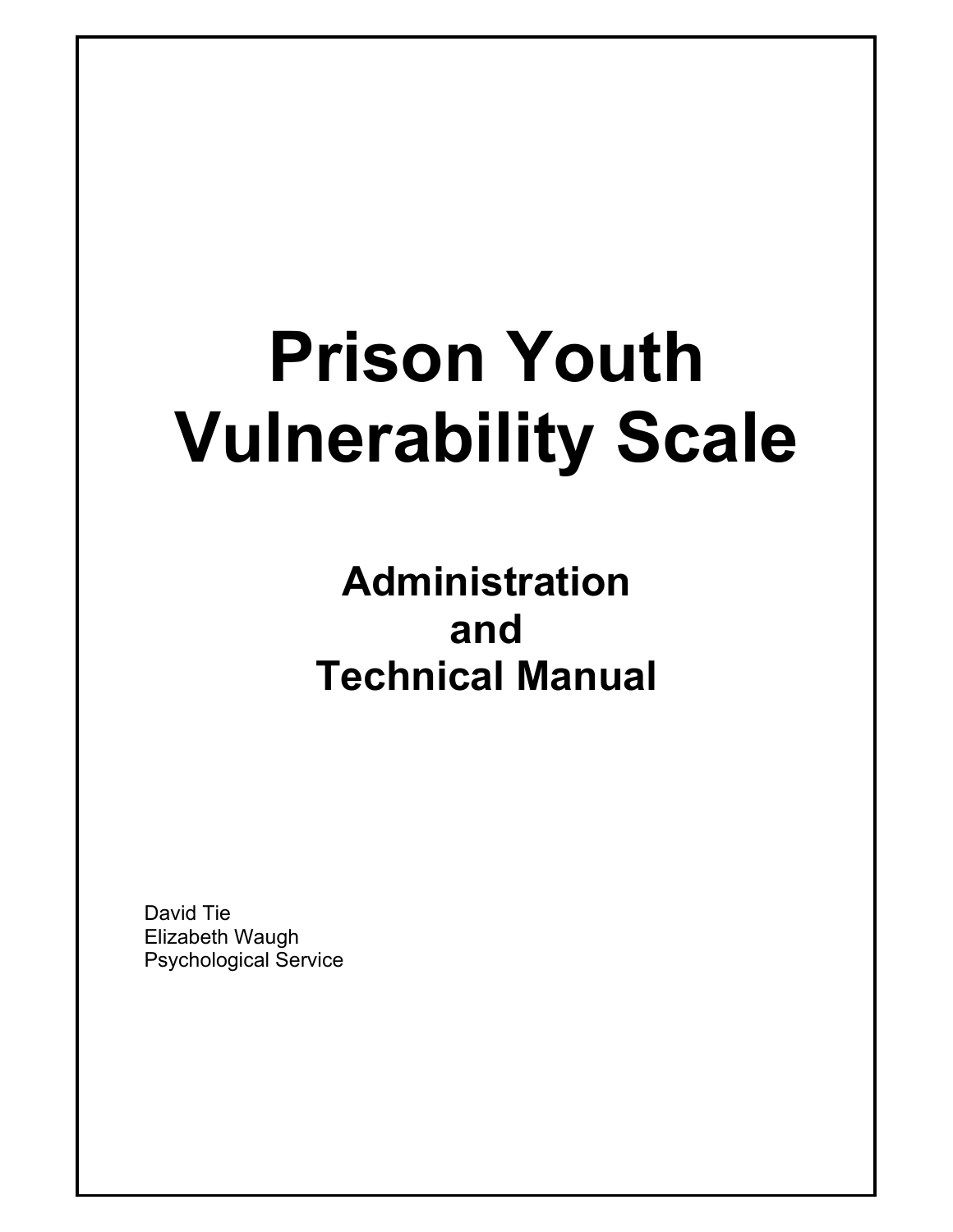# **Prison Youth Vulnerability Scale**

## **Administration and Technical Manual**

David Tie Elizabeth Waugh Psychological Service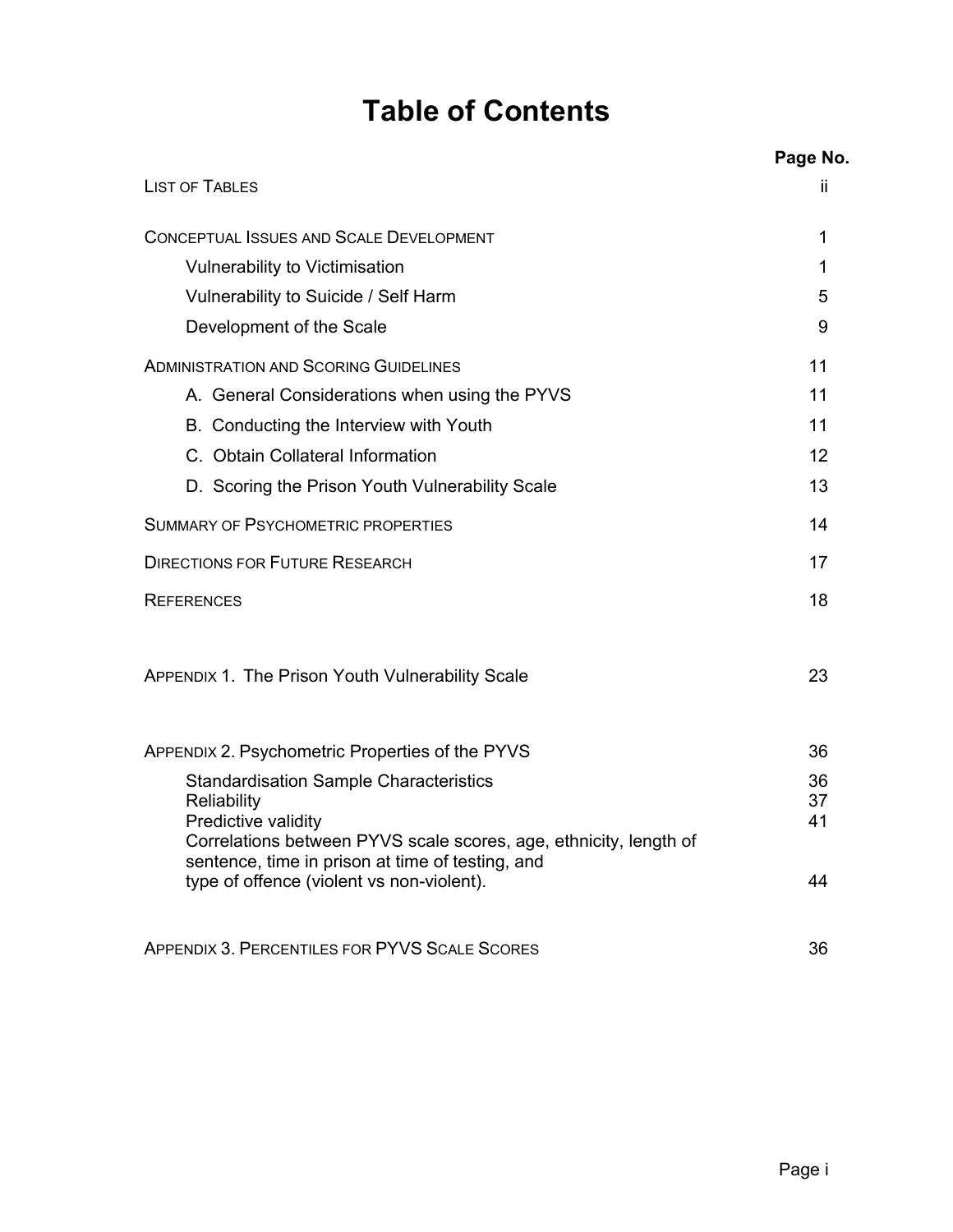## **Table of Contents**

|                                                                                                                                                                    | Page No.       |
|--------------------------------------------------------------------------------------------------------------------------------------------------------------------|----------------|
| <b>LIST OF TABLES</b>                                                                                                                                              | Ħ              |
| <b>CONCEPTUAL ISSUES AND SCALE DEVELOPMENT</b>                                                                                                                     | 1              |
| <b>Vulnerability to Victimisation</b>                                                                                                                              | 1              |
| Vulnerability to Suicide / Self Harm                                                                                                                               | 5              |
| Development of the Scale                                                                                                                                           | 9              |
| <b>ADMINISTRATION AND SCORING GUIDELINES</b>                                                                                                                       | 11             |
| A. General Considerations when using the PYVS                                                                                                                      | 11             |
| B. Conducting the Interview with Youth                                                                                                                             | 11             |
| C. Obtain Collateral Information                                                                                                                                   | 12             |
| D. Scoring the Prison Youth Vulnerability Scale                                                                                                                    | 13             |
| <b>SUMMARY OF PSYCHOMETRIC PROPERTIES</b>                                                                                                                          | 14             |
| <b>DIRECTIONS FOR FUTURE RESEARCH</b>                                                                                                                              | 17             |
| <b>REFERENCES</b>                                                                                                                                                  | 18             |
| APPENDIX 1. The Prison Youth Vulnerability Scale                                                                                                                   | 23             |
| APPENDIX 2. Psychometric Properties of the PYVS                                                                                                                    | 36             |
| <b>Standardisation Sample Characteristics</b><br>Reliability<br>Predictive validity                                                                                | 36<br>37<br>41 |
| Correlations between PYVS scale scores, age, ethnicity, length of<br>sentence, time in prison at time of testing, and<br>type of offence (violent vs non-violent). | 44             |
| <b>APPENDIX 3. PERCENTILES FOR PYVS SCALE SCORES</b>                                                                                                               | 36             |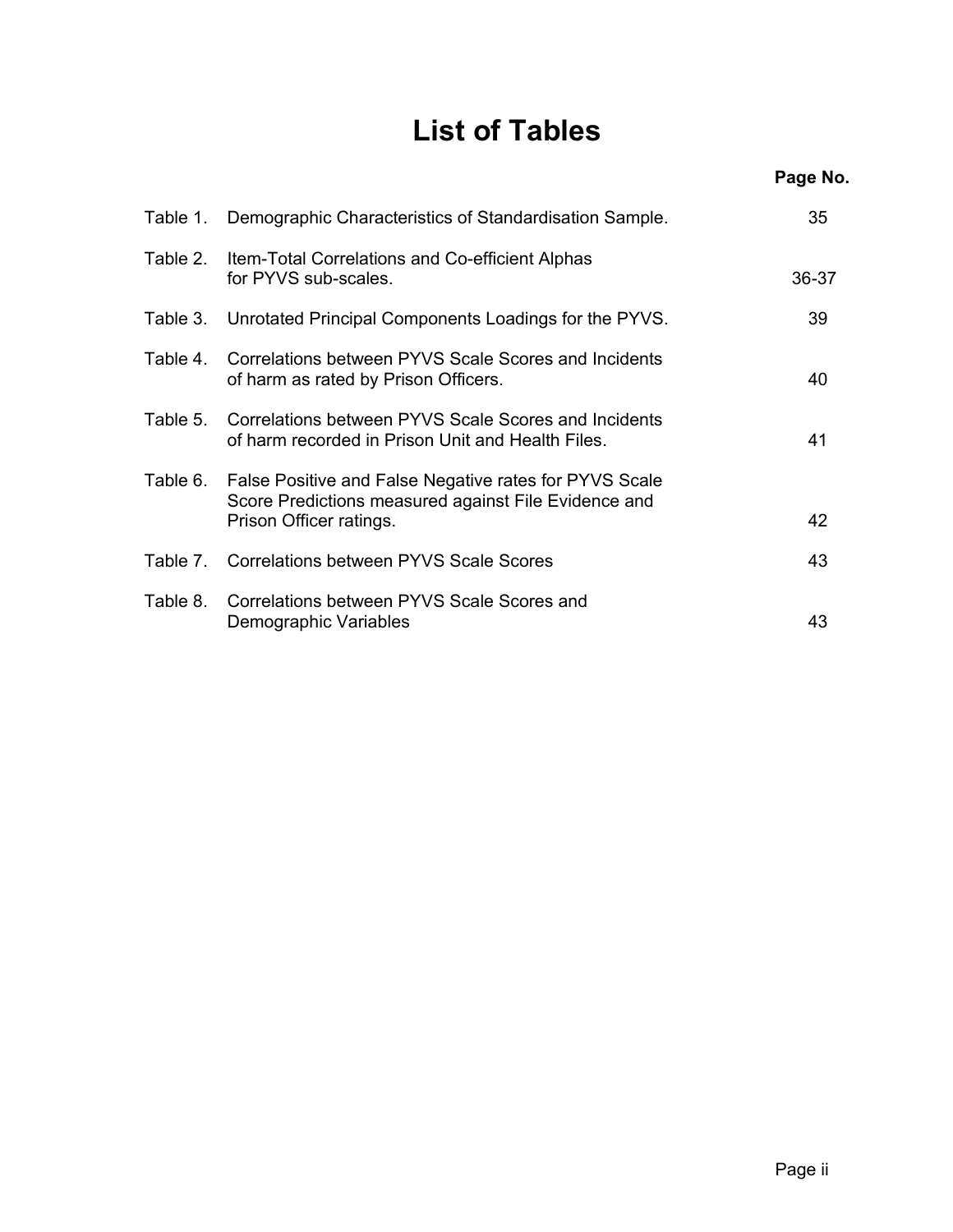## **List of Tables**

|          |                                                                                                                                           | Page No. |
|----------|-------------------------------------------------------------------------------------------------------------------------------------------|----------|
| Table 1. | Demographic Characteristics of Standardisation Sample.                                                                                    | 35       |
|          | Table 2. Item-Total Correlations and Co-efficient Alphas<br>for PYVS sub-scales.                                                          | 36-37    |
|          | Table 3. Unrotated Principal Components Loadings for the PYVS.                                                                            | 39       |
| Table 4. | Correlations between PYVS Scale Scores and Incidents<br>of harm as rated by Prison Officers.                                              | 40       |
| Table 5. | Correlations between PYVS Scale Scores and Incidents<br>of harm recorded in Prison Unit and Health Files.                                 | 41       |
| Table 6. | False Positive and False Negative rates for PYVS Scale<br>Score Predictions measured against File Evidence and<br>Prison Officer ratings. | 42       |
|          | Table 7. Correlations between PYVS Scale Scores                                                                                           | 43       |
| Table 8. | Correlations between PYVS Scale Scores and<br>Demographic Variables                                                                       | 43       |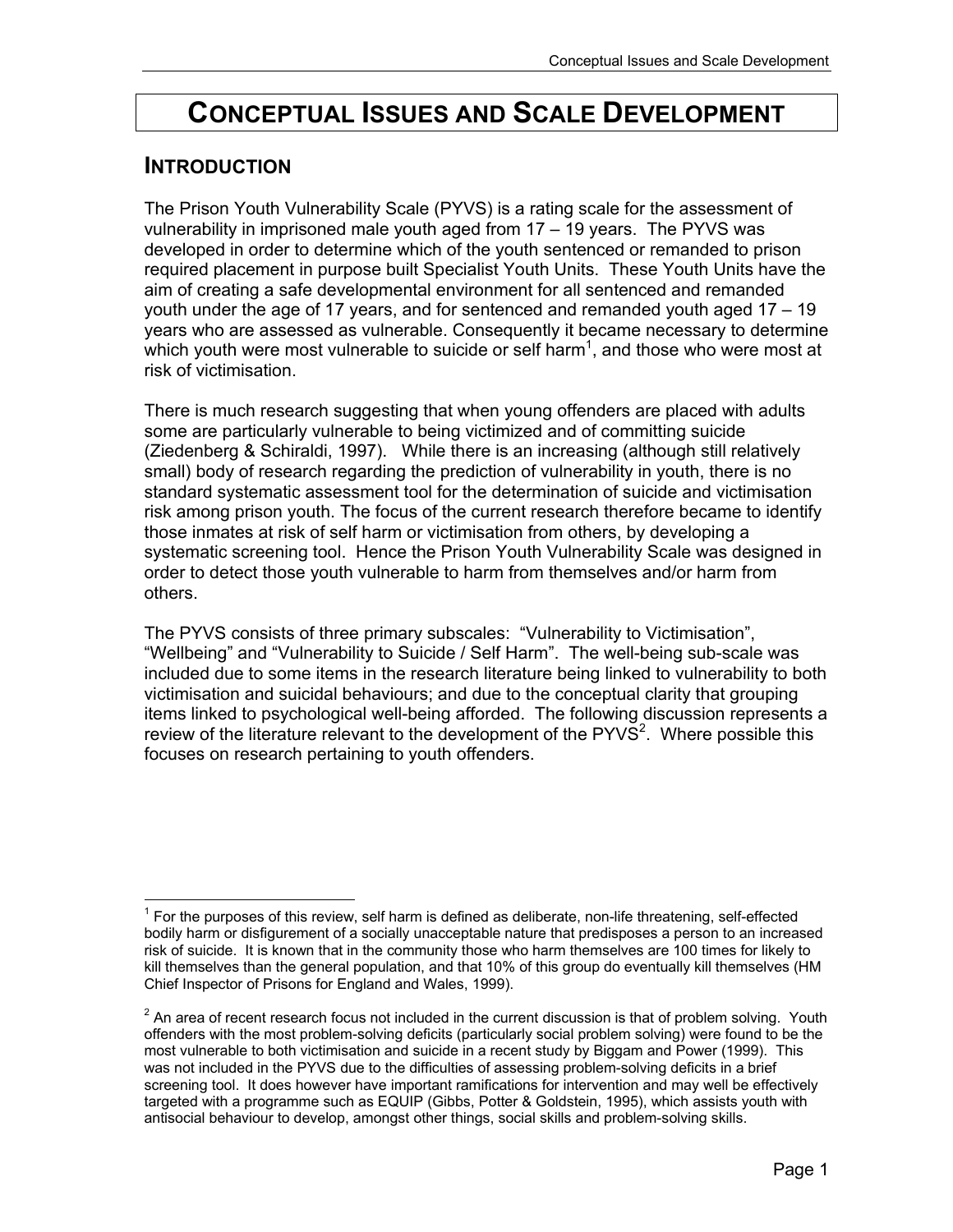## **CONCEPTUAL ISSUES AND SCALE DEVELOPMENT**

### **INTRODUCTION**

The Prison Youth Vulnerability Scale (PYVS) is a rating scale for the assessment of vulnerability in imprisoned male youth aged from 17 – 19 years. The PYVS was developed in order to determine which of the youth sentenced or remanded to prison required placement in purpose built Specialist Youth Units. These Youth Units have the aim of creating a safe developmental environment for all sentenced and remanded youth under the age of 17 years, and for sentenced and remanded youth aged 17 – 19 years who are assessed as vulnerable. Consequently it became necessary to determine which youth were most vulnerable to suicide or self harm<sup>1</sup>, and those who were most at risk of victimisation.

There is much research suggesting that when young offenders are placed with adults some are particularly vulnerable to being victimized and of committing suicide (Ziedenberg & Schiraldi, 1997). While there is an increasing (although still relatively small) body of research regarding the prediction of vulnerability in youth, there is no standard systematic assessment tool for the determination of suicide and victimisation risk among prison youth. The focus of the current research therefore became to identify those inmates at risk of self harm or victimisation from others, by developing a systematic screening tool. Hence the Prison Youth Vulnerability Scale was designed in order to detect those youth vulnerable to harm from themselves and/or harm from others.

The PYVS consists of three primary subscales: "Vulnerability to Victimisation", "Wellbeing" and "Vulnerability to Suicide / Self Harm". The well-being sub-scale was included due to some items in the research literature being linked to vulnerability to both victimisation and suicidal behaviours; and due to the conceptual clarity that grouping items linked to psychological well-being afforded. The following discussion represents a review of the literature relevant to the development of the  $PYV\ddot{S}^2$ . Where possible this focuses on research pertaining to youth offenders.

 $\overline{a}$  $1$  For the purposes of this review, self harm is defined as deliberate, non-life threatening, self-effected bodily harm or disfigurement of a socially unacceptable nature that predisposes a person to an increased risk of suicide. It is known that in the community those who harm themselves are 100 times for likely to kill themselves than the general population, and that 10% of this group do eventually kill themselves (HM Chief Inspector of Prisons for England and Wales, 1999).

 $2$  An area of recent research focus not included in the current discussion is that of problem solving. Youth offenders with the most problem-solving deficits (particularly social problem solving) were found to be the most vulnerable to both victimisation and suicide in a recent study by Biggam and Power (1999). This was not included in the PYVS due to the difficulties of assessing problem-solving deficits in a brief screening tool. It does however have important ramifications for intervention and may well be effectively targeted with a programme such as EQUIP (Gibbs, Potter & Goldstein, 1995), which assists youth with antisocial behaviour to develop, amongst other things, social skills and problem-solving skills.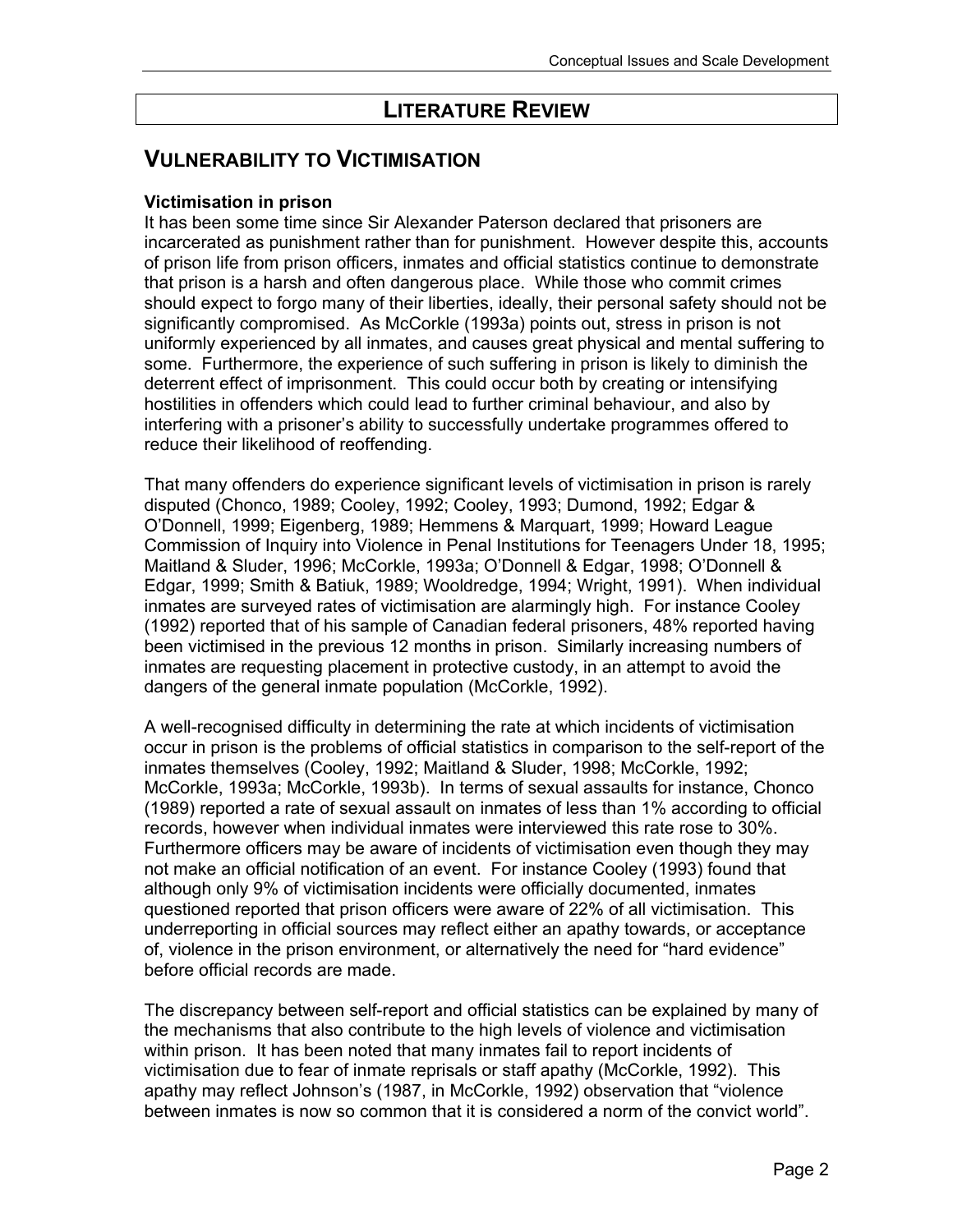## **LITERATURE REVIEW**

### **VULNERABILITY TO VICTIMISATION**

#### **Victimisation in prison**

It has been some time since Sir Alexander Paterson declared that prisoners are incarcerated as punishment rather than for punishment. However despite this, accounts of prison life from prison officers, inmates and official statistics continue to demonstrate that prison is a harsh and often dangerous place. While those who commit crimes should expect to forgo many of their liberties, ideally, their personal safety should not be significantly compromised. As McCorkle (1993a) points out, stress in prison is not uniformly experienced by all inmates, and causes great physical and mental suffering to some. Furthermore, the experience of such suffering in prison is likely to diminish the deterrent effect of imprisonment. This could occur both by creating or intensifying hostilities in offenders which could lead to further criminal behaviour, and also by interfering with a prisoner's ability to successfully undertake programmes offered to reduce their likelihood of reoffending.

That many offenders do experience significant levels of victimisation in prison is rarely disputed (Chonco, 1989; Cooley, 1992; Cooley, 1993; Dumond, 1992; Edgar & O'Donnell, 1999; Eigenberg, 1989; Hemmens & Marquart, 1999; Howard League Commission of Inquiry into Violence in Penal Institutions for Teenagers Under 18, 1995; Maitland & Sluder, 1996; McCorkle, 1993a; O'Donnell & Edgar, 1998; O'Donnell & Edgar, 1999; Smith & Batiuk, 1989; Wooldredge, 1994; Wright, 1991). When individual inmates are surveyed rates of victimisation are alarmingly high. For instance Cooley (1992) reported that of his sample of Canadian federal prisoners, 48% reported having been victimised in the previous 12 months in prison. Similarly increasing numbers of inmates are requesting placement in protective custody, in an attempt to avoid the dangers of the general inmate population (McCorkle, 1992).

A well-recognised difficulty in determining the rate at which incidents of victimisation occur in prison is the problems of official statistics in comparison to the self-report of the inmates themselves (Cooley, 1992; Maitland & Sluder, 1998; McCorkle, 1992; McCorkle, 1993a; McCorkle, 1993b). In terms of sexual assaults for instance, Chonco (1989) reported a rate of sexual assault on inmates of less than 1% according to official records, however when individual inmates were interviewed this rate rose to 30%. Furthermore officers may be aware of incidents of victimisation even though they may not make an official notification of an event. For instance Cooley (1993) found that although only 9% of victimisation incidents were officially documented, inmates questioned reported that prison officers were aware of 22% of all victimisation. This underreporting in official sources may reflect either an apathy towards, or acceptance of, violence in the prison environment, or alternatively the need for "hard evidence" before official records are made.

The discrepancy between self-report and official statistics can be explained by many of the mechanisms that also contribute to the high levels of violence and victimisation within prison. It has been noted that many inmates fail to report incidents of victimisation due to fear of inmate reprisals or staff apathy (McCorkle, 1992). This apathy may reflect Johnson's (1987, in McCorkle, 1992) observation that "violence between inmates is now so common that it is considered a norm of the convict world".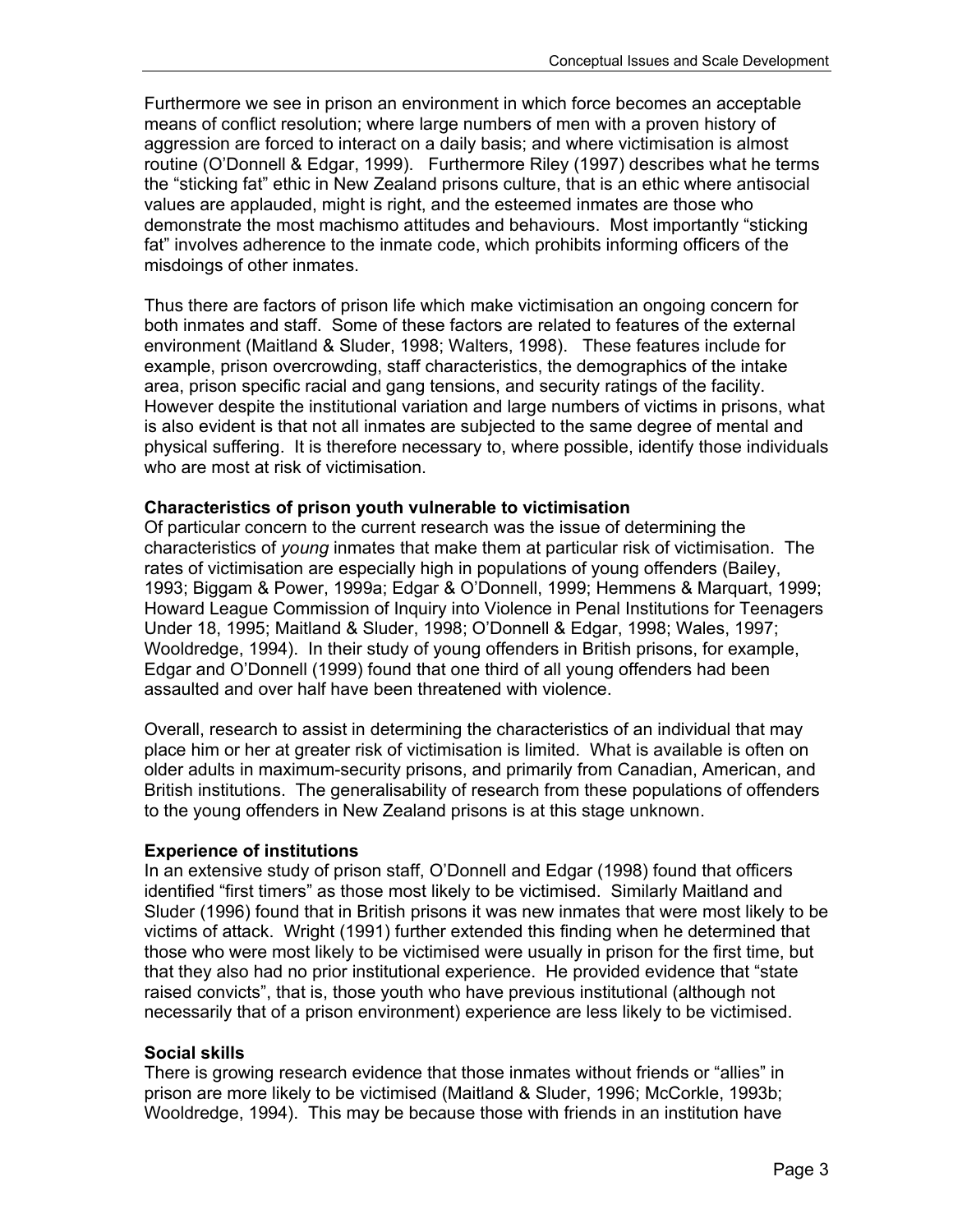Furthermore we see in prison an environment in which force becomes an acceptable means of conflict resolution; where large numbers of men with a proven history of aggression are forced to interact on a daily basis; and where victimisation is almost routine (O'Donnell & Edgar, 1999). Furthermore Riley (1997) describes what he terms the "sticking fat" ethic in New Zealand prisons culture, that is an ethic where antisocial values are applauded, might is right, and the esteemed inmates are those who demonstrate the most machismo attitudes and behaviours. Most importantly "sticking fat" involves adherence to the inmate code, which prohibits informing officers of the misdoings of other inmates.

Thus there are factors of prison life which make victimisation an ongoing concern for both inmates and staff. Some of these factors are related to features of the external environment (Maitland & Sluder, 1998; Walters, 1998). These features include for example, prison overcrowding, staff characteristics, the demographics of the intake area, prison specific racial and gang tensions, and security ratings of the facility. However despite the institutional variation and large numbers of victims in prisons, what is also evident is that not all inmates are subjected to the same degree of mental and physical suffering. It is therefore necessary to, where possible, identify those individuals who are most at risk of victimisation.

#### **Characteristics of prison youth vulnerable to victimisation**

Of particular concern to the current research was the issue of determining the characteristics of *young* inmates that make them at particular risk of victimisation. The rates of victimisation are especially high in populations of young offenders (Bailey, 1993; Biggam & Power, 1999a; Edgar & O'Donnell, 1999; Hemmens & Marquart, 1999; Howard League Commission of Inquiry into Violence in Penal Institutions for Teenagers Under 18, 1995; Maitland & Sluder, 1998; O'Donnell & Edgar, 1998; Wales, 1997; Wooldredge, 1994). In their study of young offenders in British prisons, for example, Edgar and O'Donnell (1999) found that one third of all young offenders had been assaulted and over half have been threatened with violence.

Overall, research to assist in determining the characteristics of an individual that may place him or her at greater risk of victimisation is limited. What is available is often on older adults in maximum-security prisons, and primarily from Canadian, American, and British institutions. The generalisability of research from these populations of offenders to the young offenders in New Zealand prisons is at this stage unknown.

#### **Experience of institutions**

In an extensive study of prison staff, O'Donnell and Edgar (1998) found that officers identified "first timers" as those most likely to be victimised. Similarly Maitland and Sluder (1996) found that in British prisons it was new inmates that were most likely to be victims of attack. Wright (1991) further extended this finding when he determined that those who were most likely to be victimised were usually in prison for the first time, but that they also had no prior institutional experience. He provided evidence that "state raised convicts", that is, those youth who have previous institutional (although not necessarily that of a prison environment) experience are less likely to be victimised.

#### **Social skills**

There is growing research evidence that those inmates without friends or "allies" in prison are more likely to be victimised (Maitland & Sluder, 1996; McCorkle, 1993b; Wooldredge, 1994). This may be because those with friends in an institution have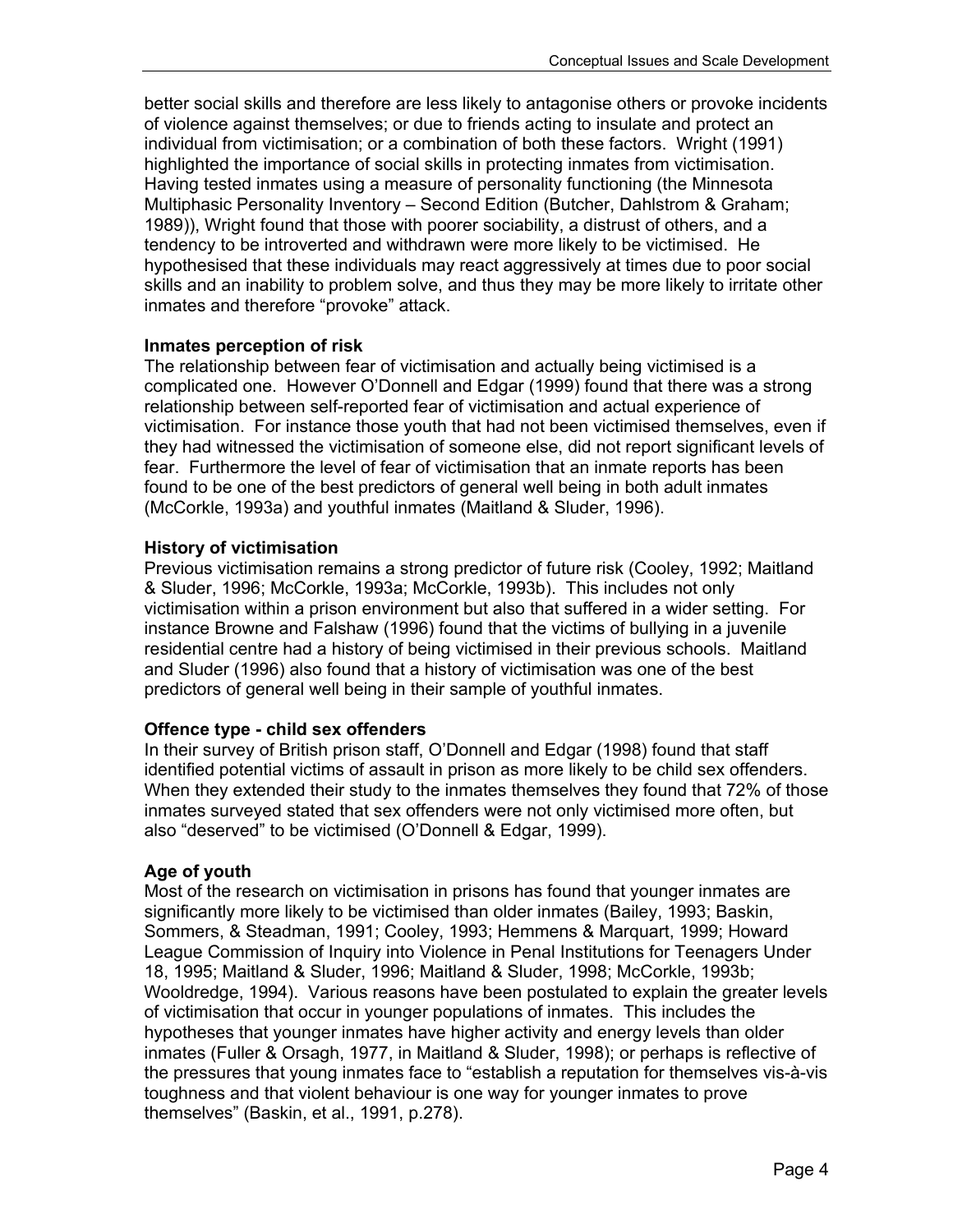better social skills and therefore are less likely to antagonise others or provoke incidents of violence against themselves; or due to friends acting to insulate and protect an individual from victimisation; or a combination of both these factors. Wright (1991) highlighted the importance of social skills in protecting inmates from victimisation. Having tested inmates using a measure of personality functioning (the Minnesota Multiphasic Personality Inventory – Second Edition (Butcher, Dahlstrom & Graham; 1989)), Wright found that those with poorer sociability, a distrust of others, and a tendency to be introverted and withdrawn were more likely to be victimised. He hypothesised that these individuals may react aggressively at times due to poor social skills and an inability to problem solve, and thus they may be more likely to irritate other inmates and therefore "provoke" attack.

#### **Inmates perception of risk**

The relationship between fear of victimisation and actually being victimised is a complicated one. However O'Donnell and Edgar (1999) found that there was a strong relationship between self-reported fear of victimisation and actual experience of victimisation. For instance those youth that had not been victimised themselves, even if they had witnessed the victimisation of someone else, did not report significant levels of fear. Furthermore the level of fear of victimisation that an inmate reports has been found to be one of the best predictors of general well being in both adult inmates (McCorkle, 1993a) and youthful inmates (Maitland & Sluder, 1996).

#### **History of victimisation**

Previous victimisation remains a strong predictor of future risk (Cooley, 1992; Maitland & Sluder, 1996; McCorkle, 1993a; McCorkle, 1993b). This includes not only victimisation within a prison environment but also that suffered in a wider setting. For instance Browne and Falshaw (1996) found that the victims of bullying in a juvenile residential centre had a history of being victimised in their previous schools. Maitland and Sluder (1996) also found that a history of victimisation was one of the best predictors of general well being in their sample of youthful inmates.

#### **Offence type - child sex offenders**

In their survey of British prison staff, O'Donnell and Edgar (1998) found that staff identified potential victims of assault in prison as more likely to be child sex offenders. When they extended their study to the inmates themselves they found that 72% of those inmates surveyed stated that sex offenders were not only victimised more often, but also "deserved" to be victimised (O'Donnell & Edgar, 1999).

#### **Age of youth**

Most of the research on victimisation in prisons has found that younger inmates are significantly more likely to be victimised than older inmates (Bailey, 1993; Baskin, Sommers, & Steadman, 1991; Cooley, 1993; Hemmens & Marquart, 1999; Howard League Commission of Inquiry into Violence in Penal Institutions for Teenagers Under 18, 1995; Maitland & Sluder, 1996; Maitland & Sluder, 1998; McCorkle, 1993b; Wooldredge, 1994). Various reasons have been postulated to explain the greater levels of victimisation that occur in younger populations of inmates. This includes the hypotheses that younger inmates have higher activity and energy levels than older inmates (Fuller & Orsagh, 1977, in Maitland & Sluder, 1998); or perhaps is reflective of the pressures that young inmates face to "establish a reputation for themselves vis-à-vis toughness and that violent behaviour is one way for younger inmates to prove themselves" (Baskin, et al., 1991, p.278).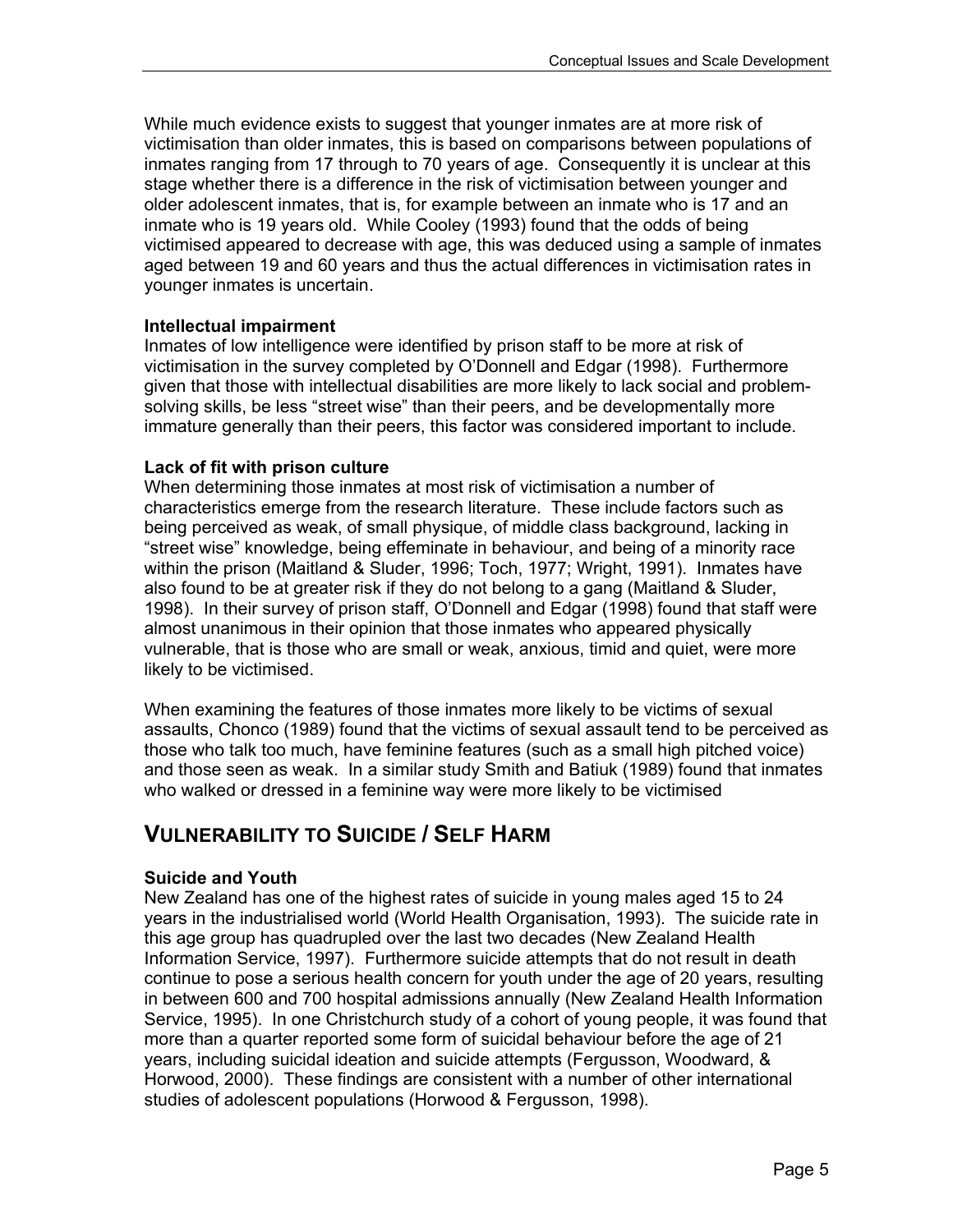While much evidence exists to suggest that younger inmates are at more risk of victimisation than older inmates, this is based on comparisons between populations of inmates ranging from 17 through to 70 years of age. Consequently it is unclear at this stage whether there is a difference in the risk of victimisation between younger and older adolescent inmates, that is, for example between an inmate who is 17 and an inmate who is 19 years old. While Cooley (1993) found that the odds of being victimised appeared to decrease with age, this was deduced using a sample of inmates aged between 19 and 60 years and thus the actual differences in victimisation rates in younger inmates is uncertain.

#### **Intellectual impairment**

Inmates of low intelligence were identified by prison staff to be more at risk of victimisation in the survey completed by O'Donnell and Edgar (1998). Furthermore given that those with intellectual disabilities are more likely to lack social and problemsolving skills, be less "street wise" than their peers, and be developmentally more immature generally than their peers, this factor was considered important to include.

#### **Lack of fit with prison culture**

When determining those inmates at most risk of victimisation a number of characteristics emerge from the research literature. These include factors such as being perceived as weak, of small physique, of middle class background, lacking in "street wise" knowledge, being effeminate in behaviour, and being of a minority race within the prison (Maitland & Sluder, 1996; Toch, 1977; Wright, 1991). Inmates have also found to be at greater risk if they do not belong to a gang (Maitland & Sluder, 1998). In their survey of prison staff, O'Donnell and Edgar (1998) found that staff were almost unanimous in their opinion that those inmates who appeared physically vulnerable, that is those who are small or weak, anxious, timid and quiet, were more likely to be victimised.

When examining the features of those inmates more likely to be victims of sexual assaults, Chonco (1989) found that the victims of sexual assault tend to be perceived as those who talk too much, have feminine features (such as a small high pitched voice) and those seen as weak. In a similar study Smith and Batiuk (1989) found that inmates who walked or dressed in a feminine way were more likely to be victimised

### **VULNERABILITY TO SUICIDE / SELF HARM**

#### **Suicide and Youth**

New Zealand has one of the highest rates of suicide in young males aged 15 to 24 years in the industrialised world (World Health Organisation, 1993). The suicide rate in this age group has quadrupled over the last two decades (New Zealand Health Information Service, 1997). Furthermore suicide attempts that do not result in death continue to pose a serious health concern for youth under the age of 20 years, resulting in between 600 and 700 hospital admissions annually (New Zealand Health Information Service, 1995). In one Christchurch study of a cohort of young people, it was found that more than a quarter reported some form of suicidal behaviour before the age of 21 years, including suicidal ideation and suicide attempts (Fergusson, Woodward, & Horwood, 2000). These findings are consistent with a number of other international studies of adolescent populations (Horwood & Fergusson, 1998).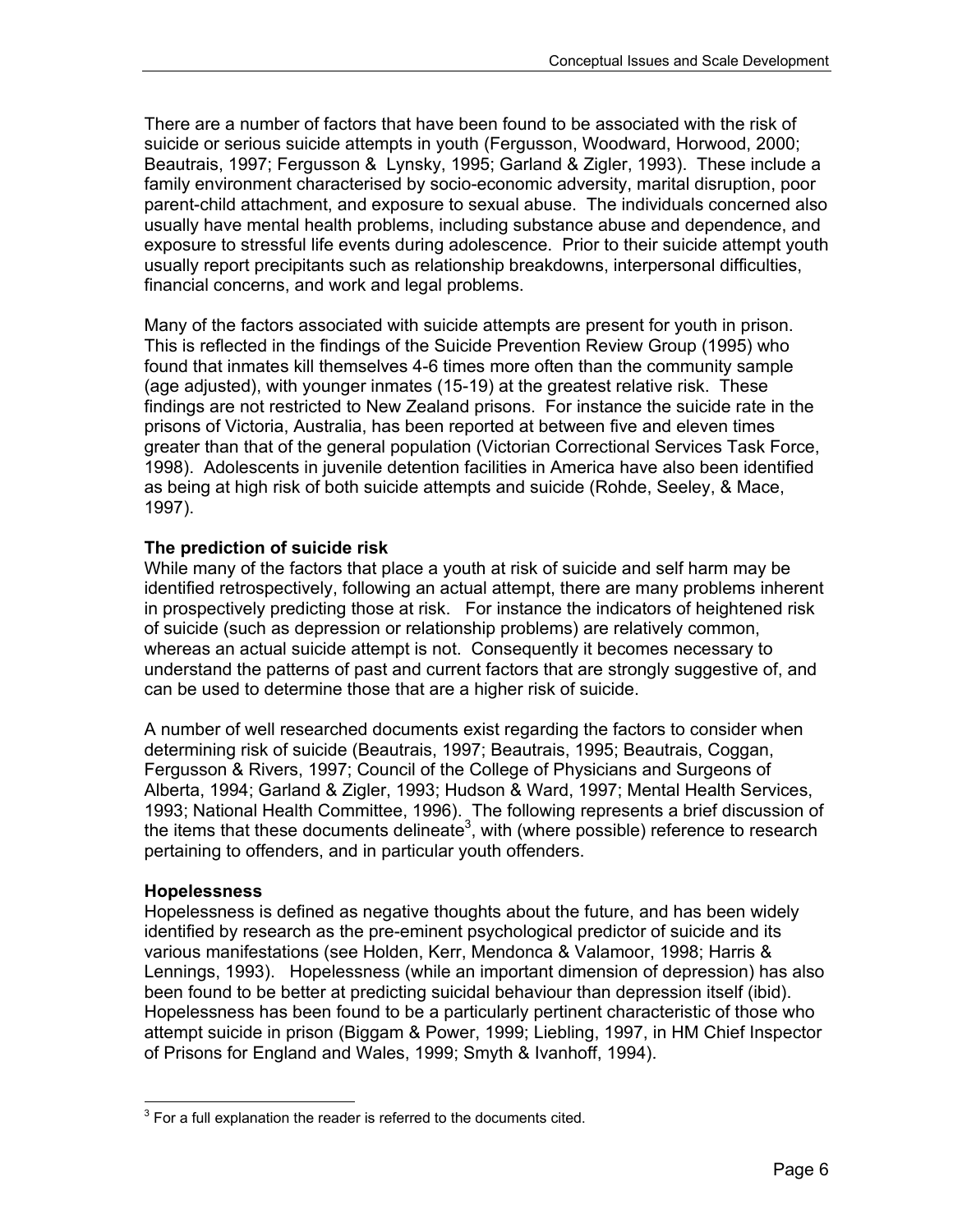There are a number of factors that have been found to be associated with the risk of suicide or serious suicide attempts in youth (Fergusson, Woodward, Horwood, 2000; Beautrais, 1997; Fergusson & Lynsky, 1995; Garland & Zigler, 1993). These include a family environment characterised by socio-economic adversity, marital disruption, poor parent-child attachment, and exposure to sexual abuse. The individuals concerned also usually have mental health problems, including substance abuse and dependence, and exposure to stressful life events during adolescence. Prior to their suicide attempt youth usually report precipitants such as relationship breakdowns, interpersonal difficulties, financial concerns, and work and legal problems.

Many of the factors associated with suicide attempts are present for youth in prison. This is reflected in the findings of the Suicide Prevention Review Group (1995) who found that inmates kill themselves 4-6 times more often than the community sample (age adjusted), with younger inmates (15-19) at the greatest relative risk. These findings are not restricted to New Zealand prisons. For instance the suicide rate in the prisons of Victoria, Australia, has been reported at between five and eleven times greater than that of the general population (Victorian Correctional Services Task Force, 1998). Adolescents in juvenile detention facilities in America have also been identified as being at high risk of both suicide attempts and suicide (Rohde, Seeley, & Mace, 1997).

#### **The prediction of suicide risk**

While many of the factors that place a youth at risk of suicide and self harm may be identified retrospectively, following an actual attempt, there are many problems inherent in prospectively predicting those at risk. For instance the indicators of heightened risk of suicide (such as depression or relationship problems) are relatively common, whereas an actual suicide attempt is not. Consequently it becomes necessary to understand the patterns of past and current factors that are strongly suggestive of, and can be used to determine those that are a higher risk of suicide.

A number of well researched documents exist regarding the factors to consider when determining risk of suicide (Beautrais, 1997; Beautrais, 1995; Beautrais, Coggan, Fergusson & Rivers, 1997; Council of the College of Physicians and Surgeons of Alberta, 1994; Garland & Zigler, 1993; Hudson & Ward, 1997; Mental Health Services, 1993; National Health Committee, 1996). The following represents a brief discussion of the items that these documents delineate<sup>3</sup>, with (where possible) reference to research pertaining to offenders, and in particular youth offenders.

#### **Hopelessness**

Hopelessness is defined as negative thoughts about the future, and has been widely identified by research as the pre-eminent psychological predictor of suicide and its various manifestations (see Holden, Kerr, Mendonca & Valamoor, 1998; Harris & Lennings, 1993). Hopelessness (while an important dimension of depression) has also been found to be better at predicting suicidal behaviour than depression itself (ibid). Hopelessness has been found to be a particularly pertinent characteristic of those who attempt suicide in prison (Biggam & Power, 1999; Liebling, 1997, in HM Chief Inspector of Prisons for England and Wales, 1999; Smyth & Ivanhoff, 1994).

 $\overline{a}$  $3$  For a full explanation the reader is referred to the documents cited.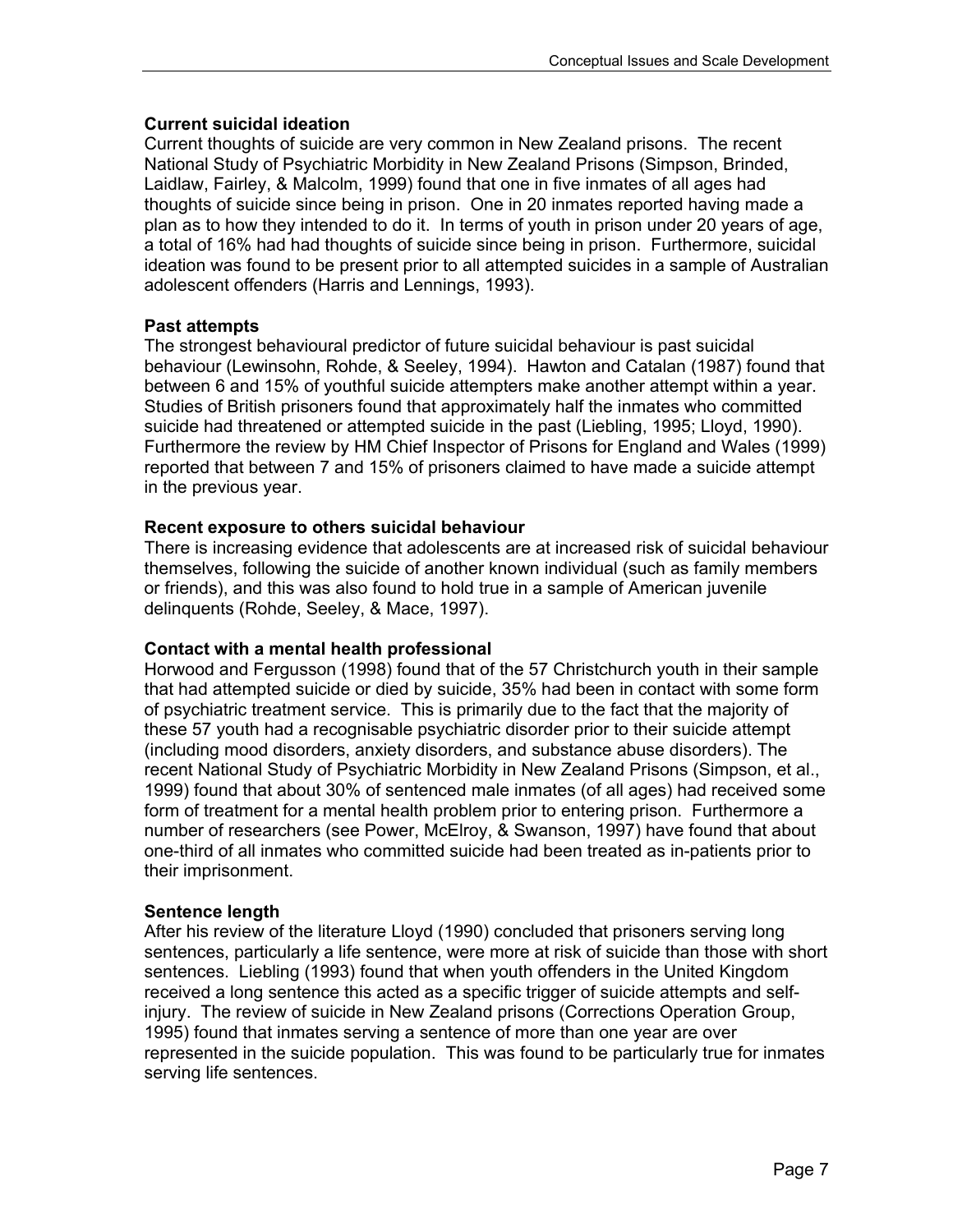#### **Current suicidal ideation**

Current thoughts of suicide are very common in New Zealand prisons. The recent National Study of Psychiatric Morbidity in New Zealand Prisons (Simpson, Brinded, Laidlaw, Fairley, & Malcolm, 1999) found that one in five inmates of all ages had thoughts of suicide since being in prison. One in 20 inmates reported having made a plan as to how they intended to do it. In terms of youth in prison under 20 years of age, a total of 16% had had thoughts of suicide since being in prison. Furthermore, suicidal ideation was found to be present prior to all attempted suicides in a sample of Australian adolescent offenders (Harris and Lennings, 1993).

#### **Past attempts**

The strongest behavioural predictor of future suicidal behaviour is past suicidal behaviour (Lewinsohn, Rohde, & Seeley, 1994). Hawton and Catalan (1987) found that between 6 and 15% of youthful suicide attempters make another attempt within a year. Studies of British prisoners found that approximately half the inmates who committed suicide had threatened or attempted suicide in the past (Liebling, 1995; Lloyd, 1990). Furthermore the review by HM Chief Inspector of Prisons for England and Wales (1999) reported that between 7 and 15% of prisoners claimed to have made a suicide attempt in the previous year.

#### **Recent exposure to others suicidal behaviour**

There is increasing evidence that adolescents are at increased risk of suicidal behaviour themselves, following the suicide of another known individual (such as family members or friends), and this was also found to hold true in a sample of American juvenile delinquents (Rohde, Seeley, & Mace, 1997).

#### **Contact with a mental health professional**

Horwood and Fergusson (1998) found that of the 57 Christchurch youth in their sample that had attempted suicide or died by suicide, 35% had been in contact with some form of psychiatric treatment service. This is primarily due to the fact that the majority of these 57 youth had a recognisable psychiatric disorder prior to their suicide attempt (including mood disorders, anxiety disorders, and substance abuse disorders). The recent National Study of Psychiatric Morbidity in New Zealand Prisons (Simpson, et al., 1999) found that about 30% of sentenced male inmates (of all ages) had received some form of treatment for a mental health problem prior to entering prison. Furthermore a number of researchers (see Power, McElroy, & Swanson, 1997) have found that about one-third of all inmates who committed suicide had been treated as in-patients prior to their imprisonment.

#### **Sentence length**

After his review of the literature Lloyd (1990) concluded that prisoners serving long sentences, particularly a life sentence, were more at risk of suicide than those with short sentences. Liebling (1993) found that when youth offenders in the United Kingdom received a long sentence this acted as a specific trigger of suicide attempts and selfinjury. The review of suicide in New Zealand prisons (Corrections Operation Group, 1995) found that inmates serving a sentence of more than one year are over represented in the suicide population. This was found to be particularly true for inmates serving life sentences.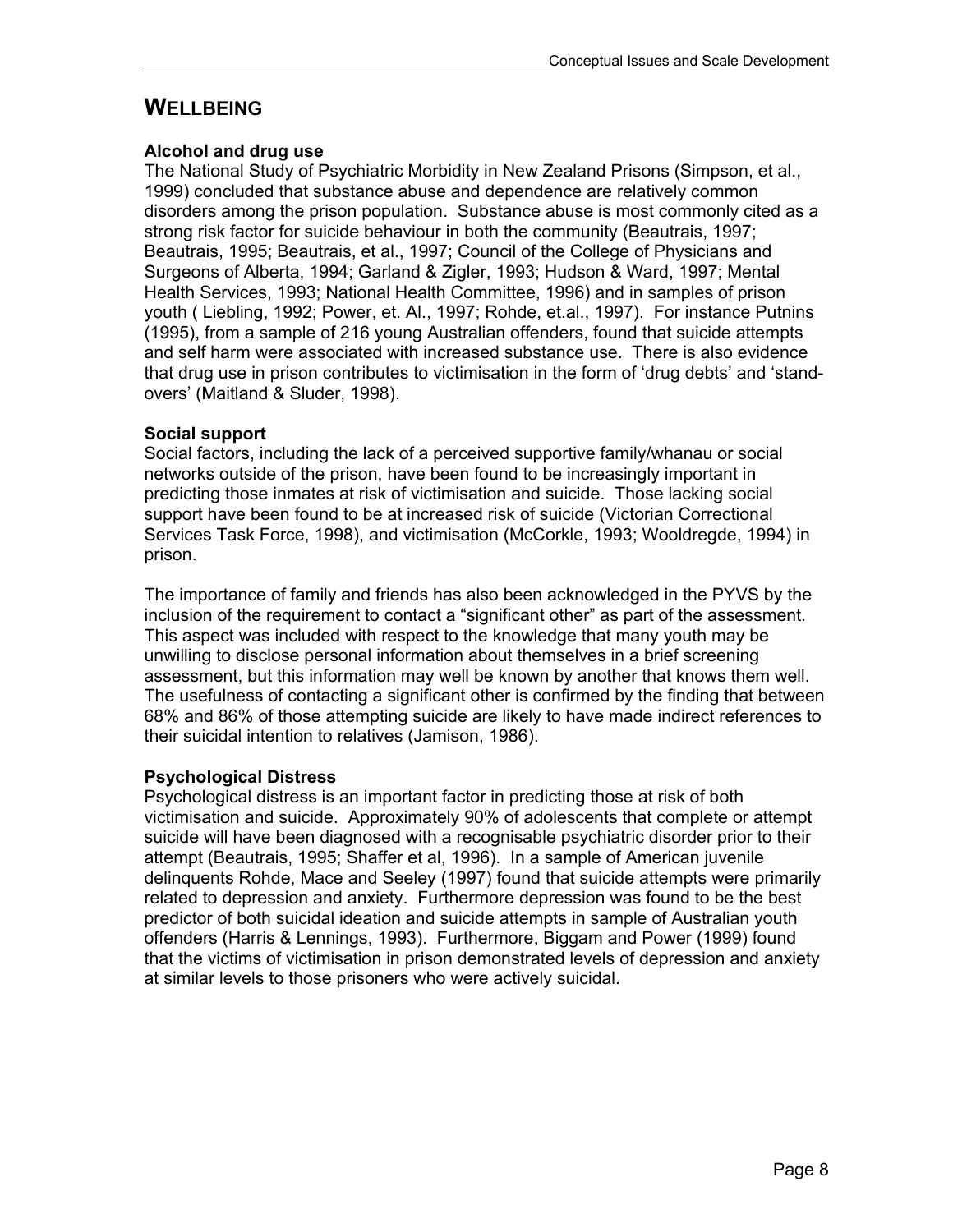## **WELLBEING**

#### **Alcohol and drug use**

The National Study of Psychiatric Morbidity in New Zealand Prisons (Simpson, et al., 1999) concluded that substance abuse and dependence are relatively common disorders among the prison population. Substance abuse is most commonly cited as a strong risk factor for suicide behaviour in both the community (Beautrais, 1997; Beautrais, 1995; Beautrais, et al., 1997; Council of the College of Physicians and Surgeons of Alberta, 1994; Garland & Zigler, 1993; Hudson & Ward, 1997; Mental Health Services, 1993; National Health Committee, 1996) and in samples of prison youth ( Liebling, 1992; Power, et. Al., 1997; Rohde, et.al., 1997). For instance Putnins (1995), from a sample of 216 young Australian offenders, found that suicide attempts and self harm were associated with increased substance use. There is also evidence that drug use in prison contributes to victimisation in the form of 'drug debts' and 'standovers' (Maitland & Sluder, 1998).

#### **Social support**

Social factors, including the lack of a perceived supportive family/whanau or social networks outside of the prison, have been found to be increasingly important in predicting those inmates at risk of victimisation and suicide. Those lacking social support have been found to be at increased risk of suicide (Victorian Correctional Services Task Force, 1998), and victimisation (McCorkle, 1993; Wooldregde, 1994) in prison.

The importance of family and friends has also been acknowledged in the PYVS by the inclusion of the requirement to contact a "significant other" as part of the assessment. This aspect was included with respect to the knowledge that many youth may be unwilling to disclose personal information about themselves in a brief screening assessment, but this information may well be known by another that knows them well. The usefulness of contacting a significant other is confirmed by the finding that between 68% and 86% of those attempting suicide are likely to have made indirect references to their suicidal intention to relatives (Jamison, 1986).

#### **Psychological Distress**

Psychological distress is an important factor in predicting those at risk of both victimisation and suicide. Approximately 90% of adolescents that complete or attempt suicide will have been diagnosed with a recognisable psychiatric disorder prior to their attempt (Beautrais, 1995; Shaffer et al, 1996). In a sample of American juvenile delinquents Rohde, Mace and Seeley (1997) found that suicide attempts were primarily related to depression and anxiety. Furthermore depression was found to be the best predictor of both suicidal ideation and suicide attempts in sample of Australian youth offenders (Harris & Lennings, 1993). Furthermore, Biggam and Power (1999) found that the victims of victimisation in prison demonstrated levels of depression and anxiety at similar levels to those prisoners who were actively suicidal.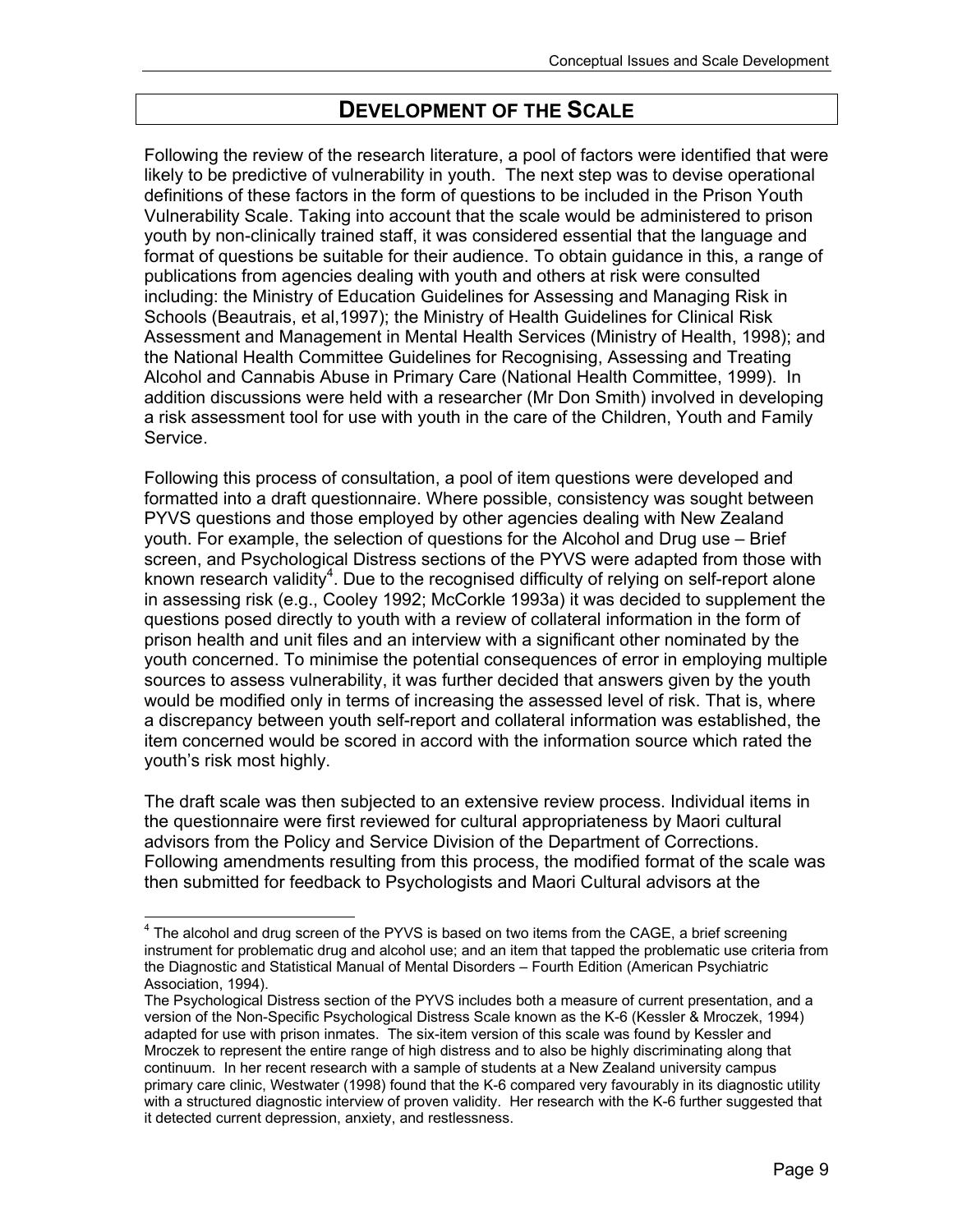## **DEVELOPMENT OF THE SCALE**

Following the review of the research literature, a pool of factors were identified that were likely to be predictive of vulnerability in youth. The next step was to devise operational definitions of these factors in the form of questions to be included in the Prison Youth Vulnerability Scale. Taking into account that the scale would be administered to prison youth by non-clinically trained staff, it was considered essential that the language and format of questions be suitable for their audience. To obtain guidance in this, a range of publications from agencies dealing with youth and others at risk were consulted including: the Ministry of Education Guidelines for Assessing and Managing Risk in Schools (Beautrais, et al,1997); the Ministry of Health Guidelines for Clinical Risk Assessment and Management in Mental Health Services (Ministry of Health, 1998); and the National Health Committee Guidelines for Recognising, Assessing and Treating Alcohol and Cannabis Abuse in Primary Care (National Health Committee, 1999). In addition discussions were held with a researcher (Mr Don Smith) involved in developing a risk assessment tool for use with youth in the care of the Children, Youth and Family Service.

Following this process of consultation, a pool of item questions were developed and formatted into a draft questionnaire. Where possible, consistency was sought between PYVS questions and those employed by other agencies dealing with New Zealand youth. For example, the selection of questions for the Alcohol and Drug use – Brief screen, and Psychological Distress sections of the PYVS were adapted from those with known research validity<sup>4</sup>. Due to the recognised difficulty of relying on self-report alone in assessing risk (e.g., Cooley 1992; McCorkle 1993a) it was decided to supplement the questions posed directly to youth with a review of collateral information in the form of prison health and unit files and an interview with a significant other nominated by the youth concerned. To minimise the potential consequences of error in employing multiple sources to assess vulnerability, it was further decided that answers given by the youth would be modified only in terms of increasing the assessed level of risk. That is, where a discrepancy between youth self-report and collateral information was established, the item concerned would be scored in accord with the information source which rated the youth's risk most highly.

The draft scale was then subjected to an extensive review process. Individual items in the questionnaire were first reviewed for cultural appropriateness by Maori cultural advisors from the Policy and Service Division of the Department of Corrections. Following amendments resulting from this process, the modified format of the scale was then submitted for feedback to Psychologists and Maori Cultural advisors at the

 $\overline{a}$ 

 $4$  The alcohol and drug screen of the PYVS is based on two items from the CAGE, a brief screening instrument for problematic drug and alcohol use; and an item that tapped the problematic use criteria from the Diagnostic and Statistical Manual of Mental Disorders – Fourth Edition (American Psychiatric Association, 1994).

The Psychological Distress section of the PYVS includes both a measure of current presentation, and a version of the Non-Specific Psychological Distress Scale known as the K-6 (Kessler & Mroczek, 1994) adapted for use with prison inmates. The six-item version of this scale was found by Kessler and Mroczek to represent the entire range of high distress and to also be highly discriminating along that continuum. In her recent research with a sample of students at a New Zealand university campus primary care clinic, Westwater (1998) found that the K-6 compared very favourably in its diagnostic utility with a structured diagnostic interview of proven validity. Her research with the K-6 further suggested that it detected current depression, anxiety, and restlessness.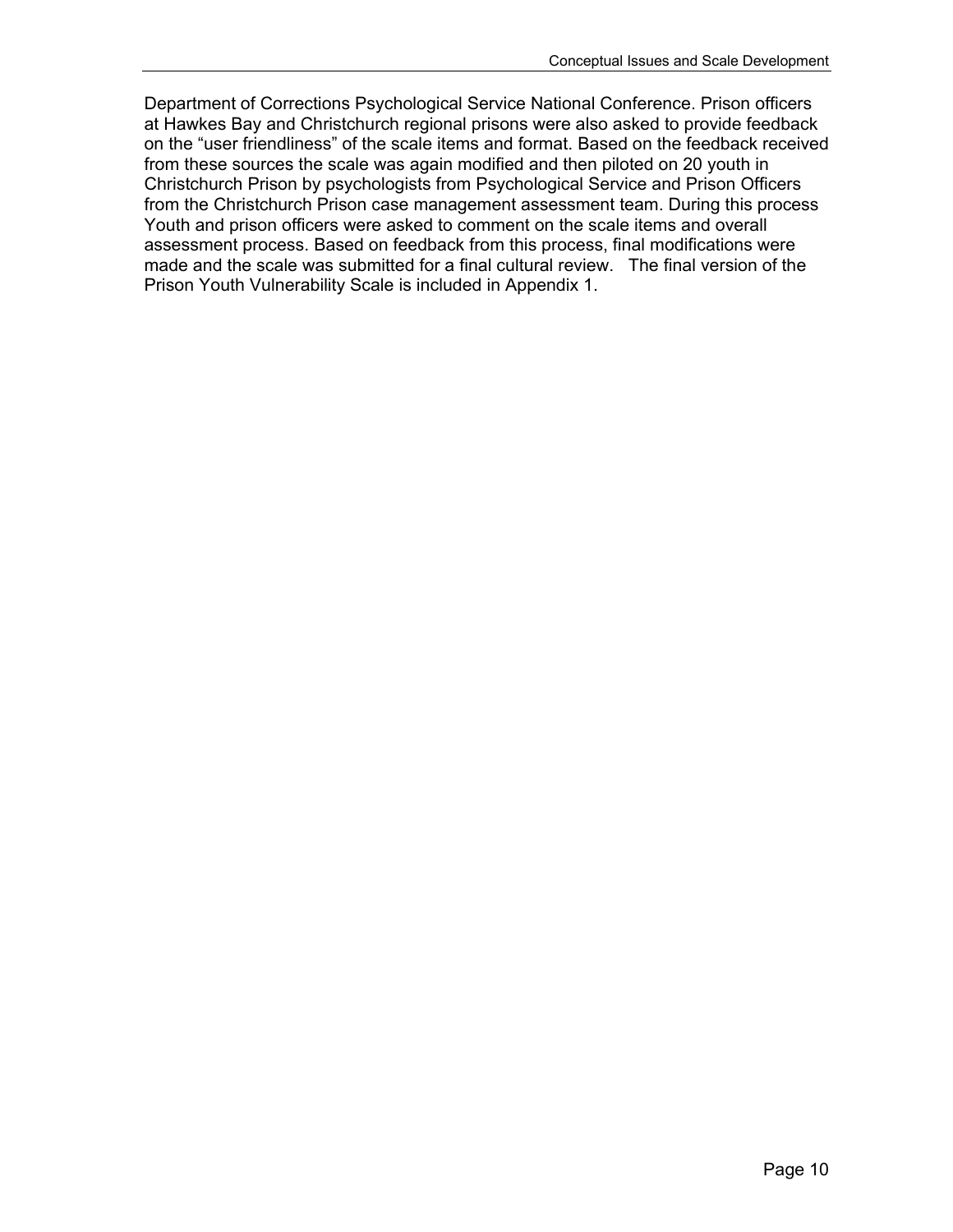Department of Corrections Psychological Service National Conference. Prison officers at Hawkes Bay and Christchurch regional prisons were also asked to provide feedback on the "user friendliness" of the scale items and format. Based on the feedback received from these sources the scale was again modified and then piloted on 20 youth in Christchurch Prison by psychologists from Psychological Service and Prison Officers from the Christchurch Prison case management assessment team. During this process Youth and prison officers were asked to comment on the scale items and overall assessment process. Based on feedback from this process, final modifications were made and the scale was submitted for a final cultural review. The final version of the Prison Youth Vulnerability Scale is included in Appendix 1.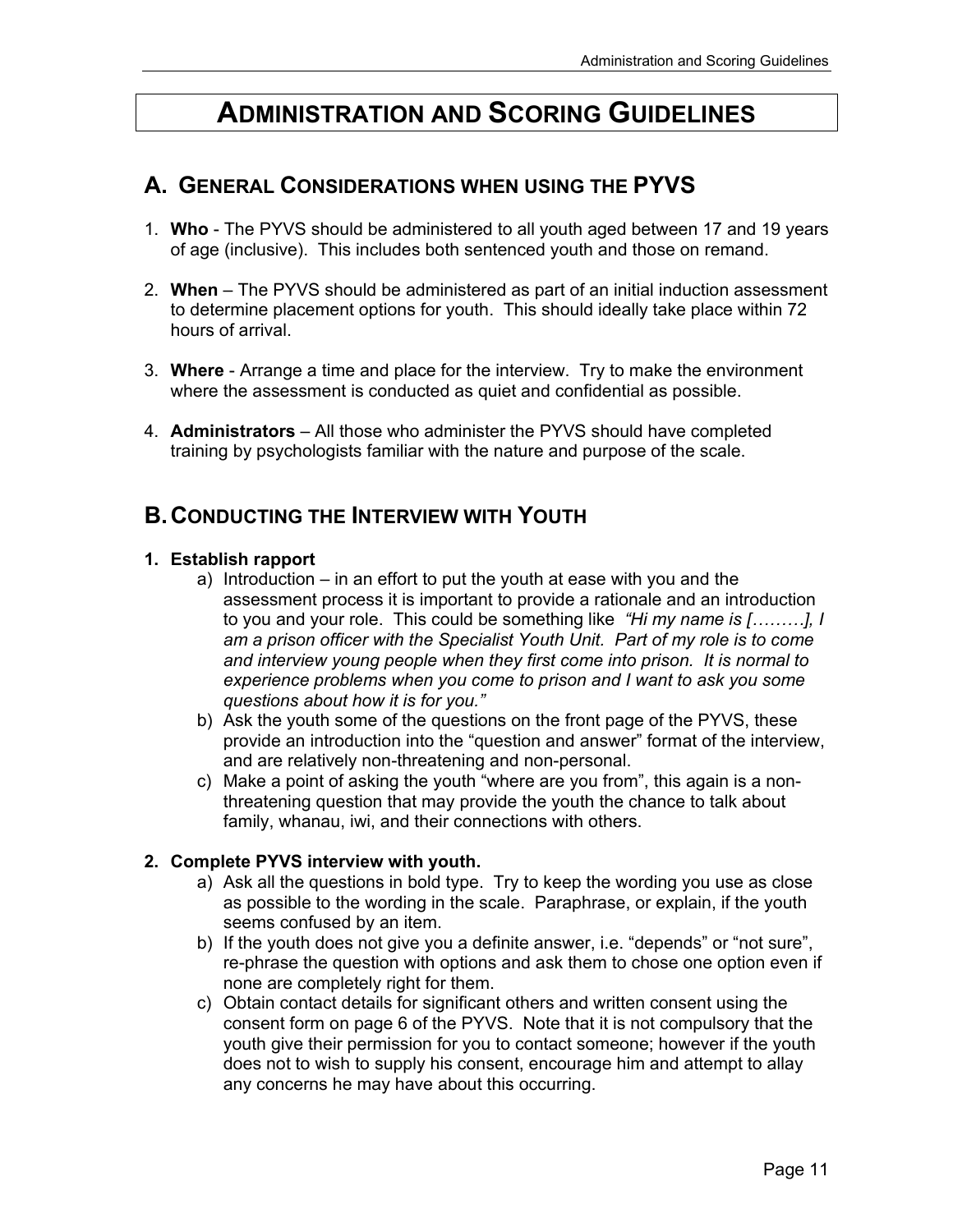## **ADMINISTRATION AND SCORING GUIDELINES**

## **A. GENERAL CONSIDERATIONS WHEN USING THE PYVS**

- 1. **Who** The PYVS should be administered to all youth aged between 17 and 19 years of age (inclusive). This includes both sentenced youth and those on remand.
- 2. **When** The PYVS should be administered as part of an initial induction assessment to determine placement options for youth. This should ideally take place within 72 hours of arrival.
- 3. **Where** Arrange a time and place for the interview. Try to make the environment where the assessment is conducted as quiet and confidential as possible.
- 4. **Administrators**  All those who administer the PYVS should have completed training by psychologists familiar with the nature and purpose of the scale.

### **B. CONDUCTING THE INTERVIEW WITH YOUTH**

#### **1. Establish rapport**

- a) Introduction in an effort to put the youth at ease with you and the assessment process it is important to provide a rationale and an introduction to you and your role. This could be something like *"Hi my name is [………], I am a prison officer with the Specialist Youth Unit. Part of my role is to come and interview young people when they first come into prison. It is normal to experience problems when you come to prison and I want to ask you some questions about how it is for you."*
- b) Ask the youth some of the questions on the front page of the PYVS, these provide an introduction into the "question and answer" format of the interview, and are relatively non-threatening and non-personal.
- c) Make a point of asking the youth "where are you from", this again is a nonthreatening question that may provide the youth the chance to talk about family, whanau, iwi, and their connections with others.

#### **2. Complete PYVS interview with youth.**

- a) Ask all the questions in bold type. Try to keep the wording you use as close as possible to the wording in the scale. Paraphrase, or explain, if the youth seems confused by an item.
- b) If the youth does not give you a definite answer, i.e. "depends" or "not sure", re-phrase the question with options and ask them to chose one option even if none are completely right for them.
- c) Obtain contact details for significant others and written consent using the consent form on page 6 of the PYVS. Note that it is not compulsory that the youth give their permission for you to contact someone; however if the youth does not to wish to supply his consent, encourage him and attempt to allay any concerns he may have about this occurring.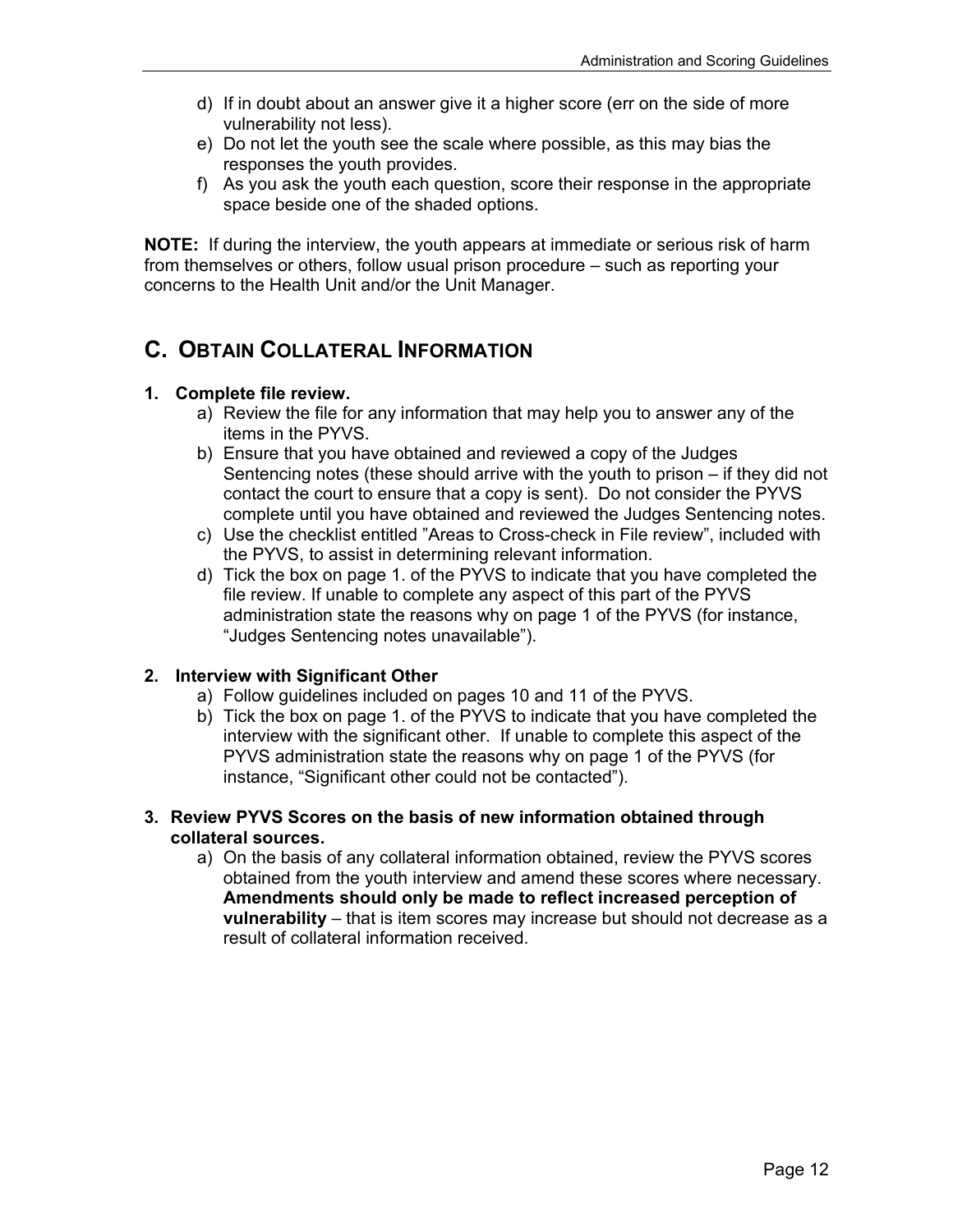- d) If in doubt about an answer give it a higher score (err on the side of more vulnerability not less).
- e) Do not let the youth see the scale where possible, as this may bias the responses the youth provides.
- f) As you ask the youth each question, score their response in the appropriate space beside one of the shaded options.

**NOTE:** If during the interview, the youth appears at immediate or serious risk of harm from themselves or others, follow usual prison procedure – such as reporting your concerns to the Health Unit and/or the Unit Manager.

## **C. OBTAIN COLLATERAL INFORMATION**

#### **1. Complete file review.**

- a) Review the file for any information that may help you to answer any of the items in the PYVS.
- b) Ensure that you have obtained and reviewed a copy of the Judges Sentencing notes (these should arrive with the youth to prison – if they did not contact the court to ensure that a copy is sent). Do not consider the PYVS complete until you have obtained and reviewed the Judges Sentencing notes.
- c) Use the checklist entitled "Areas to Cross-check in File review", included with the PYVS, to assist in determining relevant information.
- d) Tick the box on page 1. of the PYVS to indicate that you have completed the file review. If unable to complete any aspect of this part of the PYVS administration state the reasons why on page 1 of the PYVS (for instance, "Judges Sentencing notes unavailable").

#### **2. Interview with Significant Other**

- a) Follow guidelines included on pages 10 and 11 of the PYVS.
- b) Tick the box on page 1. of the PYVS to indicate that you have completed the interview with the significant other. If unable to complete this aspect of the PYVS administration state the reasons why on page 1 of the PYVS (for instance, "Significant other could not be contacted").

#### **3. Review PYVS Scores on the basis of new information obtained through collateral sources.**

a) On the basis of any collateral information obtained, review the PYVS scores obtained from the youth interview and amend these scores where necessary. **Amendments should only be made to reflect increased perception of vulnerability** – that is item scores may increase but should not decrease as a result of collateral information received.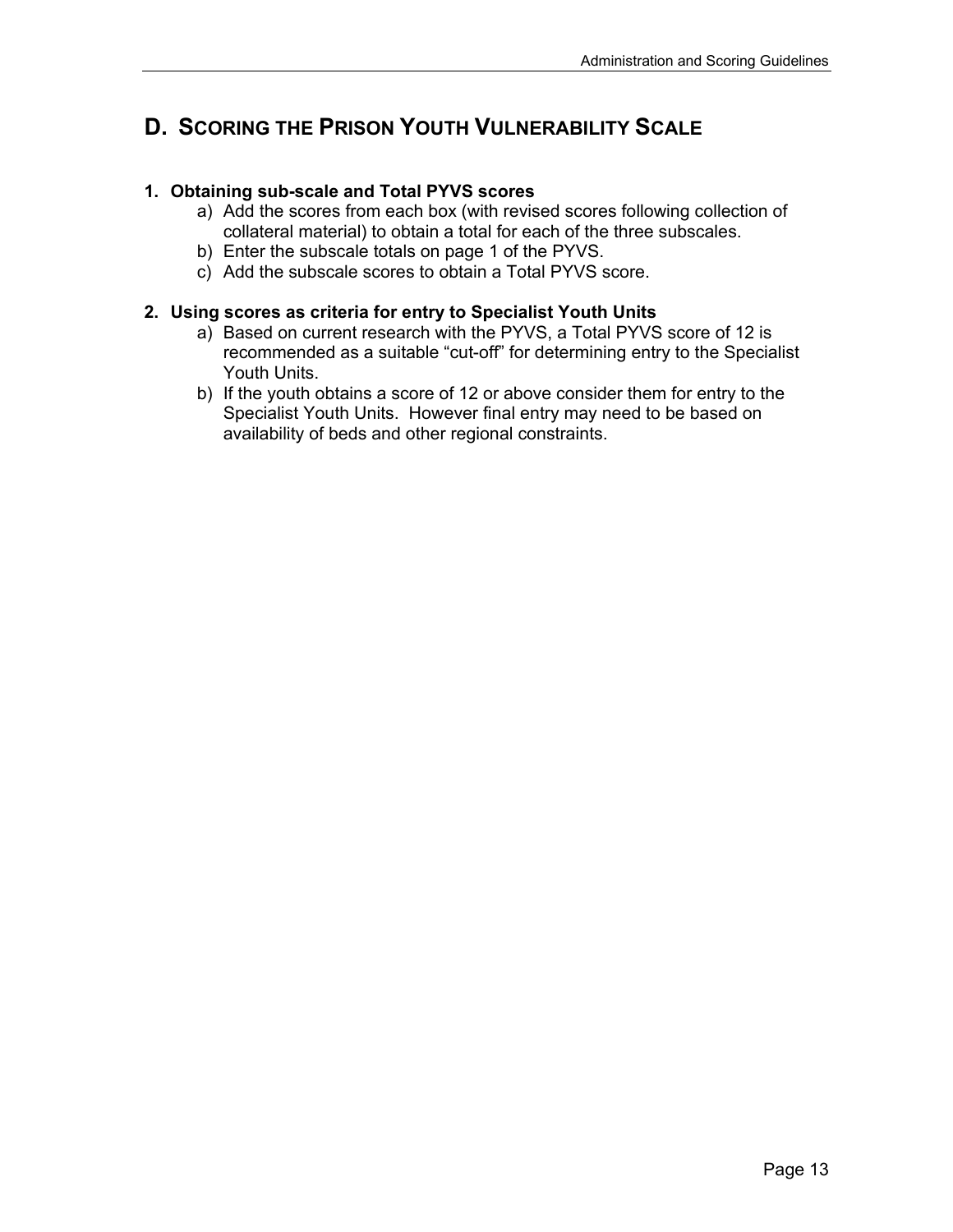## **D. SCORING THE PRISON YOUTH VULNERABILITY SCALE**

#### **1. Obtaining sub-scale and Total PYVS scores**

- a) Add the scores from each box (with revised scores following collection of collateral material) to obtain a total for each of the three subscales.
- b) Enter the subscale totals on page 1 of the PYVS.
- c) Add the subscale scores to obtain a Total PYVS score.

#### **2. Using scores as criteria for entry to Specialist Youth Units**

- a) Based on current research with the PYVS, a Total PYVS score of 12 is recommended as a suitable "cut-off" for determining entry to the Specialist Youth Units.
- b) If the youth obtains a score of 12 or above consider them for entry to the Specialist Youth Units. However final entry may need to be based on availability of beds and other regional constraints.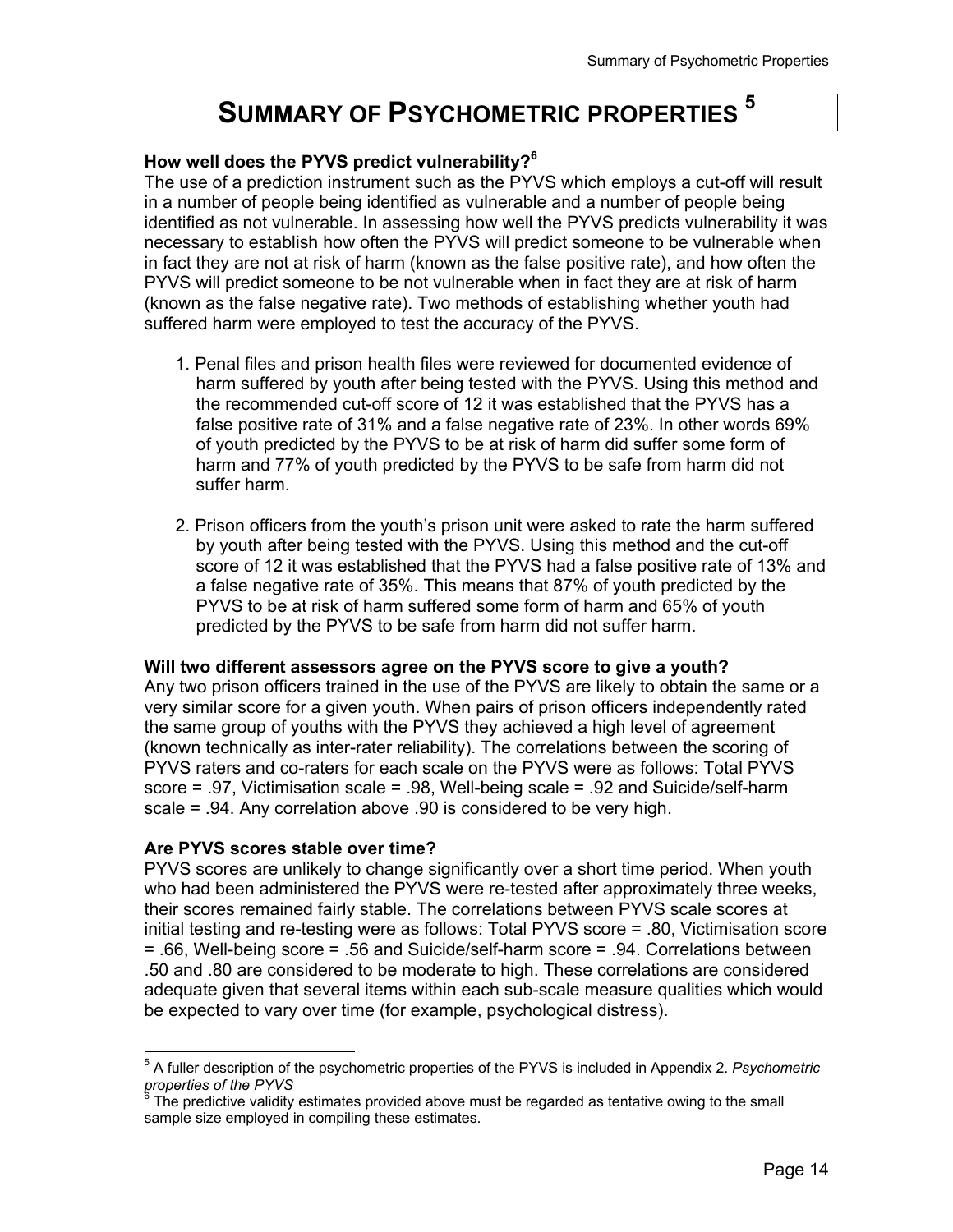## **SUMMARY OF PSYCHOMETRIC PROPERTIES**

#### **How well does the PYVS predict vulnerability?<sup>6</sup>**

The use of a prediction instrument such as the PYVS which employs a cut-off will result in a number of people being identified as vulnerable and a number of people being identified as not vulnerable. In assessing how well the PYVS predicts vulnerability it was necessary to establish how often the PYVS will predict someone to be vulnerable when in fact they are not at risk of harm (known as the false positive rate), and how often the PYVS will predict someone to be not vulnerable when in fact they are at risk of harm (known as the false negative rate). Two methods of establishing whether youth had suffered harm were employed to test the accuracy of the PYVS.

- 1. Penal files and prison health files were reviewed for documented evidence of harm suffered by youth after being tested with the PYVS. Using this method and the recommended cut-off score of 12 it was established that the PYVS has a false positive rate of 31% and a false negative rate of 23%. In other words 69% of youth predicted by the PYVS to be at risk of harm did suffer some form of harm and 77% of youth predicted by the PYVS to be safe from harm did not suffer harm.
- 2. Prison officers from the youth's prison unit were asked to rate the harm suffered by youth after being tested with the PYVS. Using this method and the cut-off score of 12 it was established that the PYVS had a false positive rate of 13% and a false negative rate of 35%. This means that 87% of youth predicted by the PYVS to be at risk of harm suffered some form of harm and 65% of youth predicted by the PYVS to be safe from harm did not suffer harm.

#### **Will two different assessors agree on the PYVS score to give a youth?**

Any two prison officers trained in the use of the PYVS are likely to obtain the same or a very similar score for a given youth. When pairs of prison officers independently rated the same group of youths with the PYVS they achieved a high level of agreement (known technically as inter-rater reliability). The correlations between the scoring of PYVS raters and co-raters for each scale on the PYVS were as follows: Total PYVS score = .97, Victimisation scale = .98, Well-being scale = .92 and Suicide/self-harm scale = .94. Any correlation above .90 is considered to be very high.

#### **Are PYVS scores stable over time?**

PYVS scores are unlikely to change significantly over a short time period. When youth who had been administered the PYVS were re-tested after approximately three weeks, their scores remained fairly stable. The correlations between PYVS scale scores at initial testing and re-testing were as follows: Total PYVS score = .80, Victimisation score = .66, Well-being score = .56 and Suicide/self-harm score = .94. Correlations between .50 and .80 are considered to be moderate to high. These correlations are considered adequate given that several items within each sub-scale measure qualities which would be expected to vary over time (for example, psychological distress).

 $\overline{a}$ 5 A fuller description of the psychometric properties of the PYVS is included in Appendix 2. *Psychometric properties of the PYVS* 6

The predictive validity estimates provided above must be regarded as tentative owing to the small sample size employed in compiling these estimates.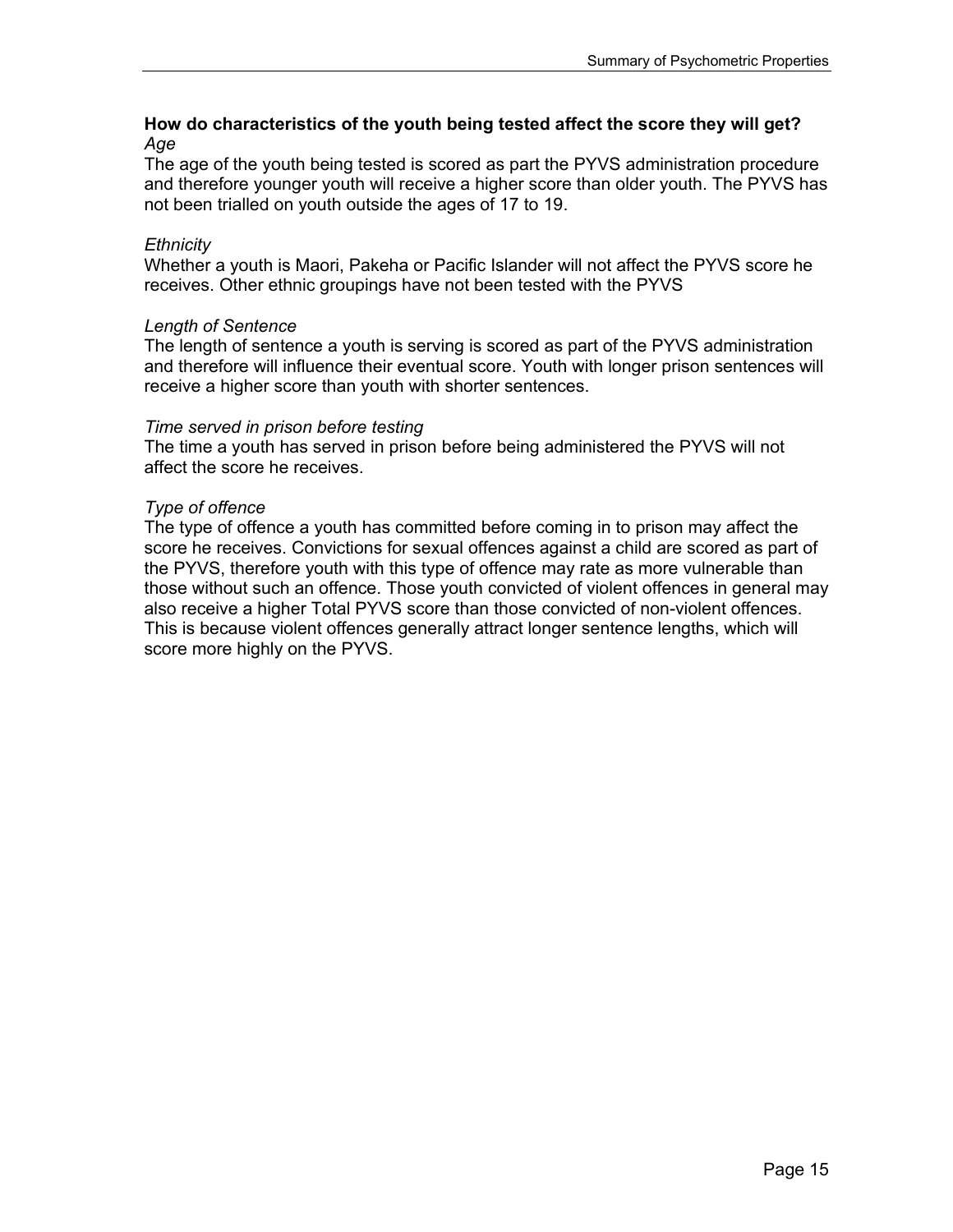#### **How do characteristics of the youth being tested affect the score they will get?**  *Age*

The age of the youth being tested is scored as part the PYVS administration procedure and therefore younger youth will receive a higher score than older youth. The PYVS has not been trialled on youth outside the ages of 17 to 19.

#### *Ethnicity*

Whether a youth is Maori, Pakeha or Pacific Islander will not affect the PYVS score he receives. Other ethnic groupings have not been tested with the PYVS

#### *Length of Sentence*

The length of sentence a youth is serving is scored as part of the PYVS administration and therefore will influence their eventual score. Youth with longer prison sentences will receive a higher score than youth with shorter sentences.

#### *Time served in prison before testing*

The time a youth has served in prison before being administered the PYVS will not affect the score he receives.

#### *Type of offence*

The type of offence a youth has committed before coming in to prison may affect the score he receives. Convictions for sexual offences against a child are scored as part of the PYVS, therefore youth with this type of offence may rate as more vulnerable than those without such an offence. Those youth convicted of violent offences in general may also receive a higher Total PYVS score than those convicted of non-violent offences. This is because violent offences generally attract longer sentence lengths, which will score more highly on the PYVS.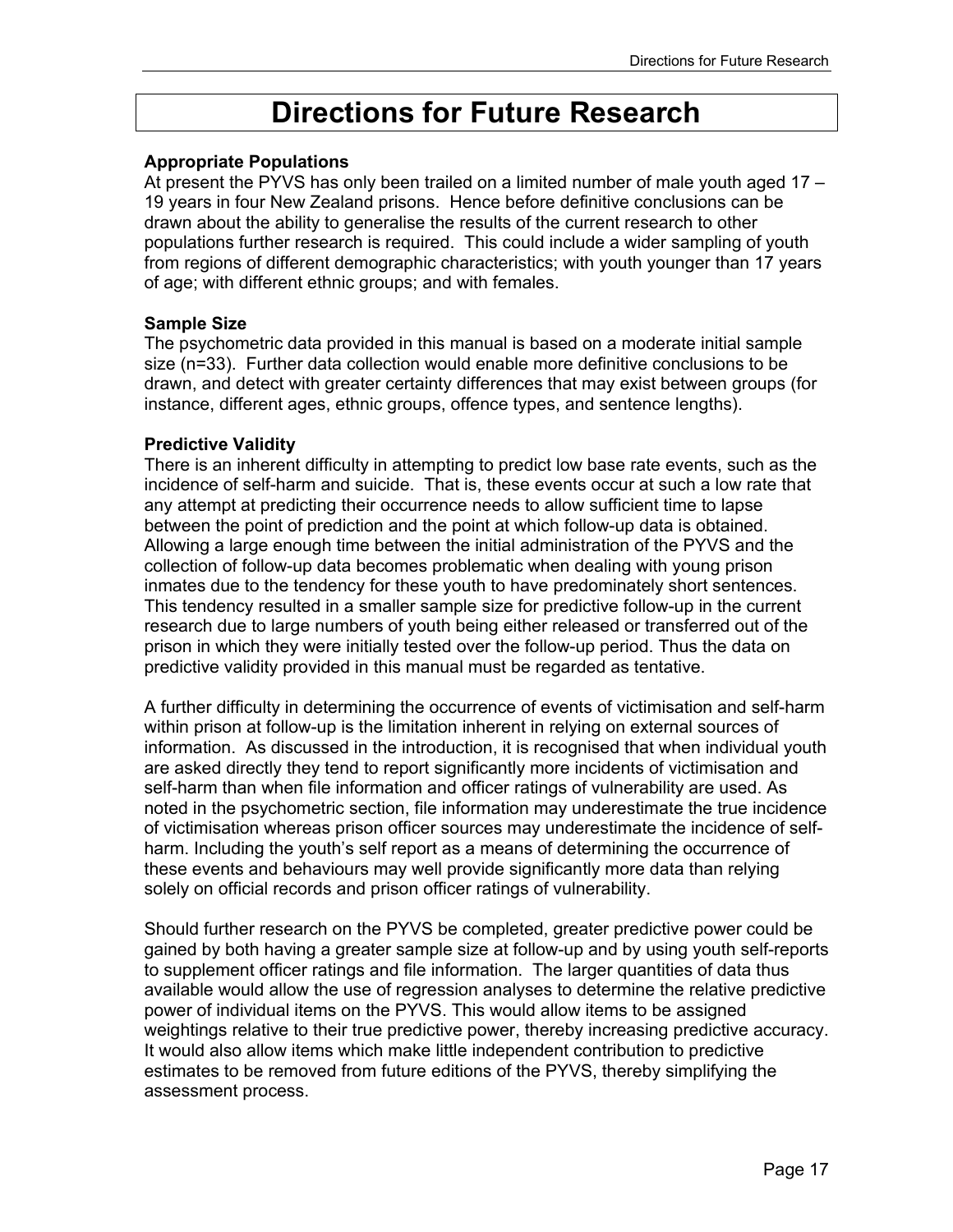## **Directions for Future Research**

#### **Appropriate Populations**

At present the PYVS has only been trailed on a limited number of male youth aged 17 – 19 years in four New Zealand prisons. Hence before definitive conclusions can be drawn about the ability to generalise the results of the current research to other populations further research is required. This could include a wider sampling of youth from regions of different demographic characteristics; with youth younger than 17 years of age; with different ethnic groups; and with females.

#### **Sample Size**

The psychometric data provided in this manual is based on a moderate initial sample size (n=33). Further data collection would enable more definitive conclusions to be drawn, and detect with greater certainty differences that may exist between groups (for instance, different ages, ethnic groups, offence types, and sentence lengths).

#### **Predictive Validity**

There is an inherent difficulty in attempting to predict low base rate events, such as the incidence of self-harm and suicide. That is, these events occur at such a low rate that any attempt at predicting their occurrence needs to allow sufficient time to lapse between the point of prediction and the point at which follow-up data is obtained. Allowing a large enough time between the initial administration of the PYVS and the collection of follow-up data becomes problematic when dealing with young prison inmates due to the tendency for these youth to have predominately short sentences. This tendency resulted in a smaller sample size for predictive follow-up in the current research due to large numbers of youth being either released or transferred out of the prison in which they were initially tested over the follow-up period. Thus the data on predictive validity provided in this manual must be regarded as tentative.

A further difficulty in determining the occurrence of events of victimisation and self-harm within prison at follow-up is the limitation inherent in relying on external sources of information. As discussed in the introduction, it is recognised that when individual youth are asked directly they tend to report significantly more incidents of victimisation and self-harm than when file information and officer ratings of vulnerability are used. As noted in the psychometric section, file information may underestimate the true incidence of victimisation whereas prison officer sources may underestimate the incidence of selfharm. Including the youth's self report as a means of determining the occurrence of these events and behaviours may well provide significantly more data than relying solely on official records and prison officer ratings of vulnerability.

Should further research on the PYVS be completed, greater predictive power could be gained by both having a greater sample size at follow-up and by using youth self-reports to supplement officer ratings and file information. The larger quantities of data thus available would allow the use of regression analyses to determine the relative predictive power of individual items on the PYVS. This would allow items to be assigned weightings relative to their true predictive power, thereby increasing predictive accuracy. It would also allow items which make little independent contribution to predictive estimates to be removed from future editions of the PYVS, thereby simplifying the assessment process.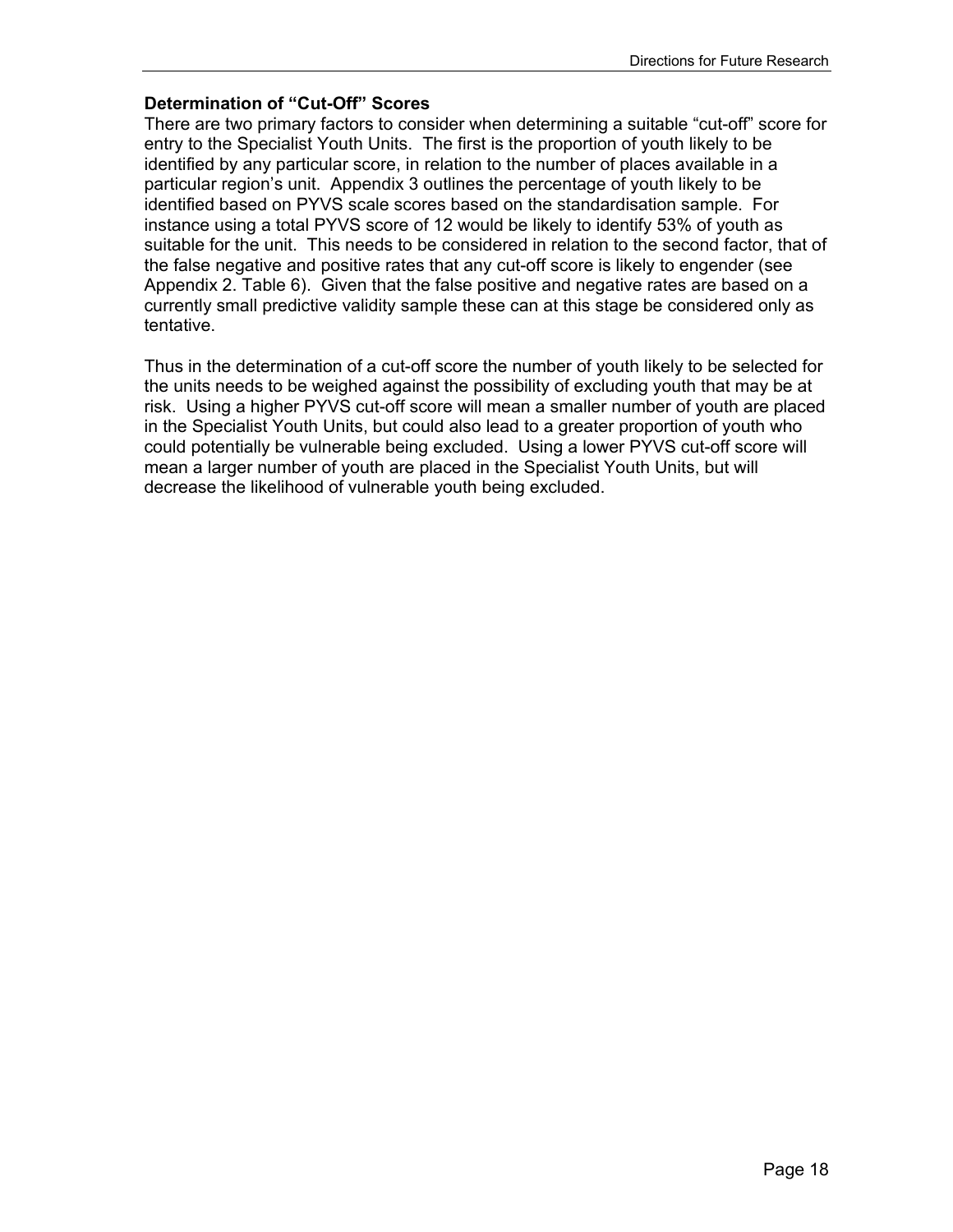#### **Determination of "Cut-Off" Scores**

There are two primary factors to consider when determining a suitable "cut-off" score for entry to the Specialist Youth Units. The first is the proportion of youth likely to be identified by any particular score, in relation to the number of places available in a particular region's unit. Appendix 3 outlines the percentage of youth likely to be identified based on PYVS scale scores based on the standardisation sample. For instance using a total PYVS score of 12 would be likely to identify 53% of youth as suitable for the unit. This needs to be considered in relation to the second factor, that of the false negative and positive rates that any cut-off score is likely to engender (see Appendix 2. Table 6). Given that the false positive and negative rates are based on a currently small predictive validity sample these can at this stage be considered only as tentative.

Thus in the determination of a cut-off score the number of youth likely to be selected for the units needs to be weighed against the possibility of excluding youth that may be at risk. Using a higher PYVS cut-off score will mean a smaller number of youth are placed in the Specialist Youth Units, but could also lead to a greater proportion of youth who could potentially be vulnerable being excluded. Using a lower PYVS cut-off score will mean a larger number of youth are placed in the Specialist Youth Units, but will decrease the likelihood of vulnerable youth being excluded.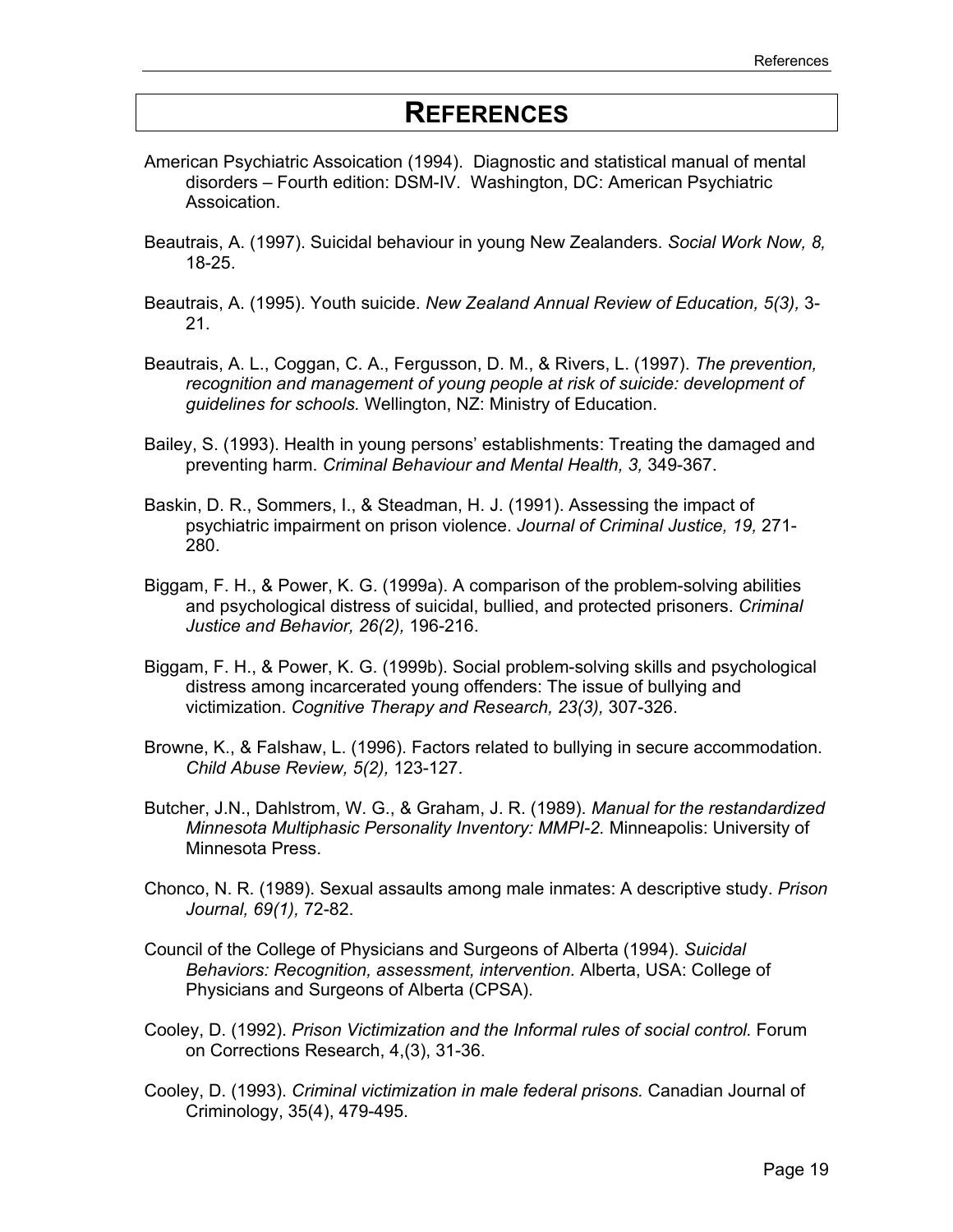## **REFERENCES**

- American Psychiatric Assoication (1994). Diagnostic and statistical manual of mental disorders – Fourth edition: DSM-IV. Washington, DC: American Psychiatric Assoication.
- Beautrais, A. (1997). Suicidal behaviour in young New Zealanders. *Social Work Now, 8,* 18-25.
- Beautrais, A. (1995). Youth suicide. *New Zealand Annual Review of Education, 5(3),* 3- 21.
- Beautrais, A. L., Coggan, C. A., Fergusson, D. M., & Rivers, L. (1997). *The prevention, recognition and management of young people at risk of suicide: development of guidelines for schools.* Wellington, NZ: Ministry of Education.
- Bailey, S. (1993). Health in young persons' establishments: Treating the damaged and preventing harm. *Criminal Behaviour and Mental Health, 3,* 349-367.
- Baskin, D. R., Sommers, I., & Steadman, H. J. (1991). Assessing the impact of psychiatric impairment on prison violence. *Journal of Criminal Justice, 19,* 271- 280.
- Biggam, F. H., & Power, K. G. (1999a). A comparison of the problem-solving abilities and psychological distress of suicidal, bullied, and protected prisoners. *Criminal Justice and Behavior, 26(2),* 196-216.
- Biggam, F. H., & Power, K. G. (1999b). Social problem-solving skills and psychological distress among incarcerated young offenders: The issue of bullying and victimization. *Cognitive Therapy and Research, 23(3),* 307-326.
- Browne, K., & Falshaw, L. (1996). Factors related to bullying in secure accommodation. *Child Abuse Review, 5(2),* 123-127.
- Butcher, J.N., Dahlstrom, W. G., & Graham, J. R. (1989). *Manual for the restandardized Minnesota Multiphasic Personality Inventory: MMPI-2.* Minneapolis: University of Minnesota Press.
- Chonco, N. R. (1989). Sexual assaults among male inmates: A descriptive study. *Prison Journal, 69(1),* 72-82.
- Council of the College of Physicians and Surgeons of Alberta (1994). *Suicidal Behaviors: Recognition, assessment, intervention.* Alberta, USA: College of Physicians and Surgeons of Alberta (CPSA).
- Cooley, D. (1992). *Prison Victimization and the Informal rules of social control.* Forum on Corrections Research, 4,(3), 31-36.
- Cooley, D. (1993). *Criminal victimization in male federal prisons.* Canadian Journal of Criminology, 35(4), 479-495.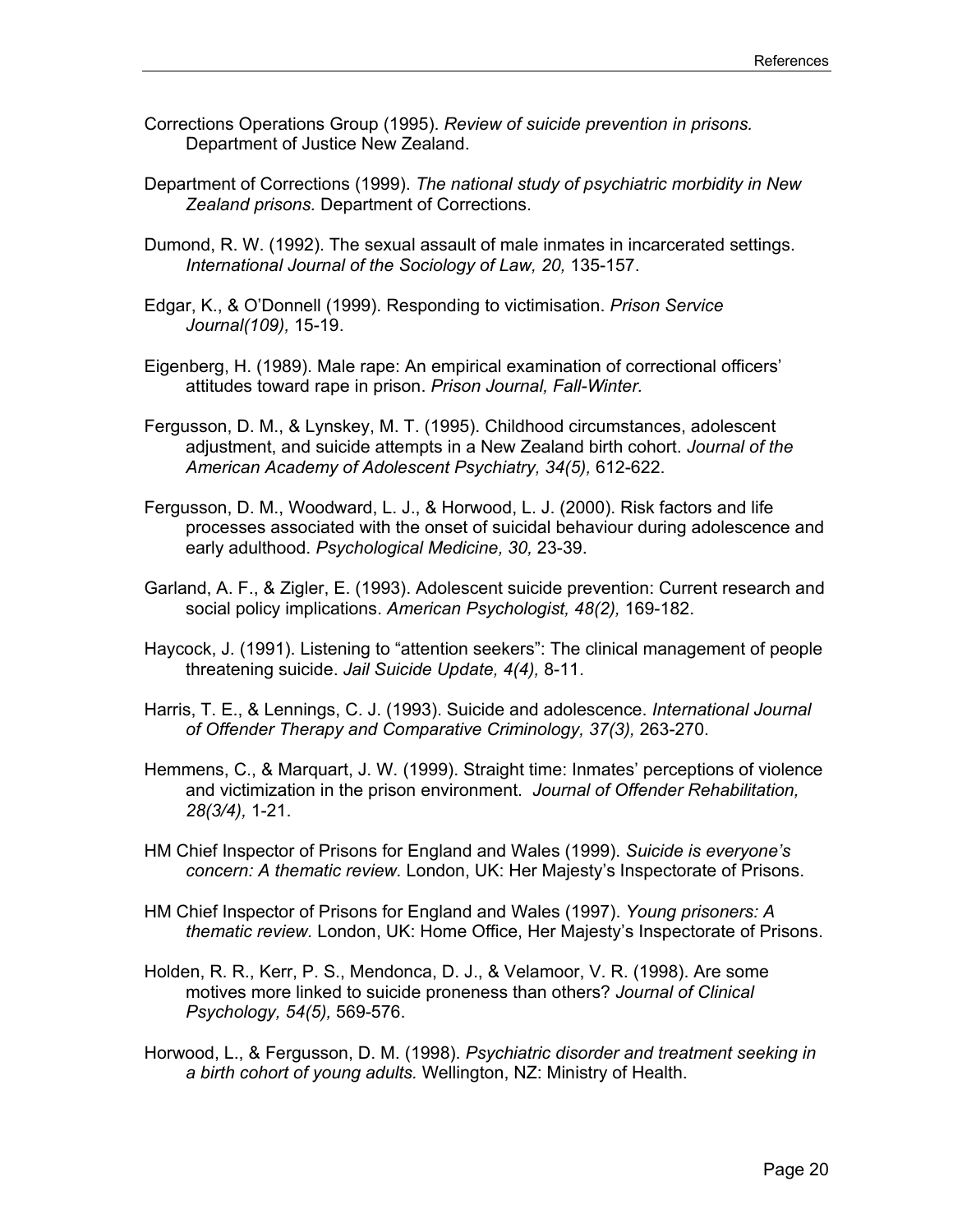- Corrections Operations Group (1995). *Review of suicide prevention in prisons.* Department of Justice New Zealand.
- Department of Corrections (1999). *The national study of psychiatric morbidity in New Zealand prisons.* Department of Corrections.
- Dumond, R. W. (1992). The sexual assault of male inmates in incarcerated settings. *International Journal of the Sociology of Law, 20,* 135-157.
- Edgar, K., & O'Donnell (1999). Responding to victimisation. *Prison Service Journal(109),* 15-19.
- Eigenberg, H. (1989). Male rape: An empirical examination of correctional officers' attitudes toward rape in prison. *Prison Journal, Fall-Winter.*
- Fergusson, D. M., & Lynskey, M. T. (1995). Childhood circumstances, adolescent adjustment, and suicide attempts in a New Zealand birth cohort. *Journal of the American Academy of Adolescent Psychiatry, 34(5),* 612-622.
- Fergusson, D. M., Woodward, L. J., & Horwood, L. J. (2000). Risk factors and life processes associated with the onset of suicidal behaviour during adolescence and early adulthood. *Psychological Medicine, 30,* 23-39.
- Garland, A. F., & Zigler, E. (1993). Adolescent suicide prevention: Current research and social policy implications. *American Psychologist, 48(2),* 169-182.
- Haycock, J. (1991). Listening to "attention seekers": The clinical management of people threatening suicide. *Jail Suicide Update, 4(4),* 8-11.
- Harris, T. E., & Lennings, C. J. (1993). Suicide and adolescence. *International Journal of Offender Therapy and Comparative Criminology, 37(3),* 263-270.
- Hemmens, C., & Marquart, J. W. (1999). Straight time: Inmates' perceptions of violence and victimization in the prison environment. *Journal of Offender Rehabilitation, 28(3/4),* 1-21.
- HM Chief Inspector of Prisons for England and Wales (1999). *Suicide is everyone's concern: A thematic review.* London, UK: Her Majesty's Inspectorate of Prisons.
- HM Chief Inspector of Prisons for England and Wales (1997). *Young prisoners: A thematic review.* London, UK: Home Office, Her Majesty's Inspectorate of Prisons.
- Holden, R. R., Kerr, P. S., Mendonca, D. J., & Velamoor, V. R. (1998). Are some motives more linked to suicide proneness than others? *Journal of Clinical Psychology, 54(5),* 569-576.
- Horwood, L., & Fergusson, D. M. (1998). *Psychiatric disorder and treatment seeking in a birth cohort of young adults.* Wellington, NZ: Ministry of Health.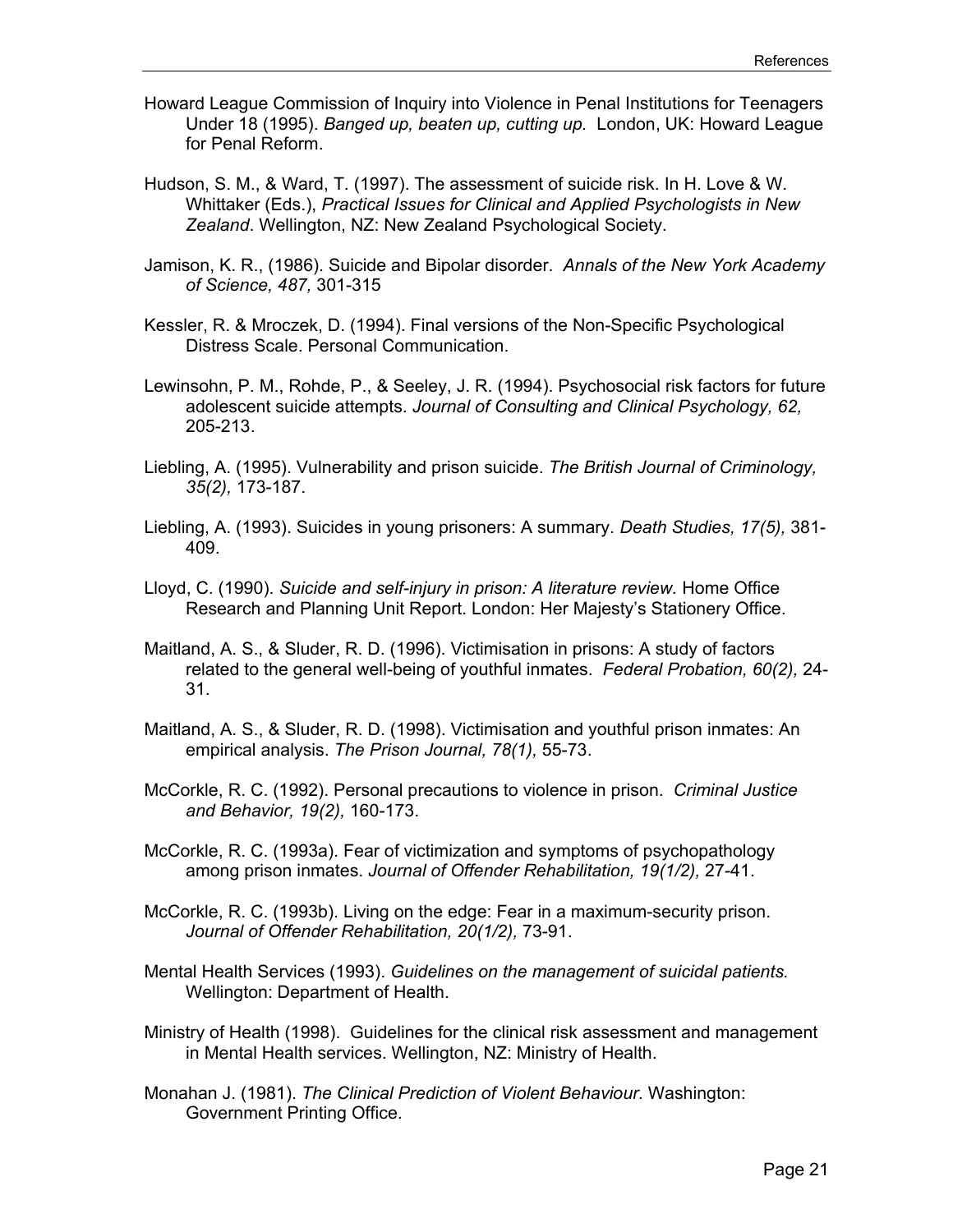- Howard League Commission of Inquiry into Violence in Penal Institutions for Teenagers Under 18 (1995). *Banged up, beaten up, cutting up.* London, UK: Howard League for Penal Reform.
- Hudson, S. M., & Ward, T. (1997). The assessment of suicide risk. In H. Love & W. Whittaker (Eds.), *Practical Issues for Clinical and Applied Psychologists in New Zealand*. Wellington, NZ: New Zealand Psychological Society.
- Jamison, K. R., (1986). Suicide and Bipolar disorder. *Annals of the New York Academy of Science, 487,* 301-315
- Kessler, R. & Mroczek, D. (1994). Final versions of the Non-Specific Psychological Distress Scale. Personal Communication.
- Lewinsohn, P. M., Rohde, P., & Seeley, J. R. (1994). Psychosocial risk factors for future adolescent suicide attempts. *Journal of Consulting and Clinical Psychology, 62,* 205-213.
- Liebling, A. (1995). Vulnerability and prison suicide. *The British Journal of Criminology, 35(2),* 173-187.
- Liebling, A. (1993). Suicides in young prisoners: A summary. *Death Studies, 17(5),* 381- 409.
- Lloyd, C. (1990). *Suicide and self-injury in prison: A literature review.* Home Office Research and Planning Unit Report. London: Her Majesty's Stationery Office.
- Maitland, A. S., & Sluder, R. D. (1996). Victimisation in prisons: A study of factors related to the general well-being of youthful inmates. *Federal Probation, 60(2),* 24- 31.
- Maitland, A. S., & Sluder, R. D. (1998). Victimisation and youthful prison inmates: An empirical analysis. *The Prison Journal, 78(1),* 55-73.
- McCorkle, R. C. (1992). Personal precautions to violence in prison. *Criminal Justice and Behavior, 19(2),* 160-173.
- McCorkle, R. C. (1993a). Fear of victimization and symptoms of psychopathology among prison inmates. *Journal of Offender Rehabilitation, 19(1/2),* 27-41.
- McCorkle, R. C. (1993b). Living on the edge: Fear in a maximum-security prison. *Journal of Offender Rehabilitation, 20(1/2),* 73-91.
- Mental Health Services (1993). *Guidelines on the management of suicidal patients.* Wellington: Department of Health.
- Ministry of Health (1998). Guidelines for the clinical risk assessment and management in Mental Health services. Wellington, NZ: Ministry of Health.
- Monahan J. (1981). *The Clinical Prediction of Violent Behaviour.* Washington: Government Printing Office.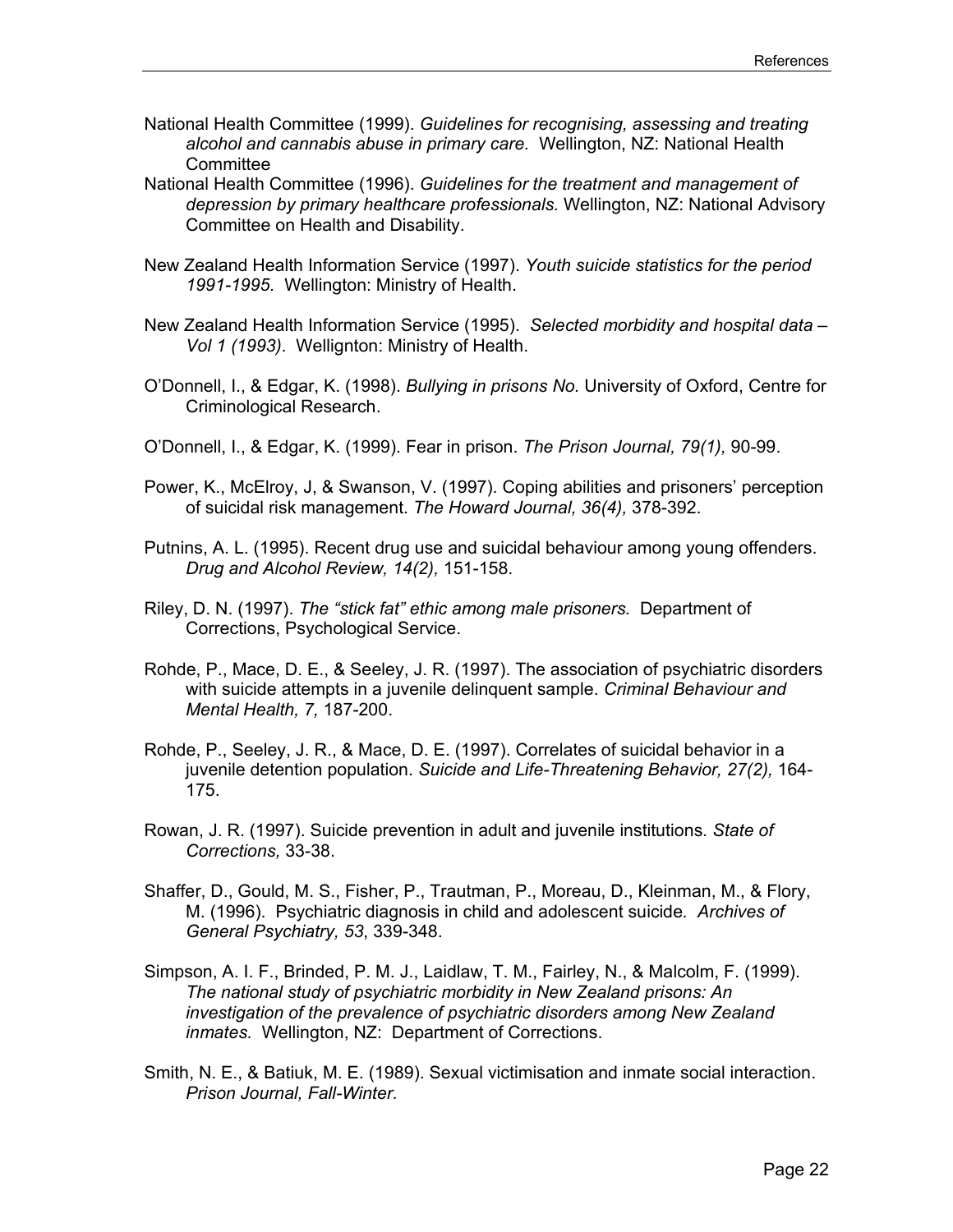- National Health Committee (1999). *Guidelines for recognising, assessing and treating alcohol and cannabis abuse in primary care.* Wellington, NZ: National Health **Committee**
- National Health Committee (1996). *Guidelines for the treatment and management of depression by primary healthcare professionals.* Wellington, NZ: National Advisory Committee on Health and Disability.
- New Zealand Health Information Service (1997). *Youth suicide statistics for the period 1991-1995.* Wellington: Ministry of Health.
- New Zealand Health Information Service (1995). *Selected morbidity and hospital data Vol 1 (1993)*. Wellignton: Ministry of Health.
- O'Donnell, I., & Edgar, K. (1998). *Bullying in prisons No.* University of Oxford, Centre for Criminological Research.
- O'Donnell, I., & Edgar, K. (1999). Fear in prison. *The Prison Journal, 79(1),* 90-99.
- Power, K., McElroy, J, & Swanson, V. (1997). Coping abilities and prisoners' perception of suicidal risk management. *The Howard Journal, 36(4),* 378-392.
- Putnins, A. L. (1995). Recent drug use and suicidal behaviour among young offenders. *Drug and Alcohol Review, 14(2),* 151-158.
- Riley, D. N. (1997). *The "stick fat" ethic among male prisoners.* Department of Corrections, Psychological Service.
- Rohde, P., Mace, D. E., & Seeley, J. R. (1997). The association of psychiatric disorders with suicide attempts in a juvenile delinquent sample. *Criminal Behaviour and Mental Health, 7,* 187-200.
- Rohde, P., Seeley, J. R., & Mace, D. E. (1997). Correlates of suicidal behavior in a juvenile detention population. *Suicide and Life-Threatening Behavior, 27(2),* 164- 175.
- Rowan, J. R. (1997). Suicide prevention in adult and juvenile institutions*. State of Corrections,* 33-38.
- Shaffer, D., Gould, M. S., Fisher, P., Trautman, P., Moreau, D., Kleinman, M., & Flory, M. (1996). Psychiatric diagnosis in child and adolescent suicide*. Archives of General Psychiatry, 53*, 339-348.
- Simpson, A. I. F., Brinded, P. M. J., Laidlaw, T. M., Fairley, N., & Malcolm, F. (1999). *The national study of psychiatric morbidity in New Zealand prisons: An investigation of the prevalence of psychiatric disorders among New Zealand inmates.* Wellington, NZ: Department of Corrections.
- Smith, N. E., & Batiuk, M. E. (1989). Sexual victimisation and inmate social interaction. *Prison Journal, Fall-Winter.*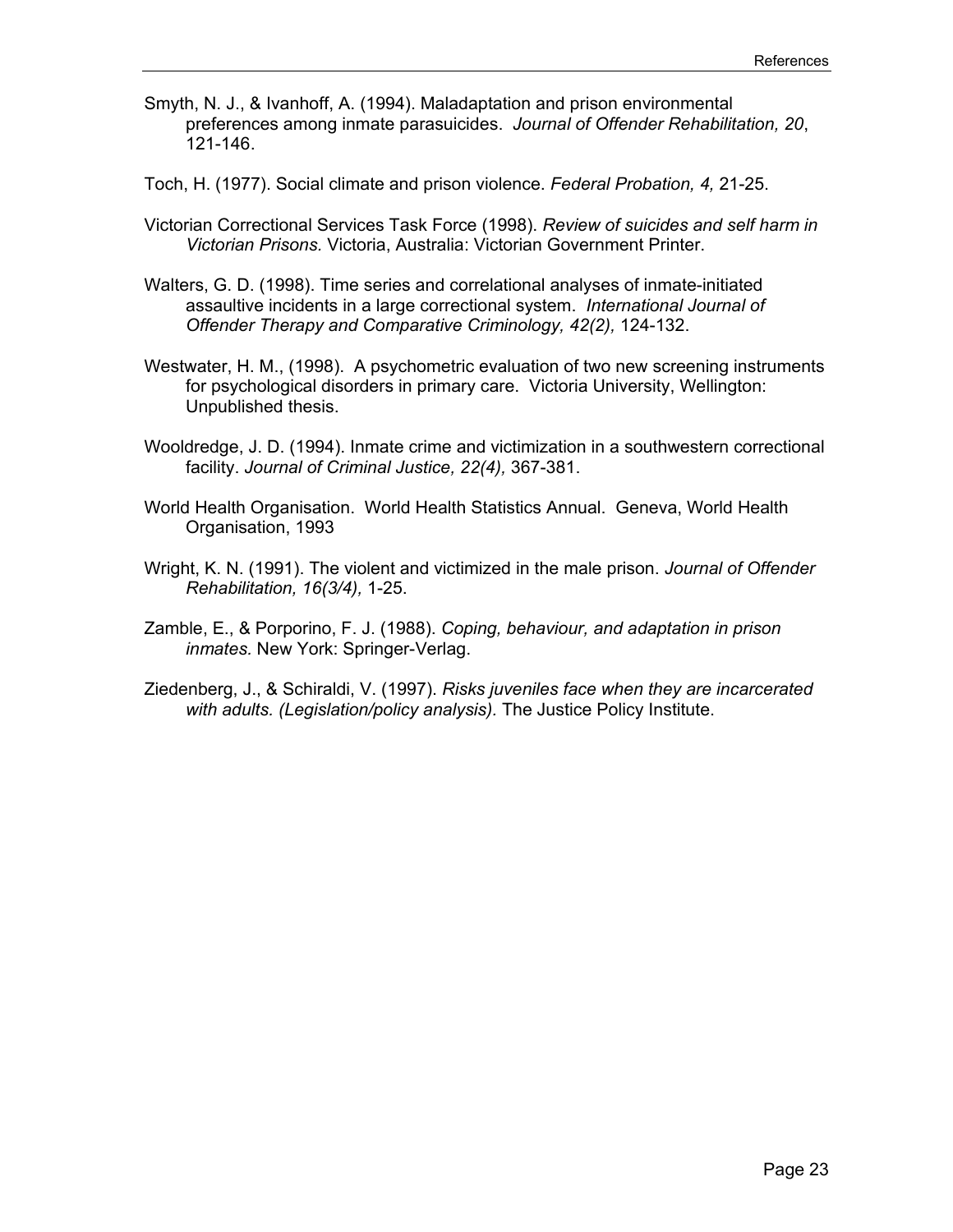- Smyth, N. J., & Ivanhoff, A. (1994). Maladaptation and prison environmental preferences among inmate parasuicides. *Journal of Offender Rehabilitation, 20*, 121-146.
- Toch, H. (1977). Social climate and prison violence. *Federal Probation, 4,* 21-25.
- Victorian Correctional Services Task Force (1998). *Review of suicides and self harm in Victorian Prisons.* Victoria, Australia: Victorian Government Printer.
- Walters, G. D. (1998). Time series and correlational analyses of inmate-initiated assaultive incidents in a large correctional system. *International Journal of Offender Therapy and Comparative Criminology, 42(2),* 124-132.
- Westwater, H. M., (1998). A psychometric evaluation of two new screening instruments for psychological disorders in primary care. Victoria University, Wellington: Unpublished thesis.
- Wooldredge, J. D. (1994). Inmate crime and victimization in a southwestern correctional facility. *Journal of Criminal Justice, 22(4),* 367-381.
- World Health Organisation. World Health Statistics Annual. Geneva, World Health Organisation, 1993
- Wright, K. N. (1991). The violent and victimized in the male prison. *Journal of Offender Rehabilitation, 16(3/4),* 1-25.
- Zamble, E., & Porporino, F. J. (1988). *Coping, behaviour, and adaptation in prison inmates.* New York: Springer-Verlag.
- Ziedenberg, J., & Schiraldi, V. (1997). *Risks juveniles face when they are incarcerated with adults. (Legislation/policy analysis).* The Justice Policy Institute.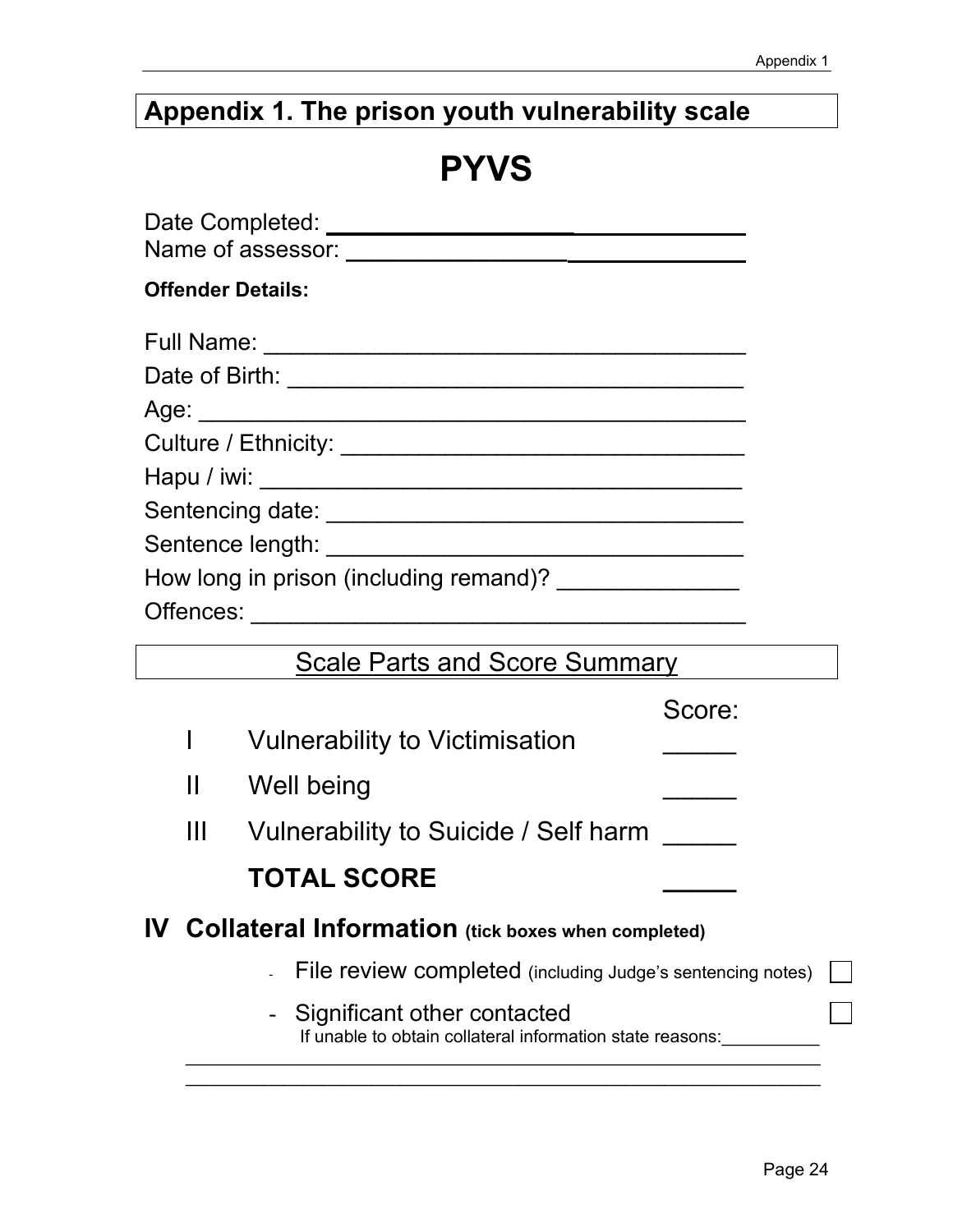## **Appendix 1. The prison youth vulnerability scale**

## **PYVS**

|   | <b>Offender Details:</b>                                                                 |                                                           |  |
|---|------------------------------------------------------------------------------------------|-----------------------------------------------------------|--|
|   |                                                                                          |                                                           |  |
|   |                                                                                          |                                                           |  |
|   |                                                                                          |                                                           |  |
|   |                                                                                          |                                                           |  |
|   |                                                                                          |                                                           |  |
|   |                                                                                          |                                                           |  |
|   |                                                                                          |                                                           |  |
|   | How long in prison (including remand)? _________________                                 |                                                           |  |
|   |                                                                                          |                                                           |  |
|   | Scale Parts and Score Summary                                                            |                                                           |  |
|   |                                                                                          | Score:                                                    |  |
| I | <b>Vulnerability to Victimisation</b>                                                    | $\mathcal{L}^{\text{max}}$ and $\mathcal{L}^{\text{max}}$ |  |
|   | $\mathbf{H}$<br>Well being                                                               |                                                           |  |
|   | Ш<br>Vulnerability to Suicide / Self harm                                                |                                                           |  |
|   | <b>TOTAL SCORE</b>                                                                       |                                                           |  |
|   | IV Collateral Information (tick boxes when completed)                                    |                                                           |  |
|   | File review completed (including Judge's sentencing notes)                               |                                                           |  |
|   | Significant other contacted<br>If unable to obtain collateral information state reasons: |                                                           |  |
|   |                                                                                          |                                                           |  |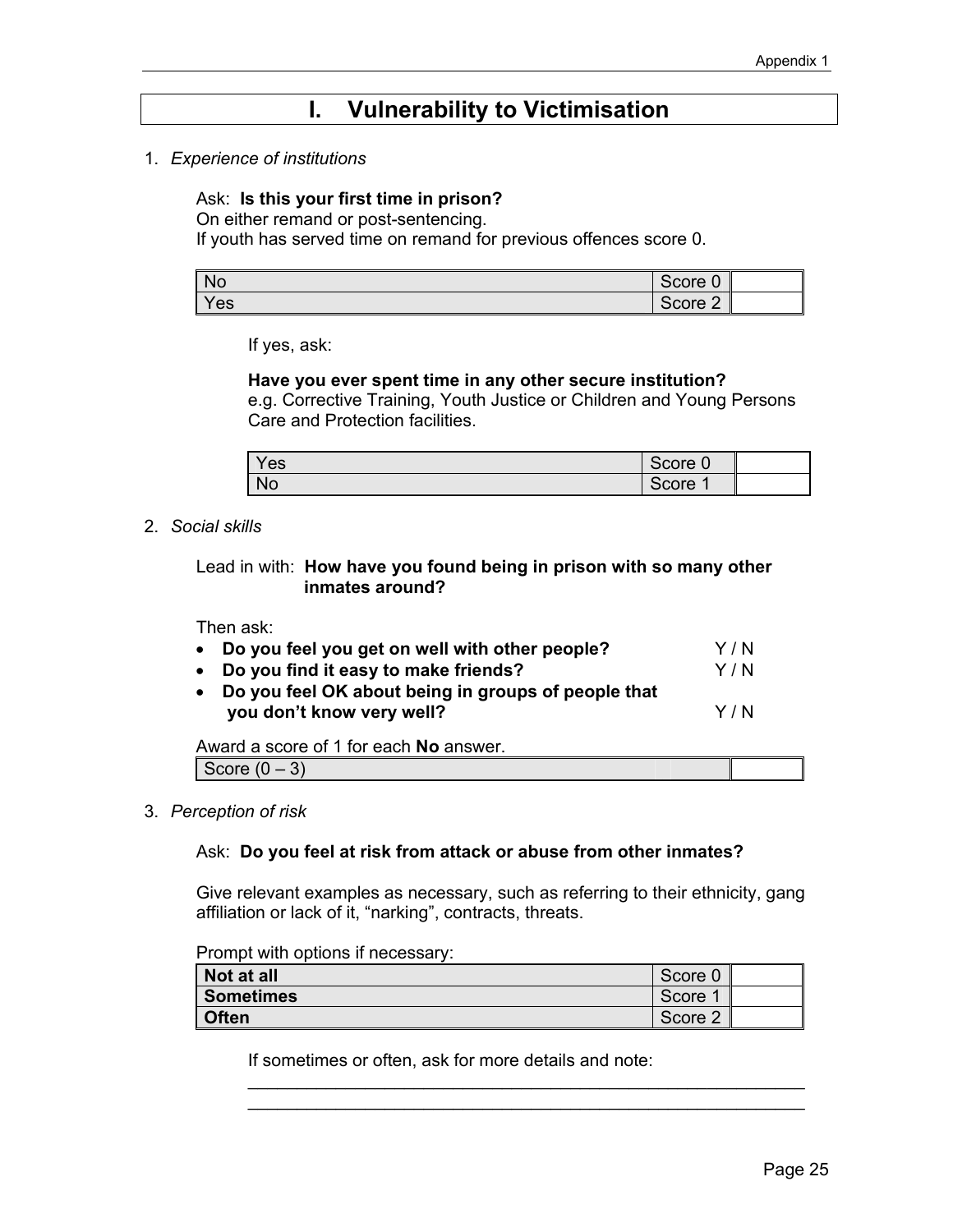## **I. Vulnerability to Victimisation**

1. *Experience of institutions* 

#### Ask: **Is this your first time in prison?**

On either remand or post-sentencing.

If youth has served time on remand for previous offences score 0.

| <b>No</b> | Score 0 |  |
|-----------|---------|--|
| Yes       | Score 2 |  |

If yes, ask:

#### **Have you ever spent time in any other secure institution?**

e.g. Corrective Training, Youth Justice or Children and Young Persons Care and Protection facilities.

| Yes       | Score 0         |  |
|-----------|-----------------|--|
| <b>No</b> | $\sim$<br>Score |  |

#### 2. *Social skills*

 Lead in with: **How have you found being in prison with so many other inmates around?** 

Then ask:

| • Do you feel you get on well with other people?                                   | Y / N |
|------------------------------------------------------------------------------------|-------|
| • Do you find it easy to make friends?                                             | Y / N |
| • Do you feel OK about being in groups of people that<br>you don't know very well? | Y / N |
| Award a seere of 1 for seeh Ne apower                                              |       |

Award a score of 1 for each **No** answer.

Score  $(0-3)$ 

3. *Perception of risk* 

#### Ask: **Do you feel at risk from attack or abuse from other inmates?**

Give relevant examples as necessary, such as referring to their ethnicity, gang affiliation or lack of it, "narking", contracts, threats.

Prompt with options if necessary:

| Not at all   | Score 0 |  |
|--------------|---------|--|
| Sometimes    | Score   |  |
| <b>Often</b> | Score 2 |  |

\_\_\_\_\_\_\_\_\_\_\_\_\_\_\_\_\_\_\_\_\_\_\_\_\_\_\_\_\_\_\_\_\_\_\_\_\_\_\_\_\_\_\_\_\_\_\_\_\_\_\_\_\_\_\_\_\_ \_\_\_\_\_\_\_\_\_\_\_\_\_\_\_\_\_\_\_\_\_\_\_\_\_\_\_\_\_\_\_\_\_\_\_\_\_\_\_\_\_\_\_\_\_\_\_\_\_\_\_\_\_\_\_\_\_

If sometimes or often, ask for more details and note: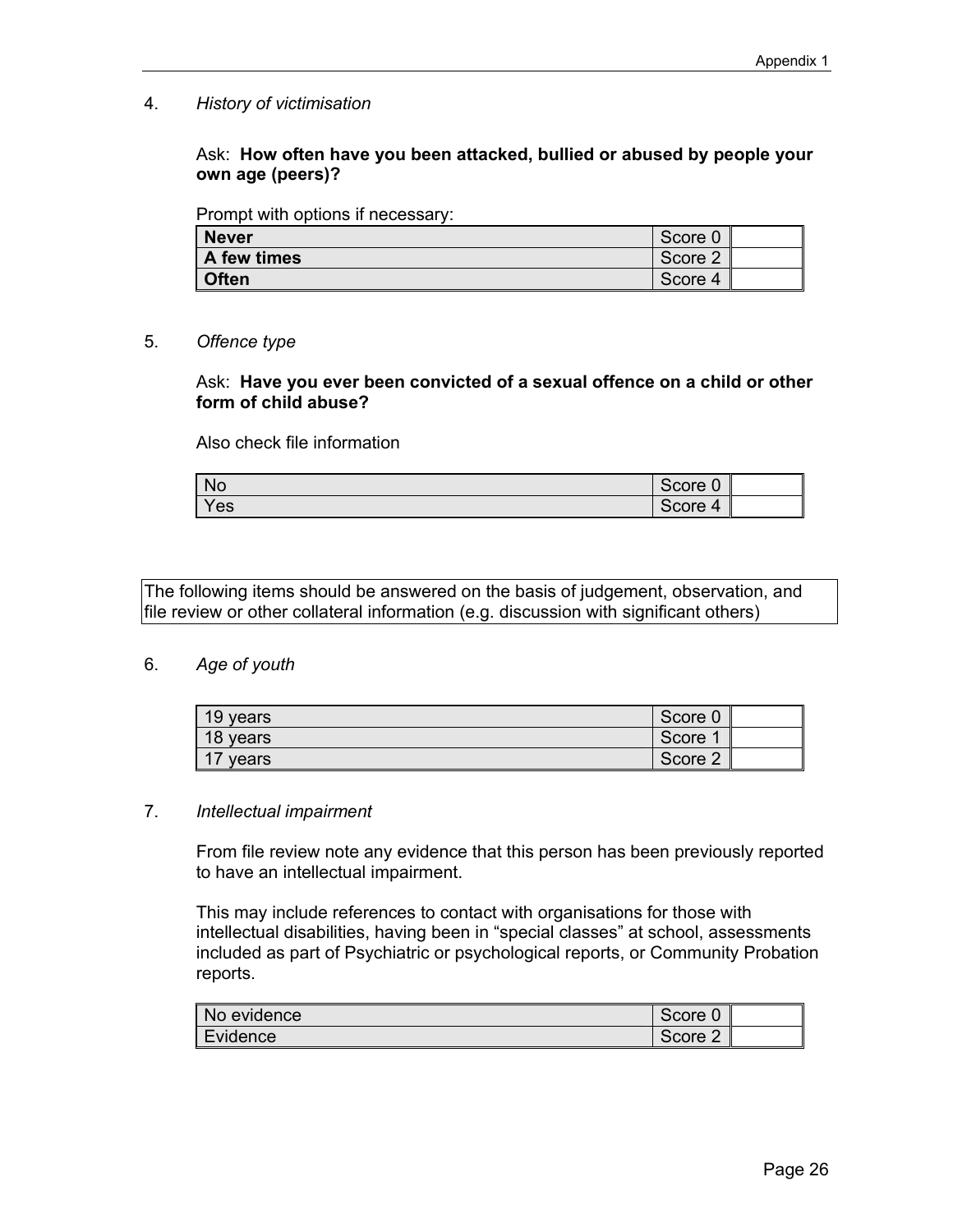4. *History of victimisation*

Ask: **How often have you been attacked, bullied or abused by people your own age (peers)?** 

Prompt with options if necessary:

| <b>Never</b> | Score 0 |  |
|--------------|---------|--|
| A few times  | Score 2 |  |
| <b>Often</b> | Score 4 |  |

#### 5. *Offence type*

#### Ask: **Have you ever been convicted of a sexual offence on a child or other form of child abuse?**

Also check file information

| <b>No</b> | $\sim$<br>Score <i>l'</i><br>U |  |
|-----------|--------------------------------|--|
| Yes       | Score<br>$\Delta$              |  |

The following items should be answered on the basis of judgement, observation, and file review or other collateral information (e.g. discussion with significant others)

#### 6. *Age of youth*

| 19 years | Score 0 |  |
|----------|---------|--|
| 18 years | Score   |  |
| 17 years | Score 2 |  |

#### 7. *Intellectual impairment*

 From file review note any evidence that this person has been previously reported to have an intellectual impairment.

 This may include references to contact with organisations for those with intellectual disabilities, having been in "special classes" at school, assessments included as part of Psychiatric or psychological reports, or Community Probation reports.

| No evidence | Score 0 |  |
|-------------|---------|--|
| Evidence    | Score 2 |  |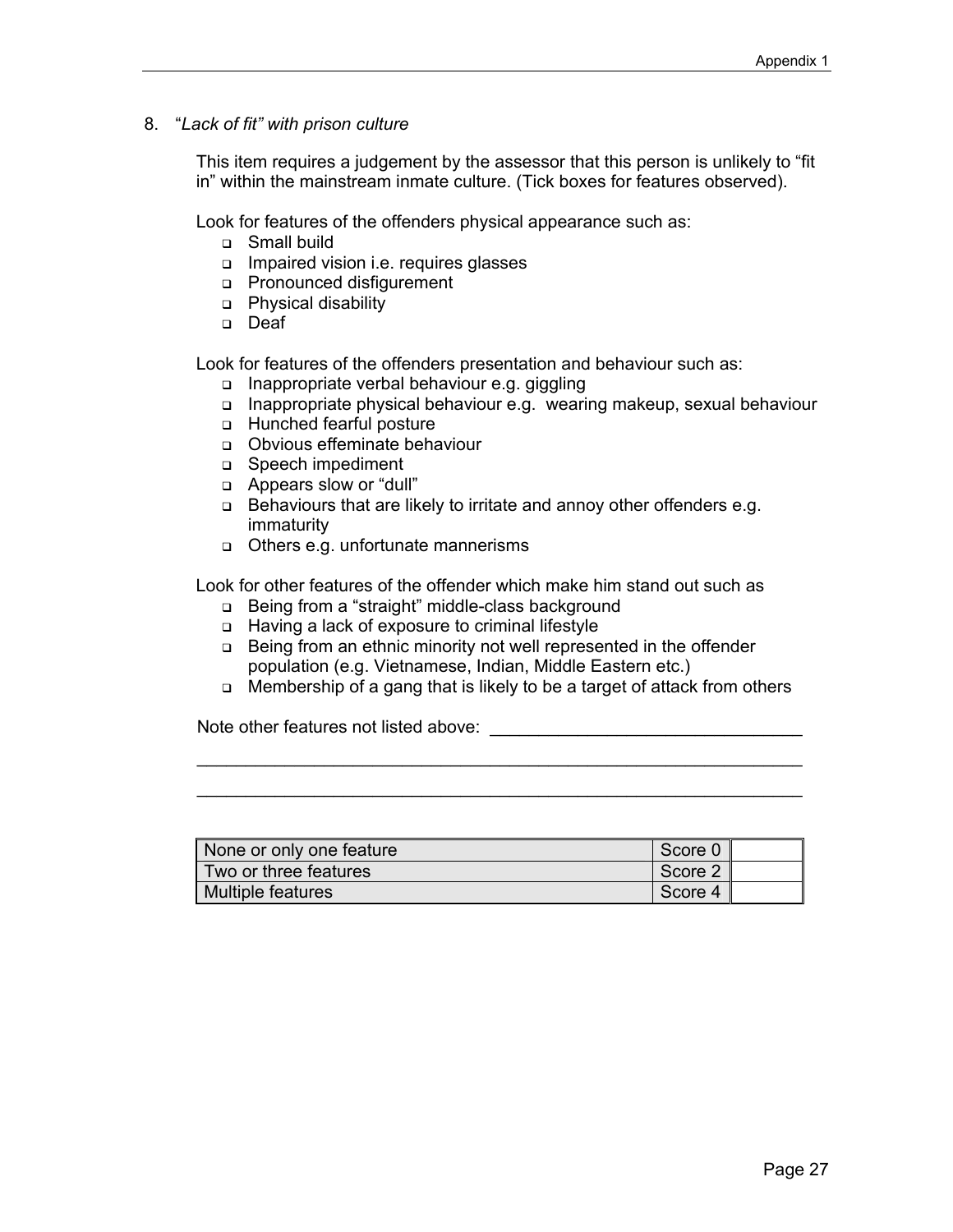8. "*Lack of fit" with prison culture* 

 This item requires a judgement by the assessor that this person is unlikely to "fit in" within the mainstream inmate culture. (Tick boxes for features observed).

Look for features of the offenders physical appearance such as:

- □ Small build
- Impaired vision i.e. requires glasses
- Pronounced disfigurement
- **Physical disability**
- Deaf

Look for features of the offenders presentation and behaviour such as:

- □ Inappropriate verbal behaviour e.g. giggling
- Inappropriate physical behaviour e.g. wearing makeup, sexual behaviour
- Hunched fearful posture
- Obvious effeminate behaviour
- □ Speech impediment
- □ Appears slow or "dull"
- □ Behaviours that are likely to irritate and annoy other offenders e.g. immaturity
- Others e.g. unfortunate mannerisms

Look for other features of the offender which make him stand out such as

- □ Being from a "straight" middle-class background
- □ Having a lack of exposure to criminal lifestyle
- □ Being from an ethnic minority not well represented in the offender population (e.g. Vietnamese, Indian, Middle Eastern etc.)
- □ Membership of a gang that is likely to be a target of attack from others

\_\_\_\_\_\_\_\_\_\_\_\_\_\_\_\_\_\_\_\_\_\_\_\_\_\_\_\_\_\_\_\_\_\_\_\_\_\_\_\_\_\_\_\_\_\_\_\_\_\_\_\_\_\_\_\_\_\_\_\_\_\_ \_\_\_\_\_\_\_\_\_\_\_\_\_\_\_\_\_\_\_\_\_\_\_\_\_\_\_\_\_\_\_\_\_\_\_\_\_\_\_\_\_\_\_\_\_\_\_\_\_\_\_\_\_\_\_\_\_\_\_\_\_\_

Note other features not listed above:  $\blacksquare$ 

| None or only one feature | Score 0 |  |
|--------------------------|---------|--|
| Two or three features    | Score 2 |  |
| Multiple features        | Score 4 |  |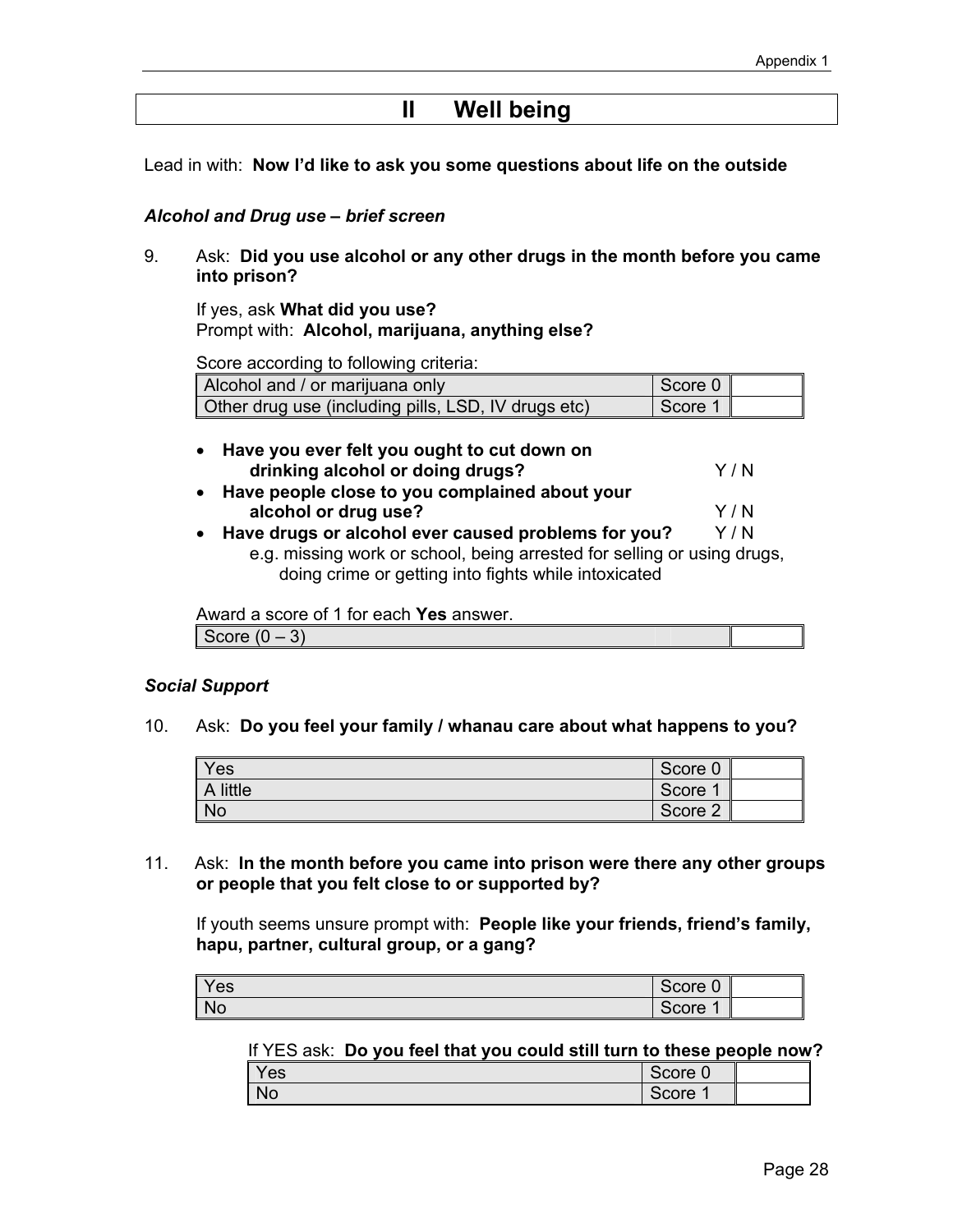## **II Well being**

Lead in with: **Now I'd like to ask you some questions about life on the outside**

#### *Alcohol and Drug use – brief screen*

9. Ask: **Did you use alcohol or any other drugs in the month before you came into prison?** 

If yes, ask **What did you use?**  Prompt with: **Alcohol, marijuana, anything else?**

Score according to following criteria:

| Alcohol and / or marijuana only                     | Score 0 |  |
|-----------------------------------------------------|---------|--|
| Other drug use (including pills, LSD, IV drugs etc) | 1 Score |  |

| • Have you ever felt you ought to cut down on |       |
|-----------------------------------------------|-------|
| drinking alcohol or doing drugs?              | Y / N |

- **Have people close to you complained about your alcohol or drug use?** Y/N
- Have drugs or alcohol ever caused problems for you? Y/N e.g. missing work or school, being arrested for selling or using drugs,

doing crime or getting into fights while intoxicated

 Award a score of 1 for each **Yes** answer. Score  $(0-3)$ 

#### *Social Support*

10. Ask: **Do you feel your family / whanau care about what happens to you?**

| Yes       | Score 0 |  |
|-----------|---------|--|
| A little  | Score 1 |  |
| <b>No</b> | Score 2 |  |

11. Ask: **In the month before you came into prison were there any other groups or people that you felt close to or supported by?**

If youth seems unsure prompt with: **People like your friends, friend's family, hapu, partner, cultural group, or a gang?**

| Yes       | Score 0 |  |
|-----------|---------|--|
| <b>No</b> | Score   |  |

#### If YES ask: **Do you feel that you could still turn to these people now?**

| Yes       | $\sim$ $\sim$ $\sim$<br>Score<br>. v |  |
|-----------|--------------------------------------|--|
| <b>No</b> | ⌒<br>Score                           |  |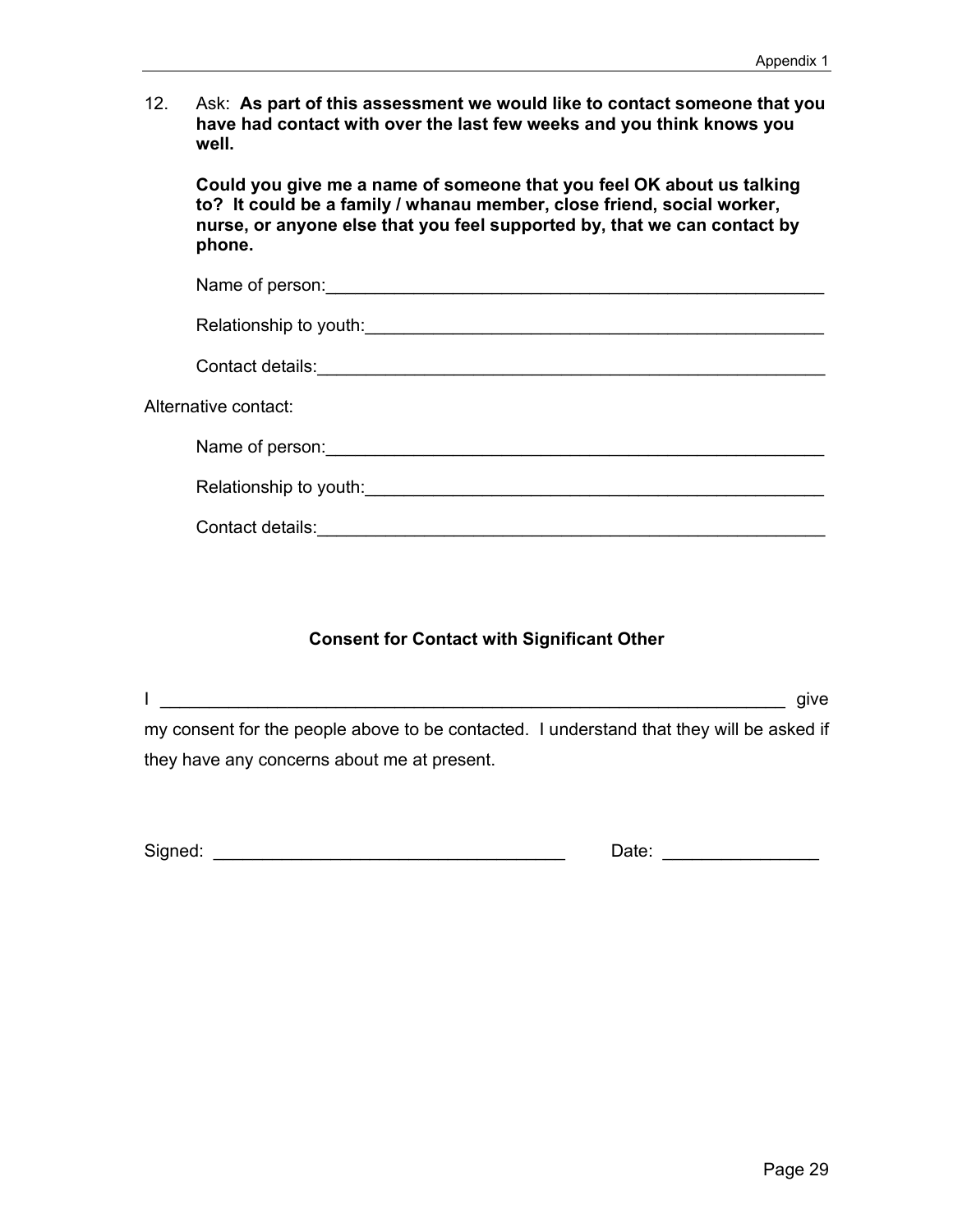12. Ask: **As part of this assessment we would like to contact someone that you have had contact with over the last few weeks and you think knows you well.** 

**Could you give me a name of someone that you feel OK about us talking to? It could be a family / whanau member, close friend, social worker, nurse, or anyone else that you feel supported by, that we can contact by phone.** 

| Name of person: <u>contract and a series of persons</u> and a series of persons. |  |
|----------------------------------------------------------------------------------|--|
| Relationship to youth:                                                           |  |
| Contact details: <u>Contact details</u>                                          |  |
| Alternative contact:                                                             |  |
| Name of person:                                                                  |  |
| Relationship to youth:                                                           |  |
| Contact details:                                                                 |  |

#### **Consent for Contact with Significant Other**

I \_\_\_\_\_\_\_\_\_\_\_\_\_\_\_\_\_\_\_\_\_\_\_\_\_\_\_\_\_\_\_\_\_\_\_\_\_\_\_\_\_\_\_\_\_\_\_\_\_\_\_\_\_\_\_\_\_\_\_\_\_\_\_\_ give my consent for the people above to be contacted. I understand that they will be asked if they have any concerns about me at present.

| Signed: | ⊃ate: |  |
|---------|-------|--|
|         |       |  |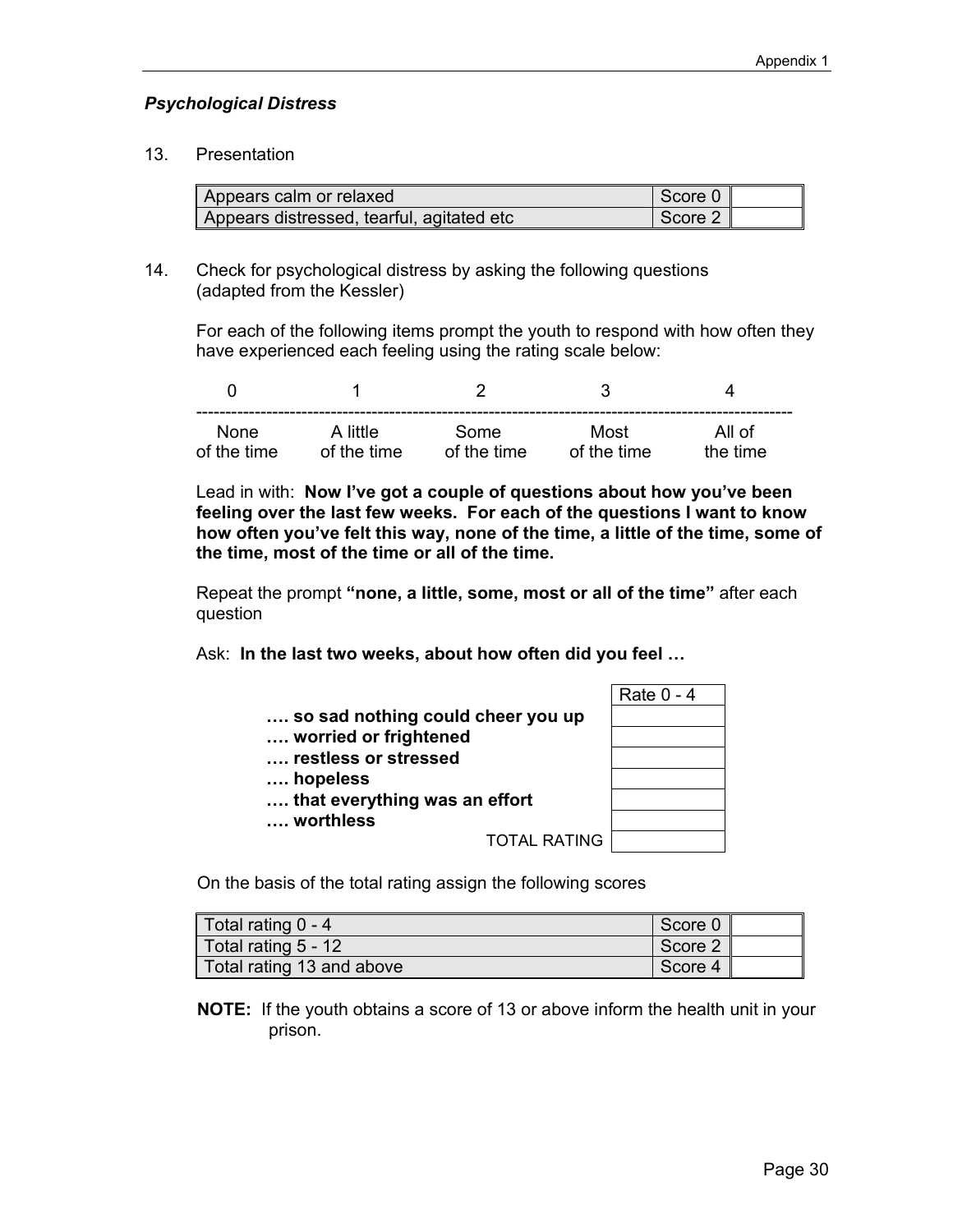#### *Psychological Distress*

#### 13. Presentation

| Appears calm or relaxed                   | Score 0 |  |
|-------------------------------------------|---------|--|
| Appears distressed, tearful, agitated etc | Score 2 |  |

14. Check for psychological distress by asking the following questions (adapted from the Kessler)

For each of the following items prompt the youth to respond with how often they have experienced each feeling using the rating scale below:

| <b>None</b> | A little    | Some        | Most        | All of   |
|-------------|-------------|-------------|-------------|----------|
| of the time | of the time | of the time | of the time | the time |

Lead in with: **Now I've got a couple of questions about how you've been feeling over the last few weeks. For each of the questions I want to know how often you've felt this way, none of the time, a little of the time, some of the time, most of the time or all of the time.** 

Repeat the prompt **"none, a little, some, most or all of the time"** after each question

Ask: **In the last two weeks, about how often did you feel …**

|                                   |                     | Rate 0 - 4 |
|-----------------------------------|---------------------|------------|
| so sad nothing could cheer you up |                     |            |
| worried or frightened             |                     |            |
| restless or stressed              |                     |            |
| hopeless                          |                     |            |
| that everything was an effort     |                     |            |
| worthless                         |                     |            |
|                                   | <b>TOTAL RATING</b> |            |

|   | Rate 0 - 4 |  |
|---|------------|--|
|   |            |  |
|   |            |  |
|   |            |  |
|   |            |  |
|   |            |  |
|   |            |  |
| € |            |  |
|   |            |  |

On the basis of the total rating assign the following scores

| Total rating $0 - 4$      | Score 0 |  |
|---------------------------|---------|--|
| Total rating $5 - 12$     | Score 2 |  |
| Total rating 13 and above | Score 4 |  |

**NOTE:** If the youth obtains a score of 13 or above inform the health unit in your prison.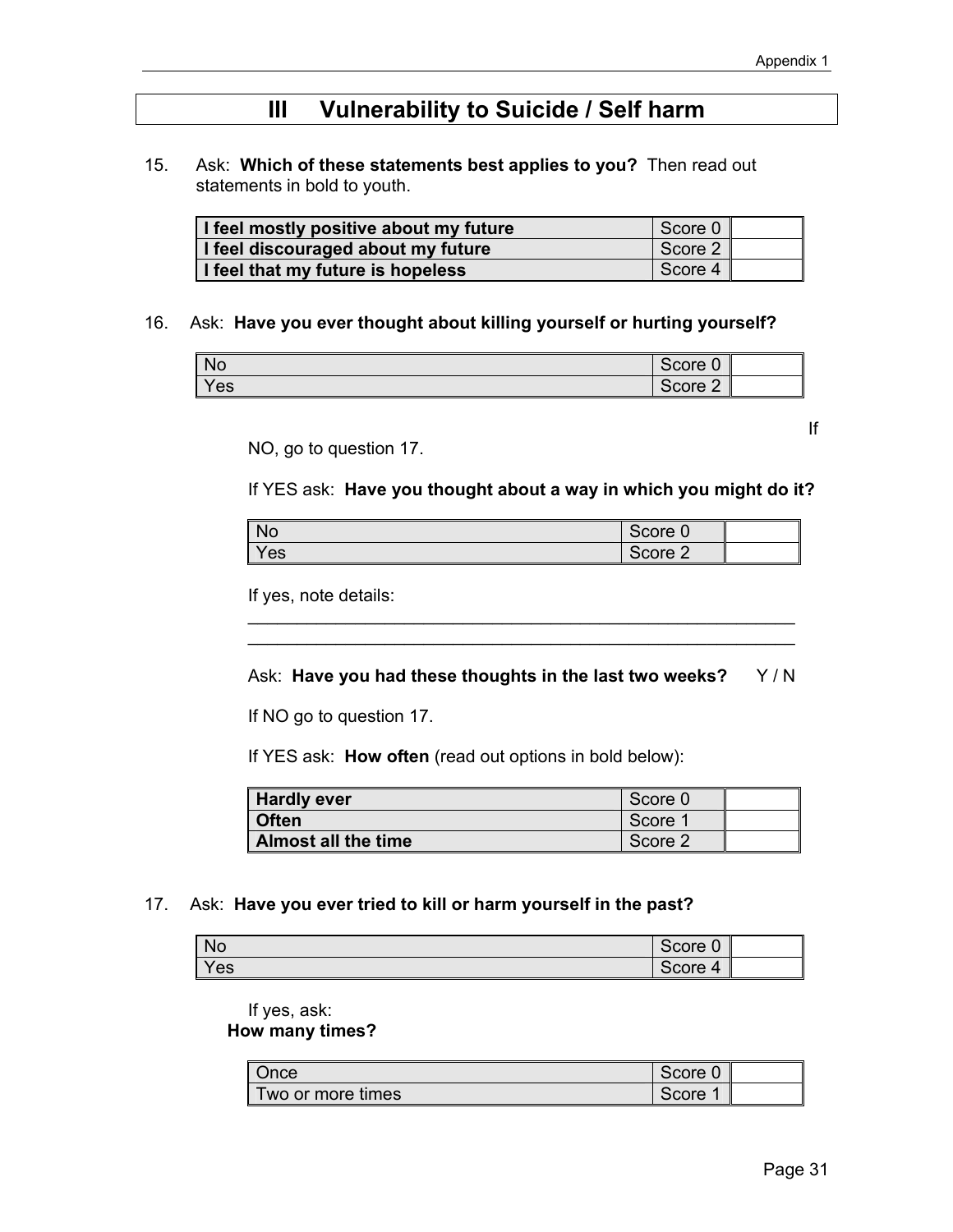## **III Vulnerability to Suicide / Self harm**

15. Ask: **Which of these statements best applies to you?** Then read out statements in bold to youth.

| I feel mostly positive about my future | Score 0 |  |
|----------------------------------------|---------|--|
| I feel discouraged about my future     | Score 2 |  |
| I feel that my future is hopeless      | Score 4 |  |

#### 16. Ask: **Have you ever thought about killing yourself or hurting yourself?**

| <b>No</b> | Score 0 |  |
|-----------|---------|--|
| Yes       | Score 2 |  |

NO, go to question 17.

If YES ask: **Have you thought about a way in which you might do it?** 

**If** the contract of the contract of the contract of the contract of the contract of the contract of the contract of the contract of the contract of the contract of the contract of the contract of the contract of the contr

| No  | Score<br>$\ddot{\phantom{0}}$ |  |
|-----|-------------------------------|--|
| Yes | Score<br>-                    |  |

\_\_\_\_\_\_\_\_\_\_\_\_\_\_\_\_\_\_\_\_\_\_\_\_\_\_\_\_\_\_\_\_\_\_\_\_\_\_\_\_\_\_\_\_\_\_\_\_\_\_\_\_\_\_\_\_ \_\_\_\_\_\_\_\_\_\_\_\_\_\_\_\_\_\_\_\_\_\_\_\_\_\_\_\_\_\_\_\_\_\_\_\_\_\_\_\_\_\_\_\_\_\_\_\_\_\_\_\_\_\_\_\_

If yes, note details:

#### Ask: Have you had these thoughts in the last two weeks? Y/N

If NO go to question 17.

If YES ask: **How often** (read out options in bold below):

| <b>Hardly ever</b>  | Score 0 |  |
|---------------------|---------|--|
| l Often             | Score 1 |  |
| Almost all the time | Score 2 |  |

#### 17. Ask: **Have you ever tried to kill or harm yourself in the past?**

| No    | Score 0                 |  |
|-------|-------------------------|--|
| l Yes | Score<br>$\overline{4}$ |  |

 If yes, ask: **How many times?** 

| Once              | Score 0 |  |
|-------------------|---------|--|
| Two or more times | Score   |  |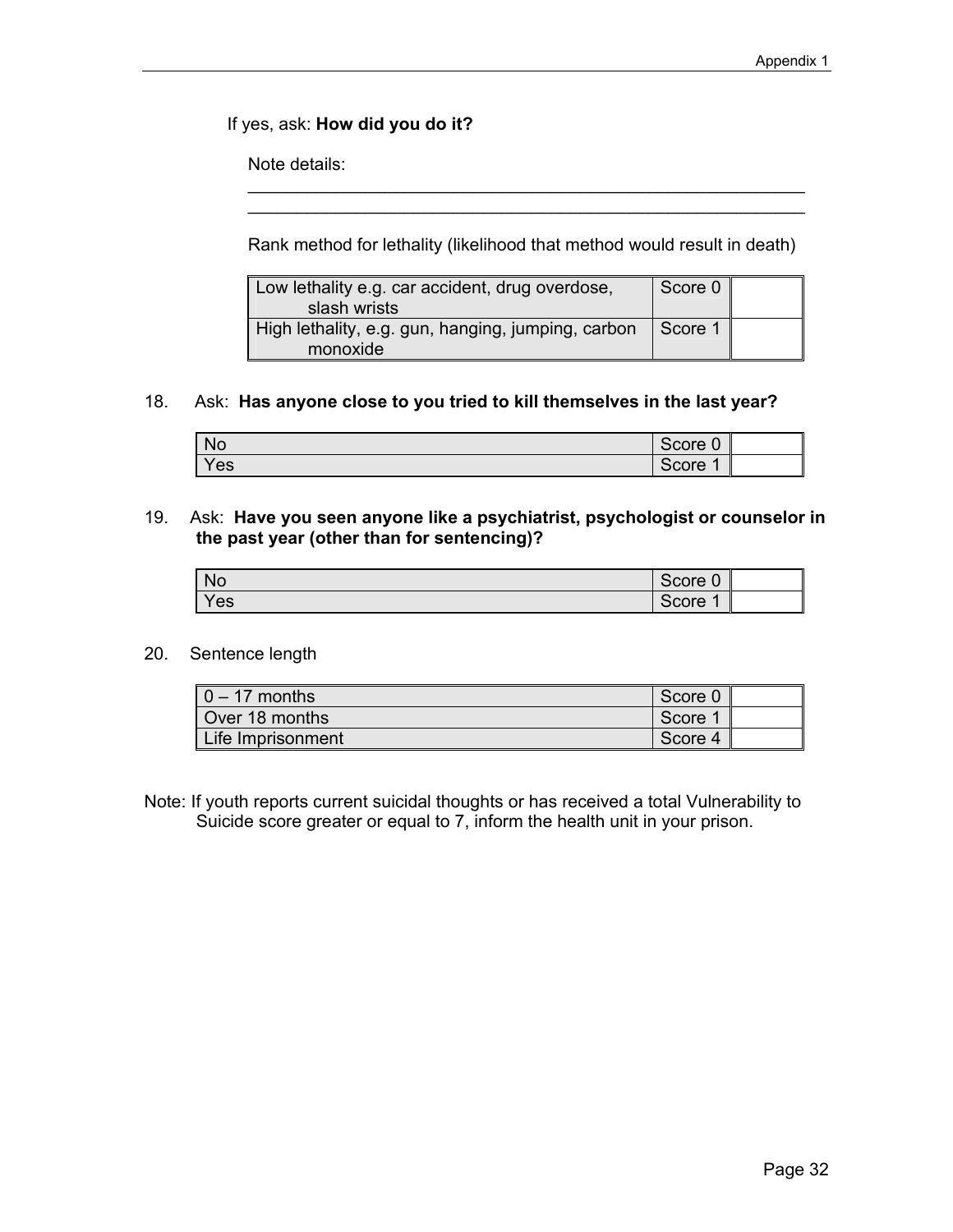If yes, ask: **How did you do it?** 

Note details:

Rank method for lethality (likelihood that method would result in death)

\_\_\_\_\_\_\_\_\_\_\_\_\_\_\_\_\_\_\_\_\_\_\_\_\_\_\_\_\_\_\_\_\_\_\_\_\_\_\_\_\_\_\_\_\_\_\_\_\_\_\_\_\_\_\_\_\_

| Low lethality e.g. car accident, drug overdose,    | Score 0 |  |
|----------------------------------------------------|---------|--|
| slash wrists                                       |         |  |
| High lethality, e.g. gun, hanging, jumping, carbon | Score 1 |  |
| monoxide                                           |         |  |

#### 18. Ask: **Has anyone close to you tried to kill themselves in the last year?**

| <b>No</b> | Score<br>$\sqrt{2}$<br>υ |  |
|-----------|--------------------------|--|
| Yes       | Score                    |  |

#### 19. Ask: **Have you seen anyone like a psychiatrist, psychologist or counselor in the past year (other than for sentencing)?**

| <b>No</b> | Score 0 |  |
|-----------|---------|--|
| Yes       | Score   |  |

#### 20. Sentence length

| $0 - 17$ months   | Score 0 |  |
|-------------------|---------|--|
| Over 18 months    | Score 1 |  |
| Life Imprisonment | Score 4 |  |

Note: If youth reports current suicidal thoughts or has received a total Vulnerability to Suicide score greater or equal to 7, inform the health unit in your prison.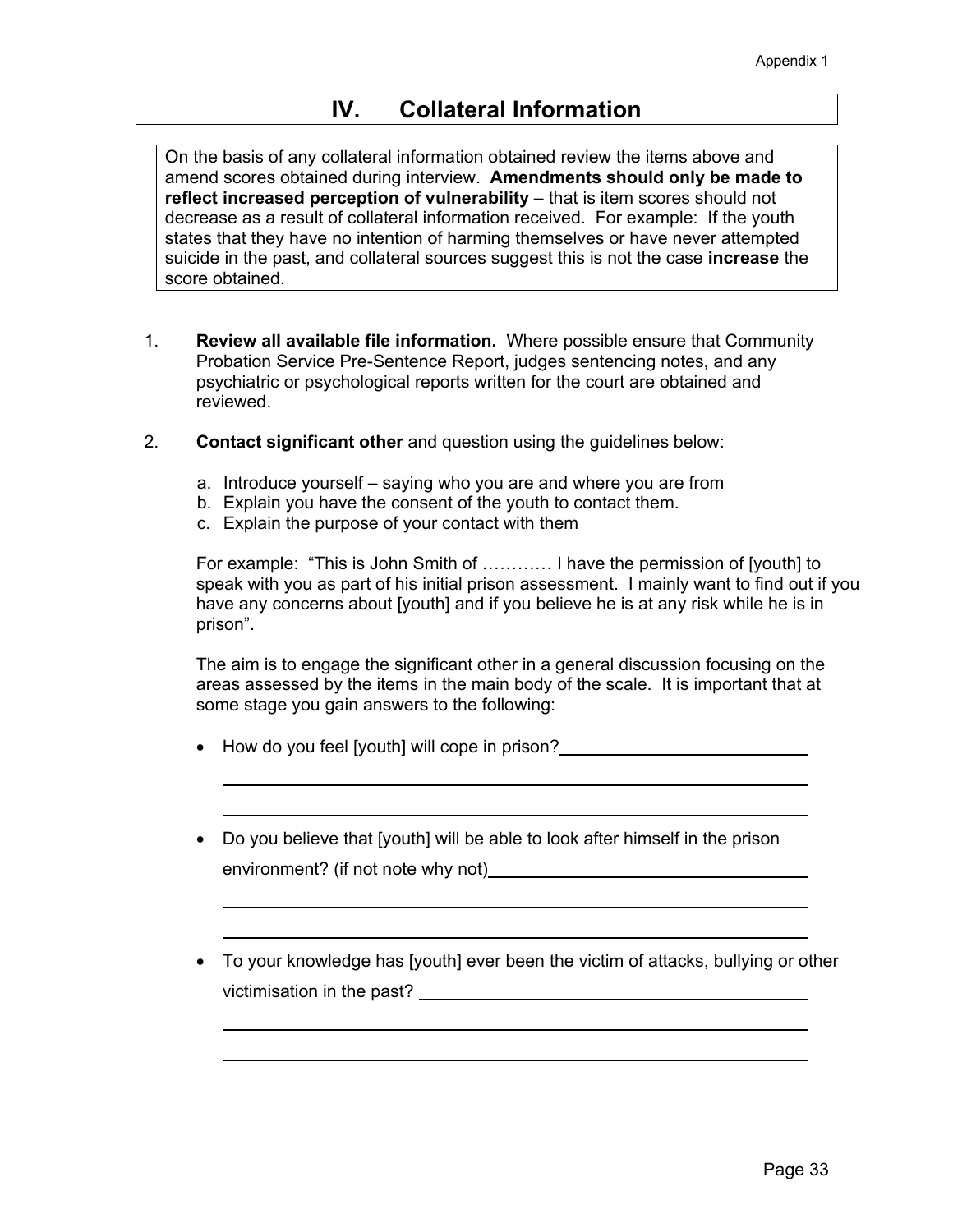## **IV. Collateral Information**

On the basis of any collateral information obtained review the items above and amend scores obtained during interview. **Amendments should only be made to reflect increased perception of vulnerability** – that is item scores should not decrease as a result of collateral information received. For example: If the youth states that they have no intention of harming themselves or have never attempted suicide in the past, and collateral sources suggest this is not the case **increase** the score obtained.

- 1. **Review all available file information.** Where possible ensure that Community Probation Service Pre-Sentence Report, judges sentencing notes, and any psychiatric or psychological reports written for the court are obtained and reviewed.
- 2. **Contact significant other** and question using the guidelines below:
	- a. Introduce yourself saying who you are and where you are from
	- b. Explain you have the consent of the youth to contact them.
	- c. Explain the purpose of your contact with them

For example: "This is John Smith of ………… I have the permission of [youth] to speak with you as part of his initial prison assessment. I mainly want to find out if you have any concerns about [youth] and if you believe he is at any risk while he is in prison".

 The aim is to engage the significant other in a general discussion focusing on the areas assessed by the items in the main body of the scale. It is important that at some stage you gain answers to the following:

- How do you feel [youth] will cope in prison?
- Do you believe that [youth] will be able to look after himself in the prison environment? (if not note why not)
- To your knowledge has [youth] ever been the victim of attacks, bullying or other victimisation in the past?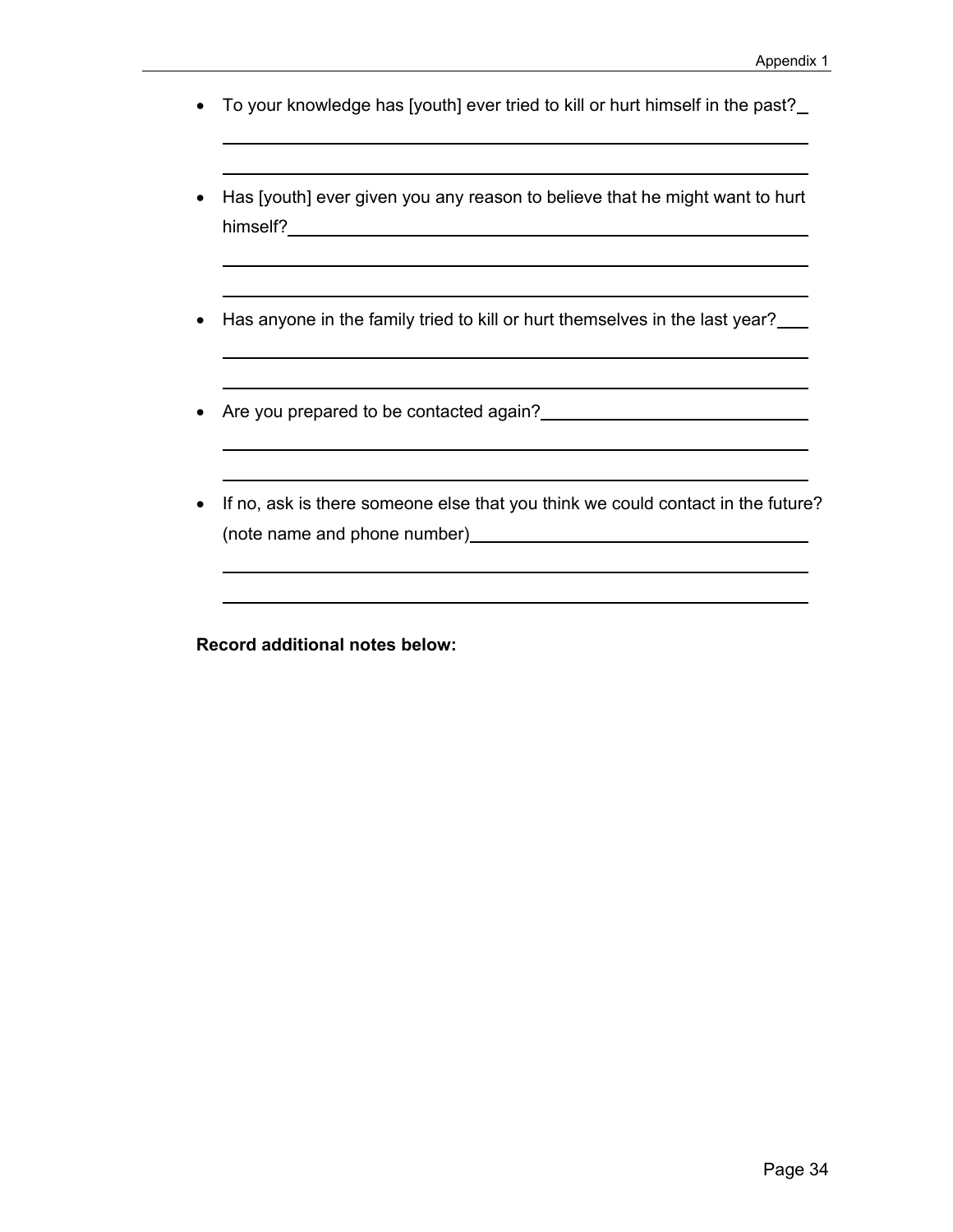- To your knowledge has [youth] ever tried to kill or hurt himself in the past?
- Has [youth] ever given you any reason to believe that he might want to hurt himself? **https://www.franchilder.org/**
- Has anyone in the family tried to kill or hurt themselves in the last year?
- Are you prepared to be contacted again?<br>
<u>•</u> Are you prepared to be contacted again?
- If no, ask is there someone else that you think we could contact in the future? (note name and phone number)

**Record additional notes below:**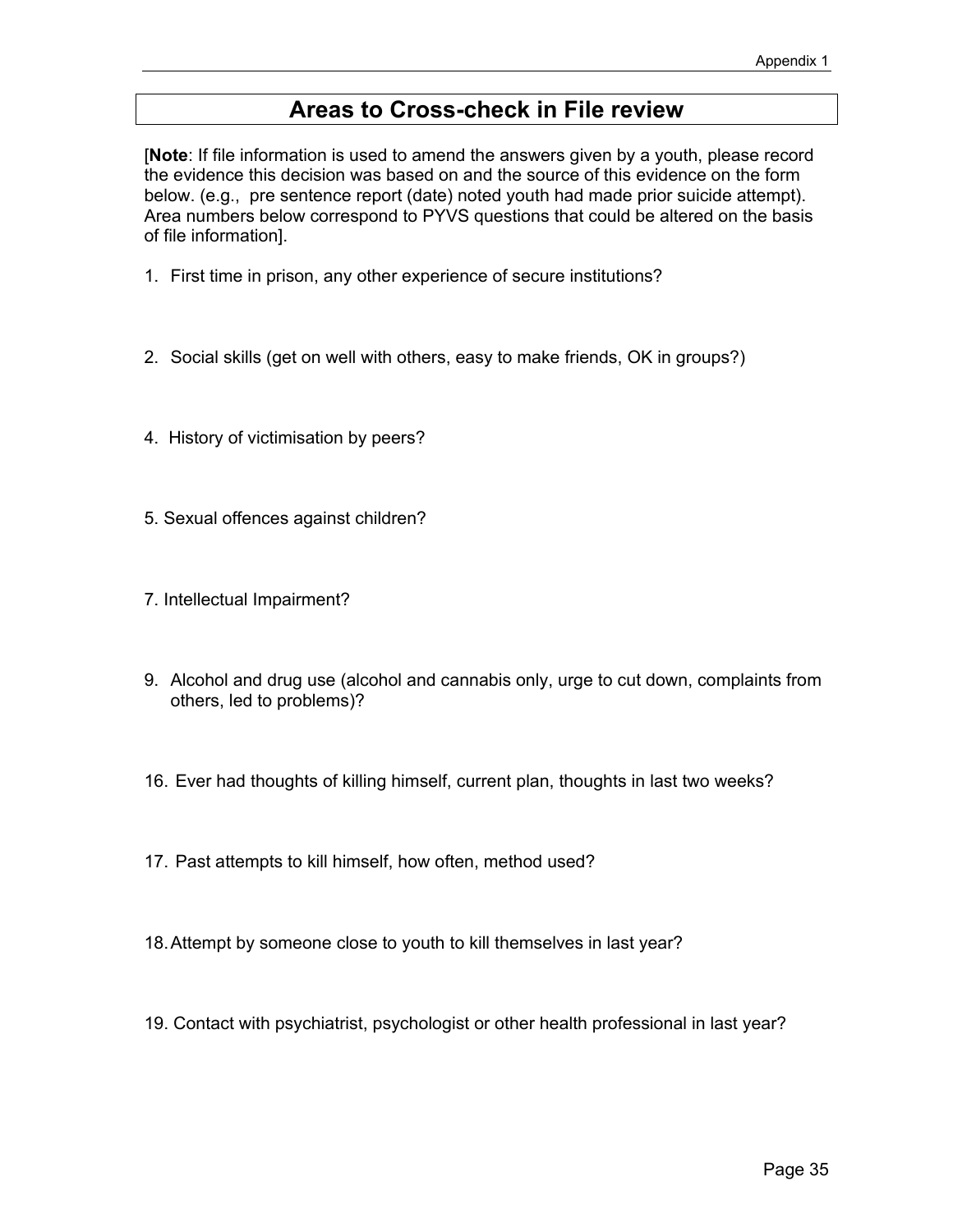## **Areas to Cross-check in File review**

[**Note**: If file information is used to amend the answers given by a youth, please record the evidence this decision was based on and the source of this evidence on the form below. (e.g., pre sentence report (date) noted youth had made prior suicide attempt). Area numbers below correspond to PYVS questions that could be altered on the basis of file information].

- 1. First time in prison, any other experience of secure institutions?
- 2. Social skills (get on well with others, easy to make friends, OK in groups?)
- 4. History of victimisation by peers?
- 5. Sexual offences against children?
- 7. Intellectual Impairment?
- 9. Alcohol and drug use (alcohol and cannabis only, urge to cut down, complaints from others, led to problems)?
- 16. Ever had thoughts of killing himself, current plan, thoughts in last two weeks?
- 17. Past attempts to kill himself, how often, method used?
- 18. Attempt by someone close to youth to kill themselves in last year?
- 19. Contact with psychiatrist, psychologist or other health professional in last year?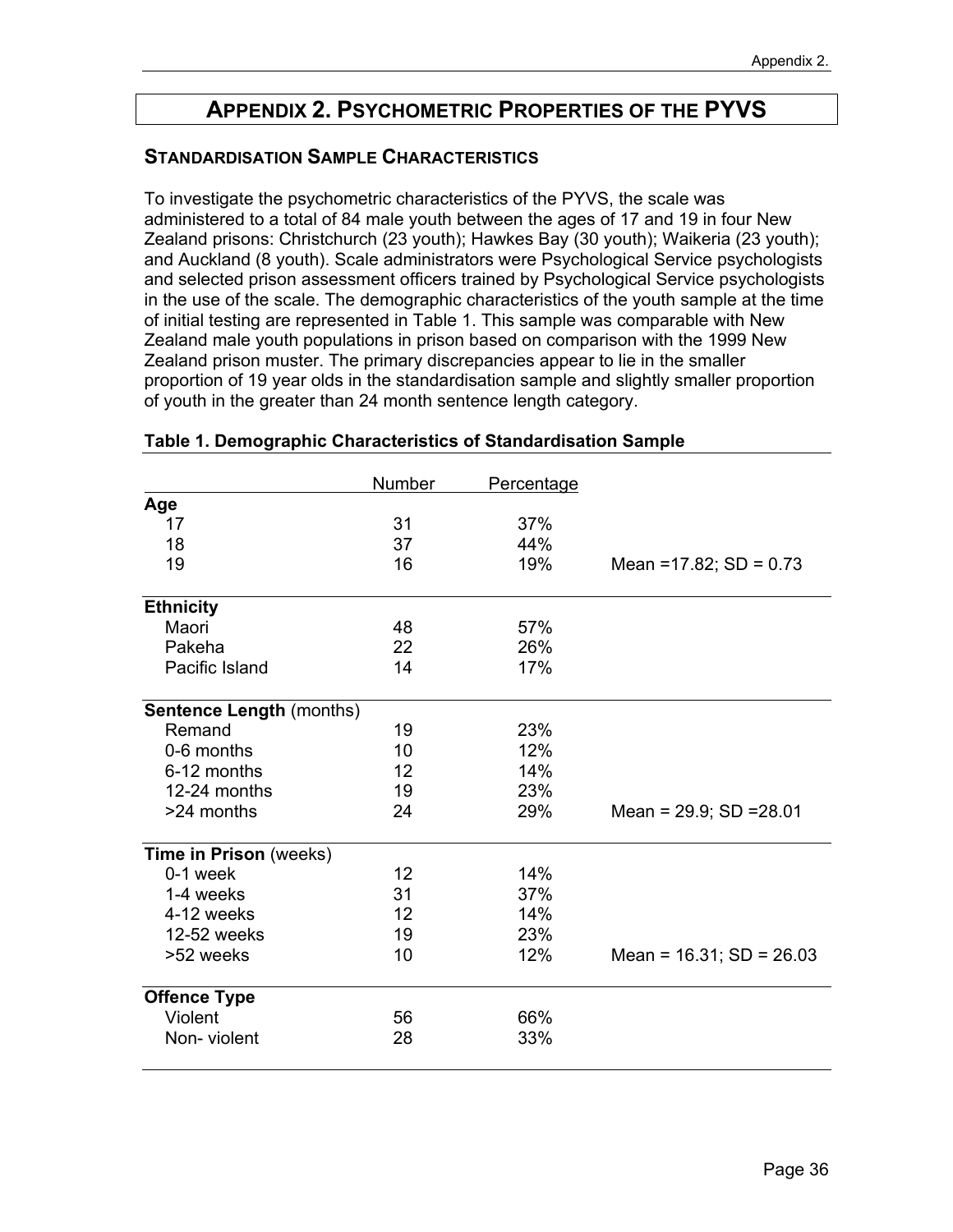## **APPENDIX 2. PSYCHOMETRIC PROPERTIES OF THE PYVS**

#### **STANDARDISATION SAMPLE CHARACTERISTICS**

To investigate the psychometric characteristics of the PYVS, the scale was administered to a total of 84 male youth between the ages of 17 and 19 in four New Zealand prisons: Christchurch (23 youth); Hawkes Bay (30 youth); Waikeria (23 youth); and Auckland (8 youth). Scale administrators were Psychological Service psychologists and selected prison assessment officers trained by Psychological Service psychologists in the use of the scale. The demographic characteristics of the youth sample at the time of initial testing are represented in Table 1. This sample was comparable with New Zealand male youth populations in prison based on comparison with the 1999 New Zealand prison muster. The primary discrepancies appear to lie in the smaller proportion of 19 year olds in the standardisation sample and slightly smaller proportion of youth in the greater than 24 month sentence length category.

|                                 | Number | Percentage |                               |
|---------------------------------|--------|------------|-------------------------------|
| Age                             |        |            |                               |
| 17                              | 31     | 37%        |                               |
| 18                              | 37     | 44%        |                               |
| 19                              | 16     | 19%        | Mean = $17.82$ ; SD = $0.73$  |
| <b>Ethnicity</b>                |        |            |                               |
| Maori                           | 48     | 57%        |                               |
| Pakeha                          | 22     | 26%        |                               |
| Pacific Island                  | 14     | 17%        |                               |
| <b>Sentence Length (months)</b> |        |            |                               |
| Remand                          | 19     | 23%        |                               |
| 0-6 months                      | 10     | 12%        |                               |
| 6-12 months                     | 12     | 14%        |                               |
| 12-24 months                    | 19     | 23%        |                               |
| >24 months                      | 24     | 29%        | Mean = $29.9$ ; SD = $28.01$  |
| Time in Prison (weeks)          |        |            |                               |
| 0-1 week                        | 12     | 14%        |                               |
| 1-4 weeks                       | 31     | 37%        |                               |
| 4-12 weeks                      | 12     | 14%        |                               |
| 12-52 weeks                     | 19     | 23%        |                               |
| >52 weeks                       | 10     | 12%        | Mean = $16.31$ ; SD = $26.03$ |
| <b>Offence Type</b>             |        |            |                               |
| Violent                         | 56     | 66%        |                               |
| Non-violent                     | 28     | 33%        |                               |
|                                 |        |            |                               |

#### **Table 1. Demographic Characteristics of Standardisation Sample**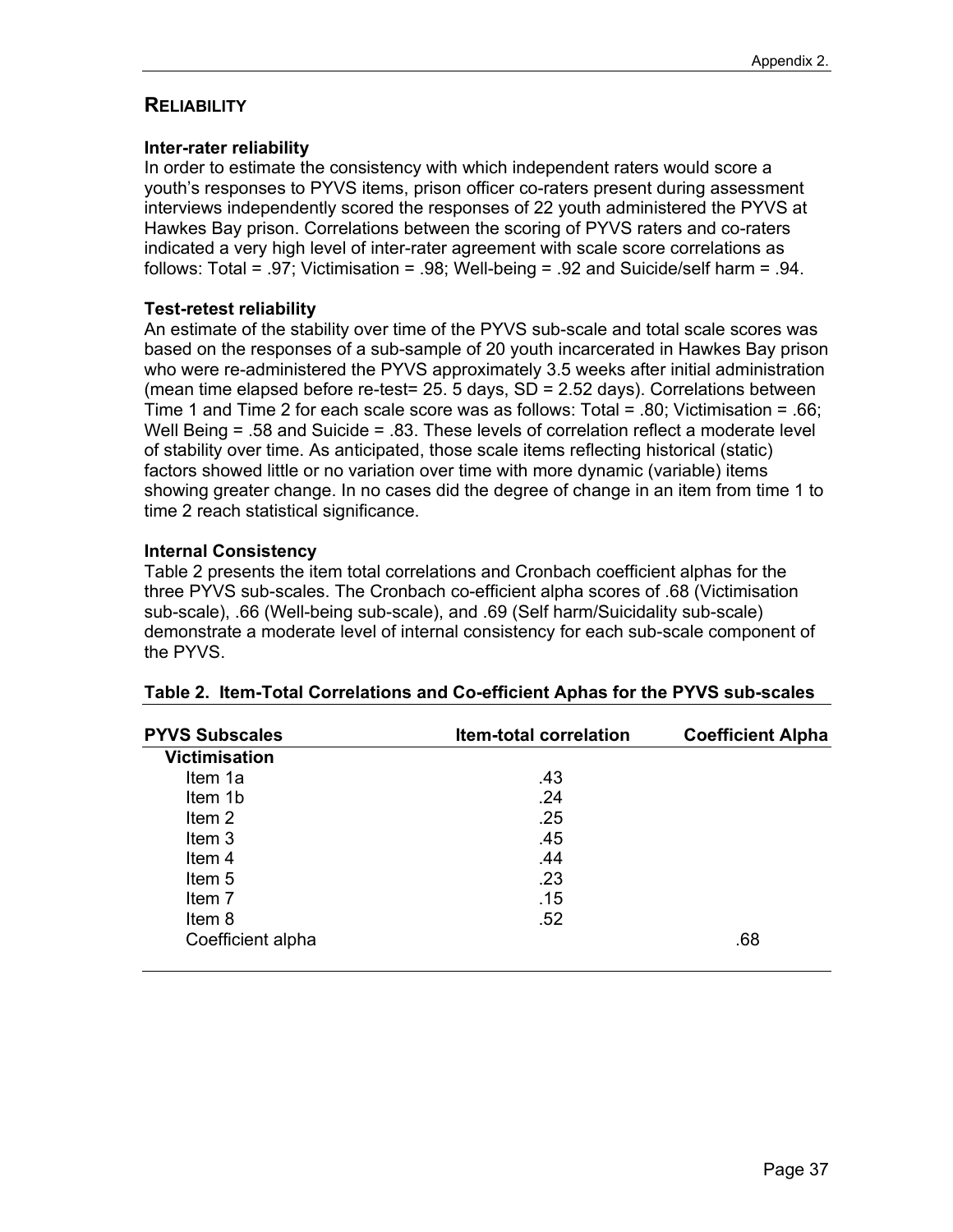#### **RELIABILITY**

#### **Inter-rater reliability**

In order to estimate the consistency with which independent raters would score a youth's responses to PYVS items, prison officer co-raters present during assessment interviews independently scored the responses of 22 youth administered the PYVS at Hawkes Bay prison. Correlations between the scoring of PYVS raters and co-raters indicated a very high level of inter-rater agreement with scale score correlations as follows: Total = .97; Victimisation = .98; Well-being = .92 and Suicide/self harm = .94.

#### **Test-retest reliability**

An estimate of the stability over time of the PYVS sub-scale and total scale scores was based on the responses of a sub-sample of 20 youth incarcerated in Hawkes Bay prison who were re-administered the PYVS approximately 3.5 weeks after initial administration (mean time elapsed before re-test= 25. 5 days,  $SD = 2.52$  days). Correlations between Time 1 and Time 2 for each scale score was as follows: Total = .80; Victimisation = .66; Well Being = .58 and Suicide = .83. These levels of correlation reflect a moderate level of stability over time. As anticipated, those scale items reflecting historical (static) factors showed little or no variation over time with more dynamic (variable) items showing greater change. In no cases did the degree of change in an item from time 1 to time 2 reach statistical significance.

#### **Internal Consistency**

Table 2 presents the item total correlations and Cronbach coefficient alphas for the three PYVS sub-scales. The Cronbach co-efficient alpha scores of .68 (Victimisation sub-scale), .66 (Well-being sub-scale), and .69 (Self harm/Suicidality sub-scale) demonstrate a moderate level of internal consistency for each sub-scale component of the PYVS.

| <b>PYVS Subscales</b> | <b>Item-total correlation</b> | <b>Coefficient Alpha</b> |
|-----------------------|-------------------------------|--------------------------|
| <b>Victimisation</b>  |                               |                          |
| Item 1a               | .43                           |                          |
| Item 1b               | .24                           |                          |
| Item 2                | .25                           |                          |
| Item 3                | .45                           |                          |
| Item <sub>4</sub>     | .44                           |                          |
| Item <sub>5</sub>     | .23                           |                          |
| Item 7                | .15                           |                          |
| Item 8                | .52                           |                          |
| Coefficient alpha     |                               | .68                      |

#### **Table 2. Item-Total Correlations and Co-efficient Aphas for the PYVS sub-scales**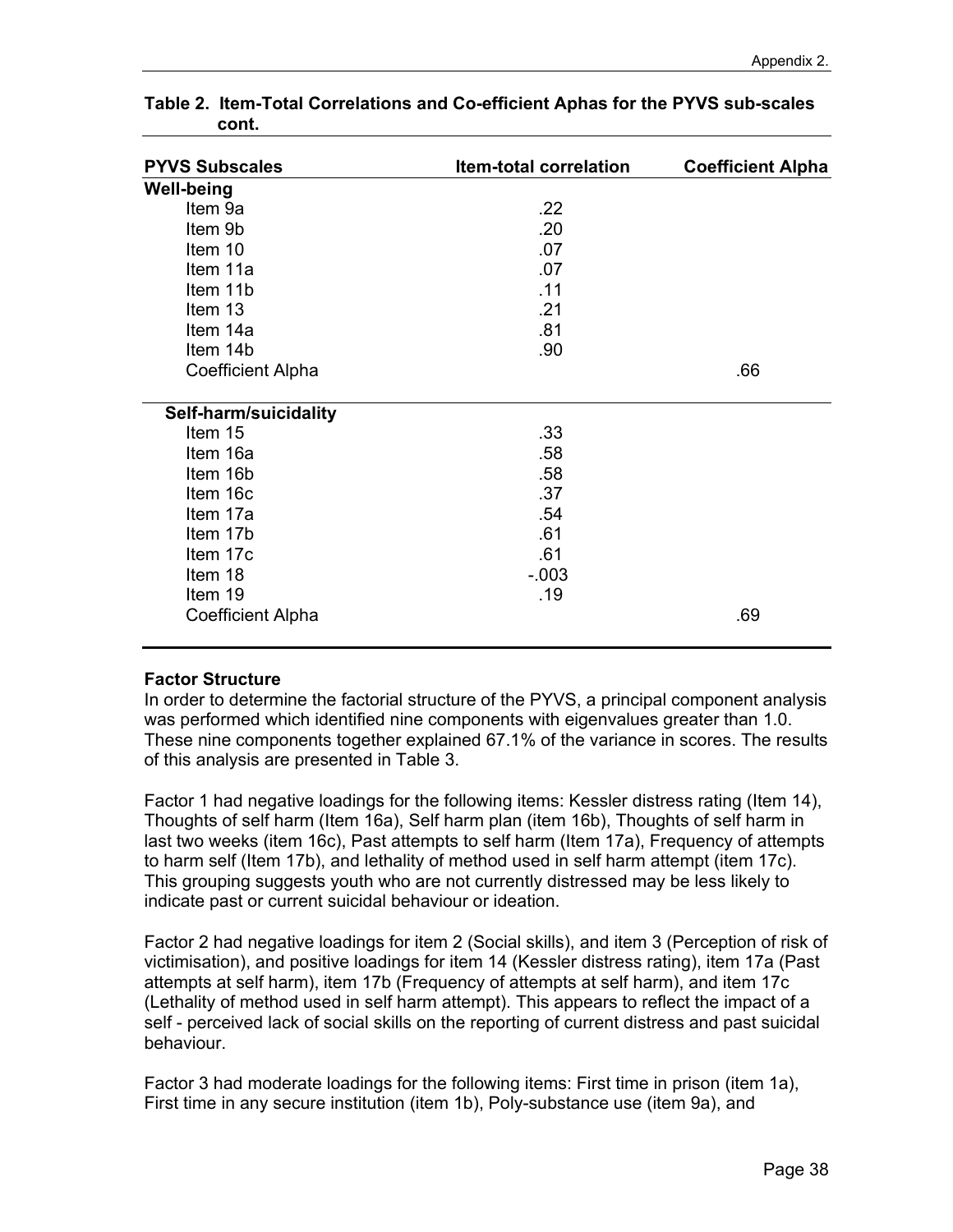| <b>PYVS Subscales</b>    | <b>Item-total correlation</b> | <b>Coefficient Alpha</b> |
|--------------------------|-------------------------------|--------------------------|
| <b>Well-being</b>        |                               |                          |
| Item 9a                  | .22                           |                          |
| Item 9b                  | .20                           |                          |
| Item 10                  | .07                           |                          |
| Item 11a                 | .07                           |                          |
| Item 11b                 | .11                           |                          |
| Item 13                  | .21                           |                          |
| Item 14a                 | .81                           |                          |
| Item 14b                 | .90                           |                          |
| <b>Coefficient Alpha</b> |                               | .66                      |
| Self-harm/suicidality    |                               |                          |
| Item 15                  | .33                           |                          |
| Item 16a                 | .58                           |                          |
| Item 16b                 | .58                           |                          |
| Item 16c                 | .37                           |                          |
| Item 17a                 | .54                           |                          |
| Item 17b                 | .61                           |                          |
| Item 17c                 | .61                           |                          |
| Item 18                  | $-.003$                       |                          |
| Item 19                  | .19                           |                          |
| <b>Coefficient Alpha</b> |                               | .69                      |

**Table 2. Item-Total Correlations and Co-efficient Aphas for the PYVS sub-scales cont.** 

#### **Factor Structure**

In order to determine the factorial structure of the PYVS, a principal component analysis was performed which identified nine components with eigenvalues greater than 1.0. These nine components together explained 67.1% of the variance in scores. The results of this analysis are presented in Table 3.

Factor 1 had negative loadings for the following items: Kessler distress rating (Item 14), Thoughts of self harm (Item 16a), Self harm plan (item 16b), Thoughts of self harm in last two weeks (item 16c), Past attempts to self harm (Item 17a), Frequency of attempts to harm self (Item 17b), and lethality of method used in self harm attempt (item 17c). This grouping suggests youth who are not currently distressed may be less likely to indicate past or current suicidal behaviour or ideation.

Factor 2 had negative loadings for item 2 (Social skills), and item 3 (Perception of risk of victimisation), and positive loadings for item 14 (Kessler distress rating), item 17a (Past attempts at self harm), item 17b (Frequency of attempts at self harm), and item 17c (Lethality of method used in self harm attempt). This appears to reflect the impact of a self - perceived lack of social skills on the reporting of current distress and past suicidal behaviour.

Factor 3 had moderate loadings for the following items: First time in prison (item 1a), First time in any secure institution (item 1b), Poly-substance use (item 9a), and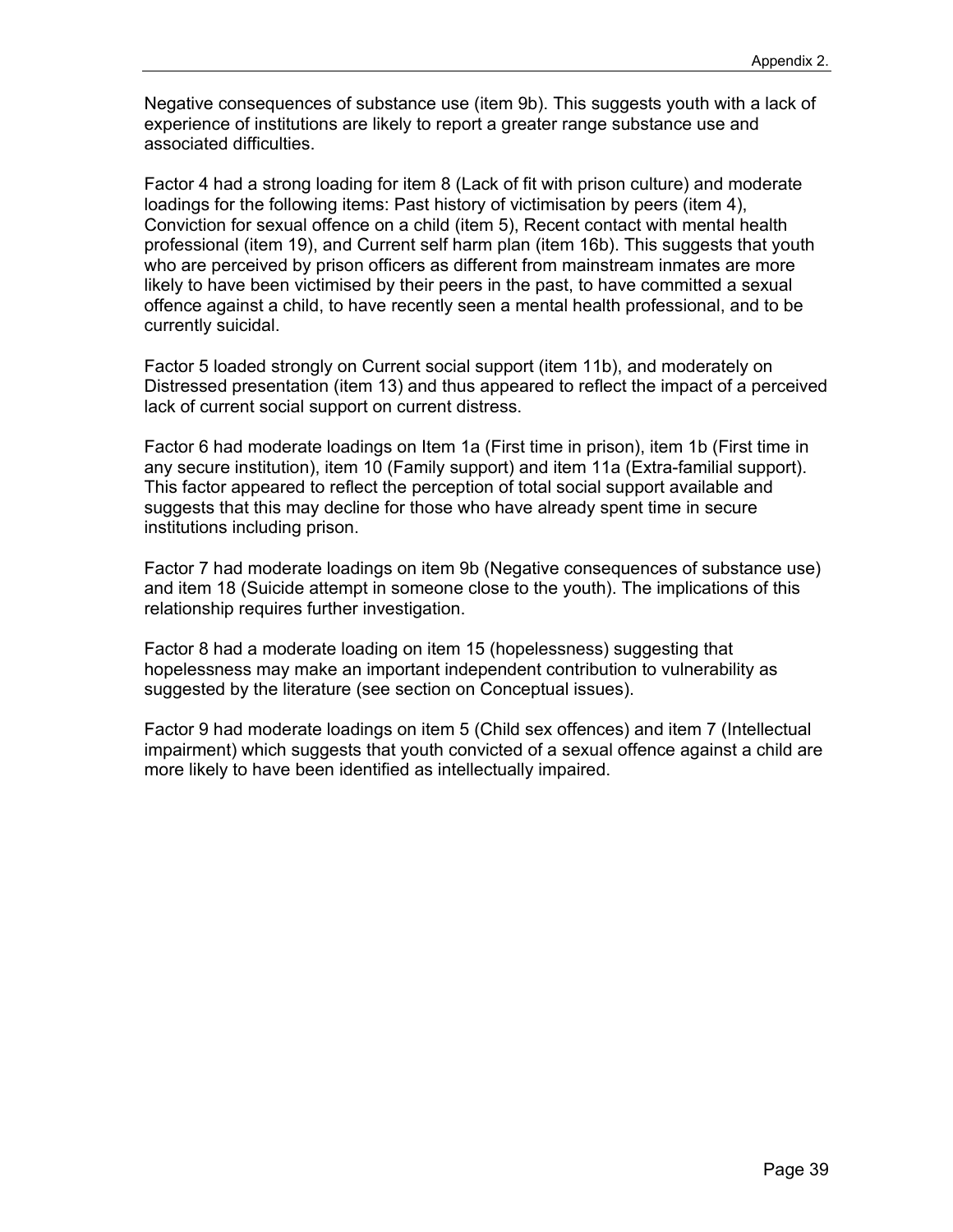Negative consequences of substance use (item 9b). This suggests youth with a lack of experience of institutions are likely to report a greater range substance use and associated difficulties.

Factor 4 had a strong loading for item 8 (Lack of fit with prison culture) and moderate loadings for the following items: Past history of victimisation by peers (item 4), Conviction for sexual offence on a child (item 5), Recent contact with mental health professional (item 19), and Current self harm plan (item 16b). This suggests that youth who are perceived by prison officers as different from mainstream inmates are more likely to have been victimised by their peers in the past, to have committed a sexual offence against a child, to have recently seen a mental health professional, and to be currently suicidal.

Factor 5 loaded strongly on Current social support (item 11b), and moderately on Distressed presentation (item 13) and thus appeared to reflect the impact of a perceived lack of current social support on current distress.

Factor 6 had moderate loadings on Item 1a (First time in prison), item 1b (First time in any secure institution), item 10 (Family support) and item 11a (Extra-familial support). This factor appeared to reflect the perception of total social support available and suggests that this may decline for those who have already spent time in secure institutions including prison.

Factor 7 had moderate loadings on item 9b (Negative consequences of substance use) and item 18 (Suicide attempt in someone close to the youth). The implications of this relationship requires further investigation.

Factor 8 had a moderate loading on item 15 (hopelessness) suggesting that hopelessness may make an important independent contribution to vulnerability as suggested by the literature (see section on Conceptual issues).

Factor 9 had moderate loadings on item 5 (Child sex offences) and item 7 (Intellectual impairment) which suggests that youth convicted of a sexual offence against a child are more likely to have been identified as intellectually impaired.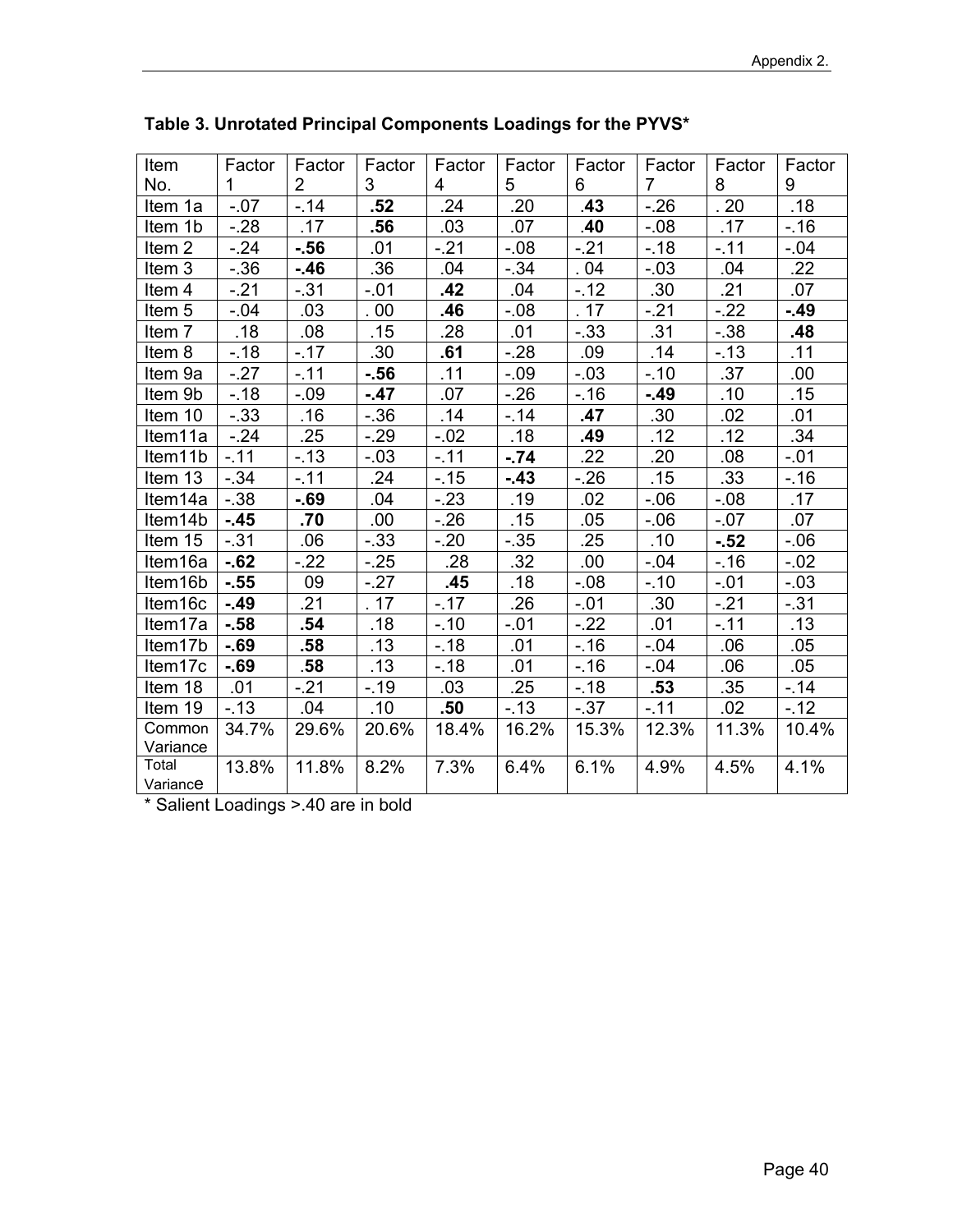| Item              | Factor       | Factor         | Factor  | Factor | Factor  | Factor  | Factor         | Factor  | Factor |
|-------------------|--------------|----------------|---------|--------|---------|---------|----------------|---------|--------|
| No.               | $\mathbf{1}$ | $\overline{2}$ | 3       | 4      | 5       | 6       | $\overline{7}$ | 8       | 9      |
| Item 1a           | $-.07$       | $-.14$         | .52     | .24    | .20     | .43     | $-26$          | .20     | .18    |
| Item 1b           | $-28$        | .17            | .56     | .03    | .07     | .40     | $-.08$         | .17     | $-.16$ |
| Item <sub>2</sub> | $-24$        | $-56$          | .01     | $-21$  | $-0.08$ | $-21$   | $-18$          | $-.11$  | $-.04$ |
| Item 3            | $-.36$       | -.46           | .36     | .04    | $-0.34$ | .04     | $-.03$         | .04     | .22    |
| Item 4            | $-.21$       | $-.31$         | $-.01$  | .42    | .04     | $-.12$  | .30            | .21     | .07    |
| Item <sub>5</sub> | $-0.04$      | .03            | . 00    | .46    | $-0.08$ | .17     | $-21$          | $-22$   | - 49   |
| Item 7            | .18          | .08            | .15     | .28    | .01     | $-.33$  | .31            | $-0.38$ | .48    |
| Item 8            | $-.18$       | $-17$          | .30     | .61    | $-28$   | .09     | .14            | $-13$   | .11    |
| Item 9a           | $-27$        | $-.11$         | $-56$   | .11    | $-.09$  | $-.03$  | $-.10$         | .37     | .00    |
| Item 9b           | $-.18$       | $-.09$         | $-47$   | .07    | $-26$   | $-.16$  | $-49$          | .10     | .15    |
| Item 10           | $-.33$       | .16            | $-0.36$ | .14    | $-.14$  | .47     | .30            | .02     | .01    |
| Item11a           | $-24$        | .25            | $-29$   | $-.02$ | .18     | .49     | .12            | .12     | .34    |
| Item11b           | $-.11$       | $-13$          | $-.03$  | $-.11$ | $-.74$  | .22     | .20            | .08     | $-.01$ |
| Item 13           | $-34$        | $-11$          | .24     | $-.15$ | $-43$   | $-26$   | .15            | .33     | $-.16$ |
| Item14a           | $-.38$       | $-69$          | .04     | $-23$  | .19     | .02     | $-0.06$        | $-0.08$ | .17    |
| Item14b           | $-45$        | .70            | .00     | $-26$  | .15     | .05     | $-06$          | $-.07$  | .07    |
| Item 15           | $-.31$       | .06            | $-.33$  | $-20$  | $-.35$  | .25     | .10            | $-.52$  | $-06$  |
| Item16a           | $-62$        | $-22$          | $-25$   | .28    | .32     | .00     | $-.04$         | $-.16$  | $-.02$ |
| Item16b           | $-0.55$      | 09             | $-27$   | .45    | .18     | $-0.08$ | $-.10$         | $-.01$  | $-.03$ |
| Item16c           | $-49$        | .21            | . 17    | $-17$  | .26     | $-.01$  | .30            | $-.21$  | $-.31$ |
| Item17a           | $-58$        | .54            | .18     | $-.10$ | $-.01$  | $-22$   | .01            | $-11$   | .13    |
| Item17b           | $-69$        | .58            | .13     | $-18$  | .01     | $-.16$  | $-.04$         | .06     | .05    |
| Item17c           | $-69$        | .58            | .13     | $-18$  | .01     | $-.16$  | $-.04$         | .06     | .05    |
| Item 18           | .01          | $-21$          | $-.19$  | .03    | .25     | $-.18$  | .53            | .35     | $-14$  |
| Item 19           | $-13$        | .04            | .10     | .50    | $-13$   | $-.37$  | $-.11$         | .02     | $-12$  |
| Common            | 34.7%        | 29.6%          | 20.6%   | 18.4%  | 16.2%   | 15.3%   | 12.3%          | 11.3%   | 10.4%  |
| Variance          |              |                |         |        |         |         |                |         |        |
| Total             | 13.8%        | 11.8%          | 8.2%    | 7.3%   | 6.4%    | 6.1%    | 4.9%           | 4.5%    | 4.1%   |
| Variance          |              |                |         |        |         |         |                |         |        |

**Table 3. Unrotated Principal Components Loadings for the PYVS\*** 

\* Salient Loadings >.40 are in bold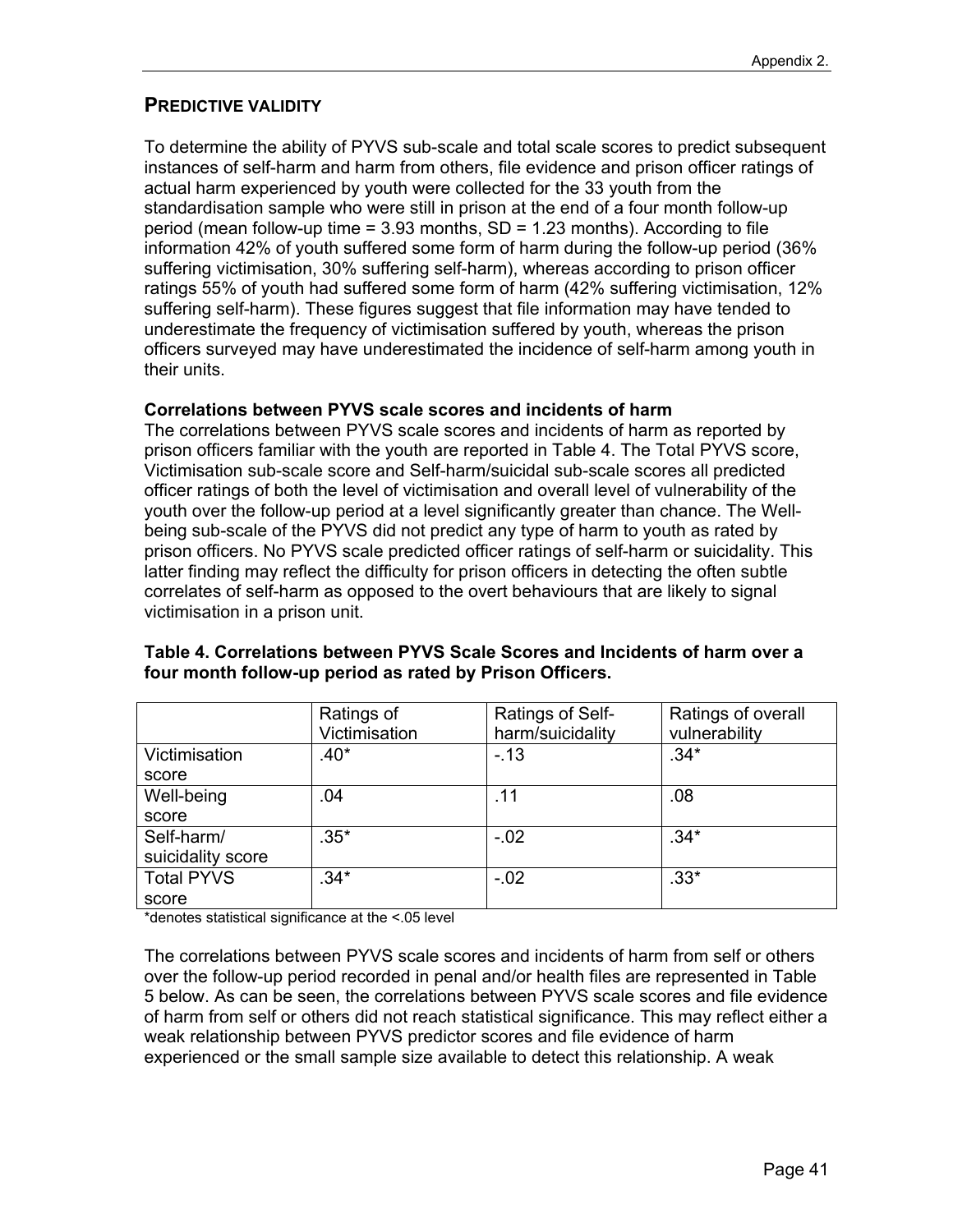#### **PREDICTIVE VALIDITY**

To determine the ability of PYVS sub-scale and total scale scores to predict subsequent instances of self-harm and harm from others, file evidence and prison officer ratings of actual harm experienced by youth were collected for the 33 youth from the standardisation sample who were still in prison at the end of a four month follow-up period (mean follow-up time = 3.93 months, SD = 1.23 months). According to file information 42% of youth suffered some form of harm during the follow-up period (36% suffering victimisation, 30% suffering self-harm), whereas according to prison officer ratings 55% of youth had suffered some form of harm (42% suffering victimisation, 12% suffering self-harm). These figures suggest that file information may have tended to underestimate the frequency of victimisation suffered by youth, whereas the prison officers surveyed may have underestimated the incidence of self-harm among youth in their units.

#### **Correlations between PYVS scale scores and incidents of harm**

The correlations between PYVS scale scores and incidents of harm as reported by prison officers familiar with the youth are reported in Table 4. The Total PYVS score, Victimisation sub-scale score and Self-harm/suicidal sub-scale scores all predicted officer ratings of both the level of victimisation and overall level of vulnerability of the youth over the follow-up period at a level significantly greater than chance. The Wellbeing sub-scale of the PYVS did not predict any type of harm to youth as rated by prison officers. No PYVS scale predicted officer ratings of self-harm or suicidality. This latter finding may reflect the difficulty for prison officers in detecting the often subtle correlates of self-harm as opposed to the overt behaviours that are likely to signal victimisation in a prison unit.

|                   | Ratings of<br>Victimisation | Ratings of Self-<br>harm/suicidality | Ratings of overall<br>vulnerability |
|-------------------|-----------------------------|--------------------------------------|-------------------------------------|
| Victimisation     | $.40*$                      | $-.13$                               | $.34*$                              |
| score             |                             |                                      |                                     |
| Well-being        | .04                         | .11                                  | .08                                 |
| score             |                             |                                      |                                     |
| Self-harm/        | $.35*$                      | $-.02$                               | $.34*$                              |
| suicidality score |                             |                                      |                                     |
| <b>Total PYVS</b> | $.34*$                      | $-.02$                               | $.33*$                              |
| score             |                             |                                      |                                     |

#### **Table 4. Correlations between PYVS Scale Scores and Incidents of harm over a four month follow-up period as rated by Prison Officers.**

\*denotes statistical significance at the <.05 level

The correlations between PYVS scale scores and incidents of harm from self or others over the follow-up period recorded in penal and/or health files are represented in Table 5 below. As can be seen, the correlations between PYVS scale scores and file evidence of harm from self or others did not reach statistical significance. This may reflect either a weak relationship between PYVS predictor scores and file evidence of harm experienced or the small sample size available to detect this relationship. A weak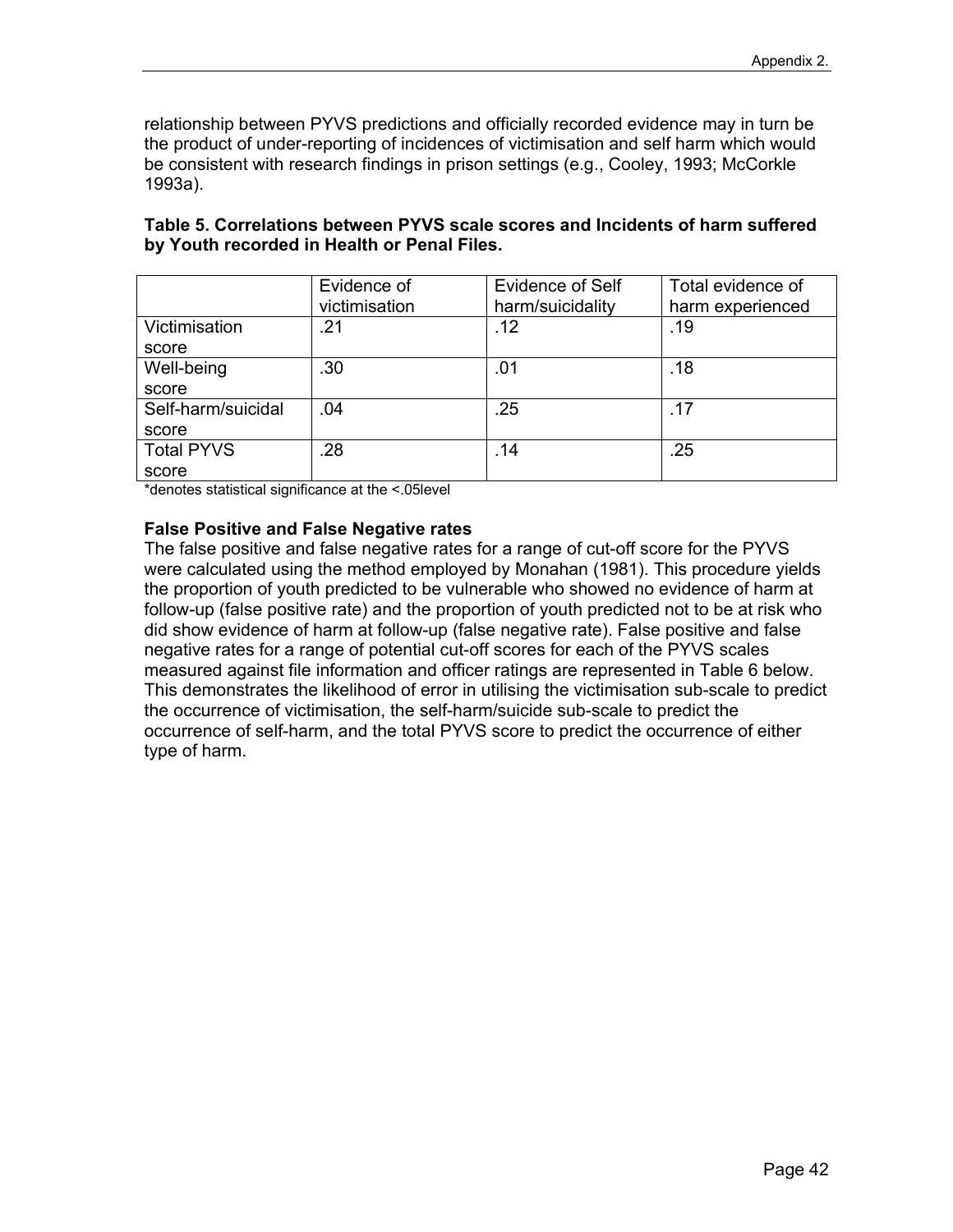relationship between PYVS predictions and officially recorded evidence may in turn be the product of under-reporting of incidences of victimisation and self harm which would be consistent with research findings in prison settings (e.g., Cooley, 1993; McCorkle 1993a).

| Table 5. Correlations between PYVS scale scores and Incidents of harm suffered |  |
|--------------------------------------------------------------------------------|--|
| by Youth recorded in Health or Penal Files.                                    |  |

|                    | Evidence of   | <b>Evidence of Self</b> | Total evidence of |
|--------------------|---------------|-------------------------|-------------------|
|                    | victimisation | harm/suicidality        | harm experienced  |
| Victimisation      | .21           | .12                     | .19               |
| score              |               |                         |                   |
| Well-being         | .30           | .01                     | .18               |
| score              |               |                         |                   |
| Self-harm/suicidal | .04           | .25                     | .17               |
| score              |               |                         |                   |
| <b>Total PYVS</b>  | .28           | .14                     | .25               |
| score              |               |                         |                   |

\*denotes statistical significance at the <.05level

#### **False Positive and False Negative rates**

The false positive and false negative rates for a range of cut-off score for the PYVS were calculated using the method employed by Monahan (1981). This procedure yields the proportion of youth predicted to be vulnerable who showed no evidence of harm at follow-up (false positive rate) and the proportion of youth predicted not to be at risk who did show evidence of harm at follow-up (false negative rate). False positive and false negative rates for a range of potential cut-off scores for each of the PYVS scales measured against file information and officer ratings are represented in Table 6 below. This demonstrates the likelihood of error in utilising the victimisation sub-scale to predict the occurrence of victimisation, the self-harm/suicide sub-scale to predict the occurrence of self-harm, and the total PYVS score to predict the occurrence of either type of harm.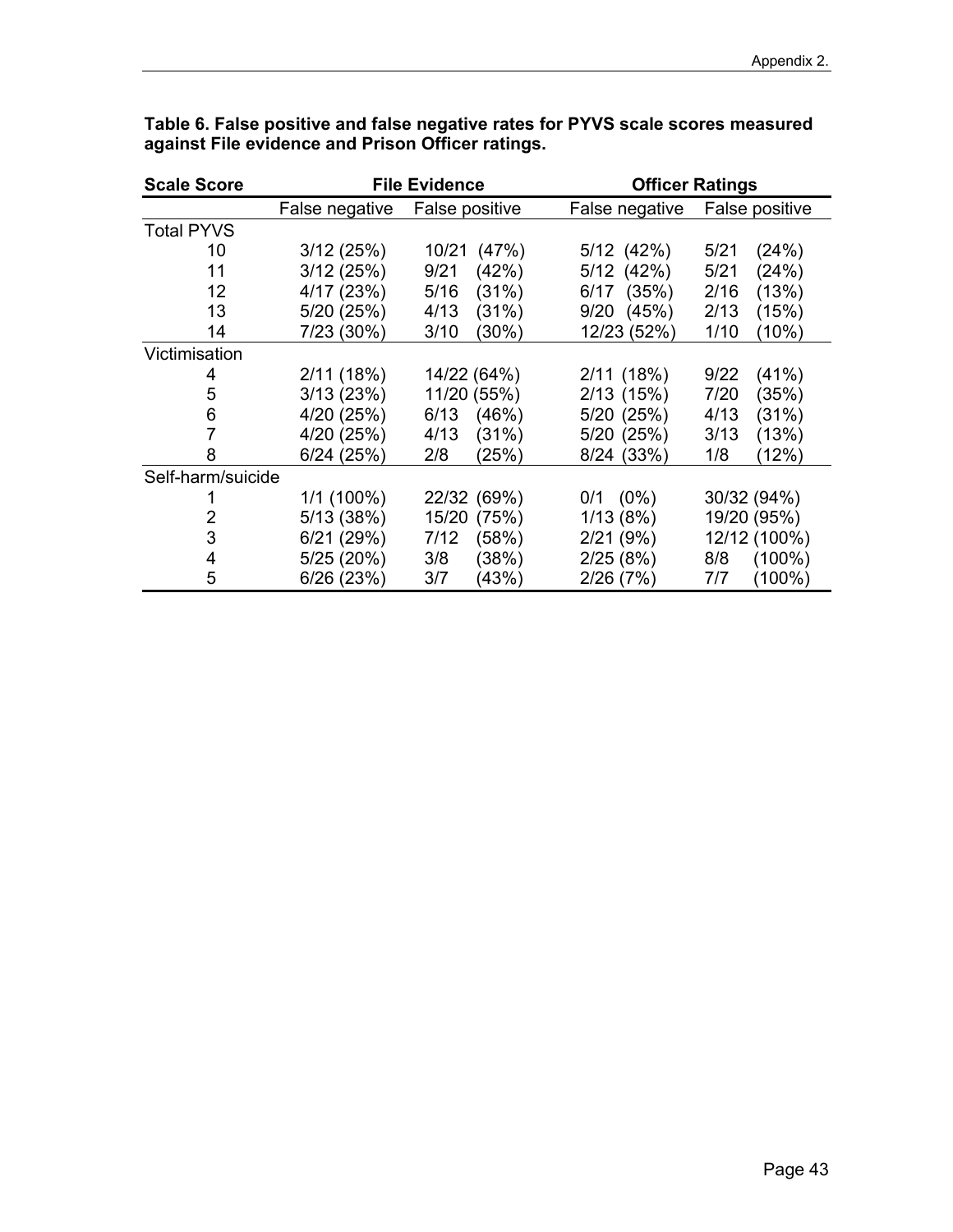| <b>Scale Score</b> |                | <b>File Evidence</b> | <b>Officer Ratings</b> |                  |  |
|--------------------|----------------|----------------------|------------------------|------------------|--|
|                    | False negative | False positive       | False negative         | False positive   |  |
| <b>Total PYVS</b>  |                |                      |                        |                  |  |
| 10                 | 3/12(25%)      | 10/21<br>(47%)       | 5/12 (42%)             | 5/21<br>(24%)    |  |
| 11                 | 3/12(25%)      | 9/21<br>(42%)        | $5/12$ (42%)           | 5/21<br>(24%)    |  |
| 12                 | 4/17 (23%)     | 5/16<br>(31%)        | (35%)<br>6/17          | 2/16<br>(13%)    |  |
| 13                 | 5/20 (25%)     | 4/13<br>(31%)        | 9/20<br>(45%)          | (15%)<br>2/13    |  |
| 14                 | 7/23 (30%)     | 3/10<br>(30%)        | 12/23 (52%)            | 1/10<br>(10%)    |  |
| Victimisation      |                |                      |                        |                  |  |
| 4                  | 2/11(18%)      | 14/22 (64%)          | 2/11(18%)              | 9/22<br>(41%)    |  |
| 5                  | 3/13(23%)      | 11/20 (55%)          | $2/13$ (15%)           | 7/20<br>(35%)    |  |
| 6                  | 4/20 (25%)     | 6/13<br>(46%)        | 5/20 (25%)             | 4/13<br>(31%)    |  |
| 7                  | 4/20 (25%)     | 4/13<br>(31%)        | 5/20 (25%)             | (13%)<br>3/13    |  |
| 8                  | $6/24$ (25%)   | 2/8<br>(25%)         | 8/24 (33%)             | (12%)<br>1/8     |  |
| Self-harm/suicide  |                |                      |                        |                  |  |
|                    | $1/1(100\%)$   | 22/32 (69%)          | $0/1$ $(0%)$           | 30/32 (94%)      |  |
| 2                  | 5/13(38%)      | 15/20 (75%)          | 1/13(8%)               | 19/20 (95%)      |  |
| 3                  | 6/21(29%)      | (58%)<br>7/12        | 2/21(9%)               | 12/12 (100%)     |  |
| 4                  | 5/25(20%)      | 3/8<br>(38%)         | 2/25(8%)               | $(100\%)$<br>8/8 |  |
| 5                  | 6/26(23%)      | (43%)<br>3/7         | 2/26(7%)               | $(100\%)$<br>7/7 |  |

**Table 6. False positive and false negative rates for PYVS scale scores measured against File evidence and Prison Officer ratings.**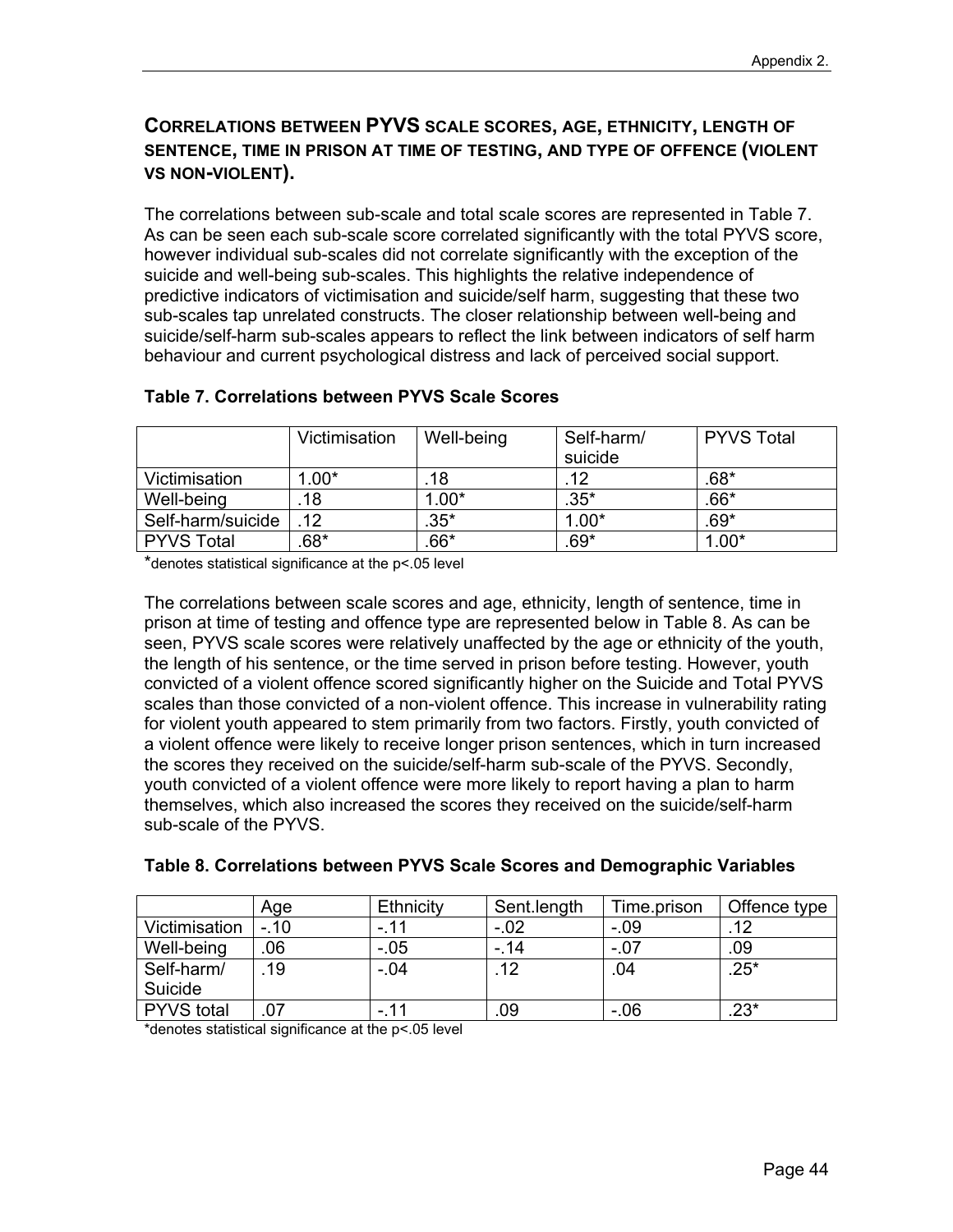#### **CORRELATIONS BETWEEN PYVS SCALE SCORES, AGE, ETHNICITY, LENGTH OF SENTENCE, TIME IN PRISON AT TIME OF TESTING, AND TYPE OF OFFENCE (VIOLENT VS NON-VIOLENT).**

The correlations between sub-scale and total scale scores are represented in Table 7. As can be seen each sub-scale score correlated significantly with the total PYVS score, however individual sub-scales did not correlate significantly with the exception of the suicide and well-being sub-scales. This highlights the relative independence of predictive indicators of victimisation and suicide/self harm, suggesting that these two sub-scales tap unrelated constructs. The closer relationship between well-being and suicide/self-harm sub-scales appears to reflect the link between indicators of self harm behaviour and current psychological distress and lack of perceived social support.

|                   | Victimisation | Well-being | Self-harm/<br>suicide | <b>PYVS Total</b> |
|-------------------|---------------|------------|-----------------------|-------------------|
| Victimisation     | $1.00*$       | 18         | 12                    | $.68*$            |
| Well-being        | 18            | $1.00*$    | $.35^*$               | $.66*$            |
| Self-harm/suicide | 12            | $.35*$     | $1.00*$               | $.69*$            |
| <b>PYVS Total</b> | $.68*$        | $.66*$     | .69*                  | $1.00*$           |

#### **Table 7. Correlations between PYVS Scale Scores**

\*denotes statistical significance at the p<.05 level

The correlations between scale scores and age, ethnicity, length of sentence, time in prison at time of testing and offence type are represented below in Table 8. As can be seen, PYVS scale scores were relatively unaffected by the age or ethnicity of the youth, the length of his sentence, or the time served in prison before testing. However, youth convicted of a violent offence scored significantly higher on the Suicide and Total PYVS scales than those convicted of a non-violent offence. This increase in vulnerability rating for violent youth appeared to stem primarily from two factors. Firstly, youth convicted of a violent offence were likely to receive longer prison sentences, which in turn increased the scores they received on the suicide/self-harm sub-scale of the PYVS. Secondly, youth convicted of a violent offence were more likely to report having a plan to harm themselves, which also increased the scores they received on the suicide/self-harm sub-scale of the PYVS.

|                   | Age    | Ethnicity | Sent.length | Time.prison | Offence type |
|-------------------|--------|-----------|-------------|-------------|--------------|
| Victimisation     | $-.10$ | -.11      | $-.02$      | $-0.09$     | .12          |
| Well-being        | .06    | $-.05$    | - 14        | $-.07$      | .09          |
| Self-harm/        | .19    | $-.04$    | 12          | 04          | $.25*$       |
| Suicide           |        |           |             |             |              |
| <b>PYVS</b> total | .07    | $-.11$    | .09         | $-06$       | $.23*$       |

#### **Table 8. Correlations between PYVS Scale Scores and Demographic Variables**

\*denotes statistical significance at the p<.05 level